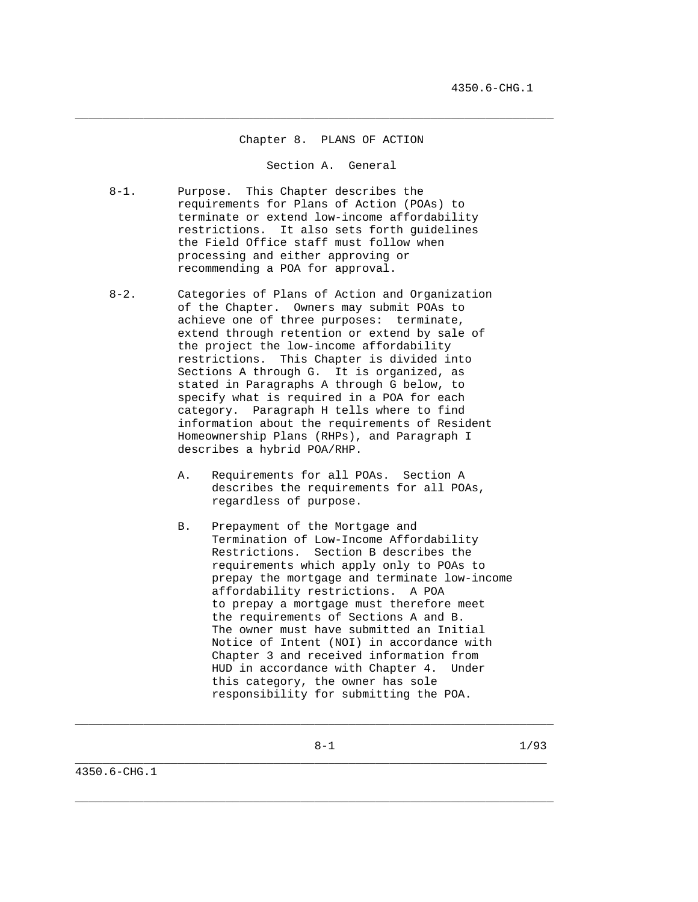### Chapter 8. PLANS OF ACTION

\_\_\_\_\_\_\_\_\_\_\_\_\_\_\_\_\_\_\_\_\_\_\_\_\_\_\_\_\_\_\_\_\_\_\_\_\_\_\_\_\_\_\_\_\_\_\_\_\_\_\_\_\_\_\_\_\_\_\_\_\_\_\_\_\_\_\_\_\_\_

Section A. General

- 8-1. Purpose. This Chapter describes the requirements for Plans of Action (POAs) to terminate or extend low-income affordability restrictions. It also sets forth guidelines the Field Office staff must follow when processing and either approving or recommending a POA for approval.
- 8-2. Categories of Plans of Action and Organization of the Chapter. Owners may submit POAs to achieve one of three purposes: terminate, extend through retention or extend by sale of the project the low-income affordability restrictions. This Chapter is divided into Sections A through G. It is organized, as stated in Paragraphs A through G below, to specify what is required in a POA for each category. Paragraph H tells where to find information about the requirements of Resident Homeownership Plans (RHPs), and Paragraph I describes a hybrid POA/RHP.
	- A. Requirements for all POAs. Section A describes the requirements for all POAs, regardless of purpose.
	- B. Prepayment of the Mortgage and Termination of Low-Income Affordability Restrictions. Section B describes the requirements which apply only to POAs to prepay the mortgage and terminate low-income affordability restrictions. A POA to prepay a mortgage must therefore meet the requirements of Sections A and B. The owner must have submitted an Initial Notice of Intent (NOI) in accordance with Chapter 3 and received information from HUD in accordance with Chapter 4. Under this category, the owner has sole responsibility for submitting the POA.

\_\_\_\_\_\_\_\_\_\_\_\_\_\_\_\_\_\_\_\_\_\_\_\_\_\_\_\_\_\_\_\_\_\_\_\_\_\_\_\_\_\_\_\_\_\_\_\_\_\_\_\_\_\_\_\_\_\_\_\_\_\_\_\_\_\_\_\_\_\_

\_\_\_\_\_\_\_\_\_\_\_\_\_\_\_\_\_\_\_\_\_\_\_\_\_\_\_\_\_\_\_\_\_\_\_\_\_\_\_\_\_\_\_\_\_\_\_\_\_\_\_\_\_\_\_\_\_\_\_\_\_\_\_\_\_\_\_\_\_

\_\_\_\_\_\_\_\_\_\_\_\_\_\_\_\_\_\_\_\_\_\_\_\_\_\_\_\_\_\_\_\_\_\_\_\_\_\_\_\_\_\_\_\_\_\_\_\_\_\_\_\_\_\_\_\_\_\_\_\_\_\_\_\_\_\_\_\_\_\_

 $8-1$  1/93

4350.6-CHG.1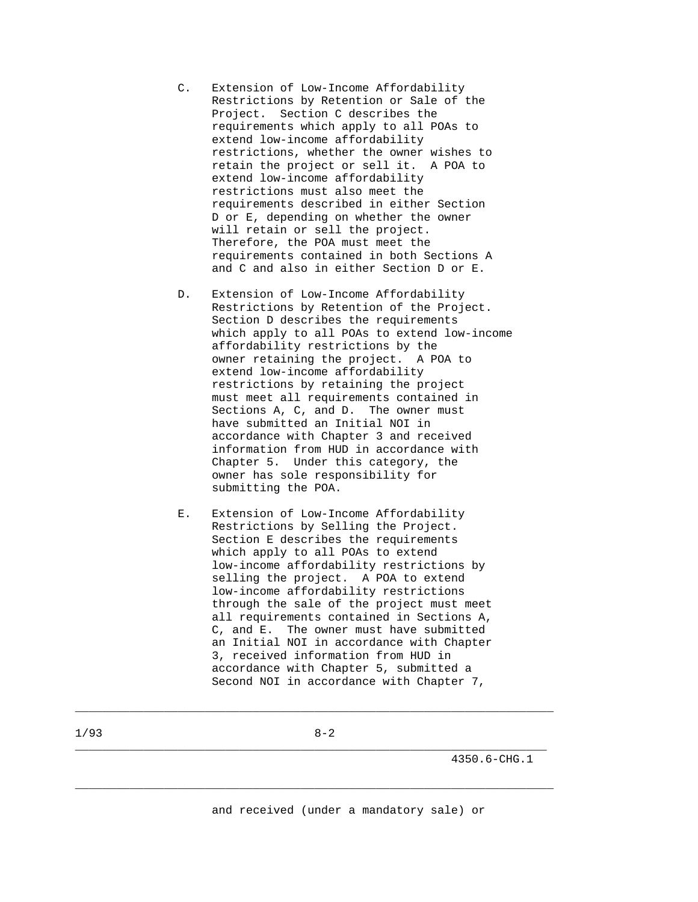- C. Extension of Low-Income Affordability Restrictions by Retention or Sale of the Project. Section C describes the requirements which apply to all POAs to extend low-income affordability restrictions, whether the owner wishes to retain the project or sell it. A POA to extend low-income affordability restrictions must also meet the requirements described in either Section D or E, depending on whether the owner will retain or sell the project. Therefore, the POA must meet the requirements contained in both Sections A and C and also in either Section D or E.
- D. Extension of Low-Income Affordability Restrictions by Retention of the Project. Section D describes the requirements which apply to all POAs to extend low-income affordability restrictions by the owner retaining the project. A POA to extend low-income affordability restrictions by retaining the project must meet all requirements contained in Sections A, C, and D. The owner must have submitted an Initial NOI in accordance with Chapter 3 and received information from HUD in accordance with Chapter 5. Under this category, the owner has sole responsibility for submitting the POA.
- E. Extension of Low-Income Affordability Restrictions by Selling the Project. Section E describes the requirements which apply to all POAs to extend low-income affordability restrictions by selling the project. A POA to extend low-income affordability restrictions through the sale of the project must meet all requirements contained in Sections A, C, and E. The owner must have submitted an Initial NOI in accordance with Chapter 3, received information from HUD in accordance with Chapter 5, submitted a Second NOI in accordance with Chapter 7,

\_\_\_\_\_\_\_\_\_\_\_\_\_\_\_\_\_\_\_\_\_\_\_\_\_\_\_\_\_\_\_\_\_\_\_\_\_\_\_\_\_\_\_\_\_\_\_\_\_\_\_\_\_\_\_\_\_\_\_\_\_\_\_\_\_\_\_\_\_\_

\_\_\_\_\_\_\_\_\_\_\_\_\_\_\_\_\_\_\_\_\_\_\_\_\_\_\_\_\_\_\_\_\_\_\_\_\_\_\_\_\_\_\_\_\_\_\_\_\_\_\_\_\_\_\_\_\_\_\_\_\_\_\_\_\_\_\_\_\_

\_\_\_\_\_\_\_\_\_\_\_\_\_\_\_\_\_\_\_\_\_\_\_\_\_\_\_\_\_\_\_\_\_\_\_\_\_\_\_\_\_\_\_\_\_\_\_\_\_\_\_\_\_\_\_\_\_\_\_\_\_\_\_\_\_\_\_\_\_\_

4350.6-CHG.1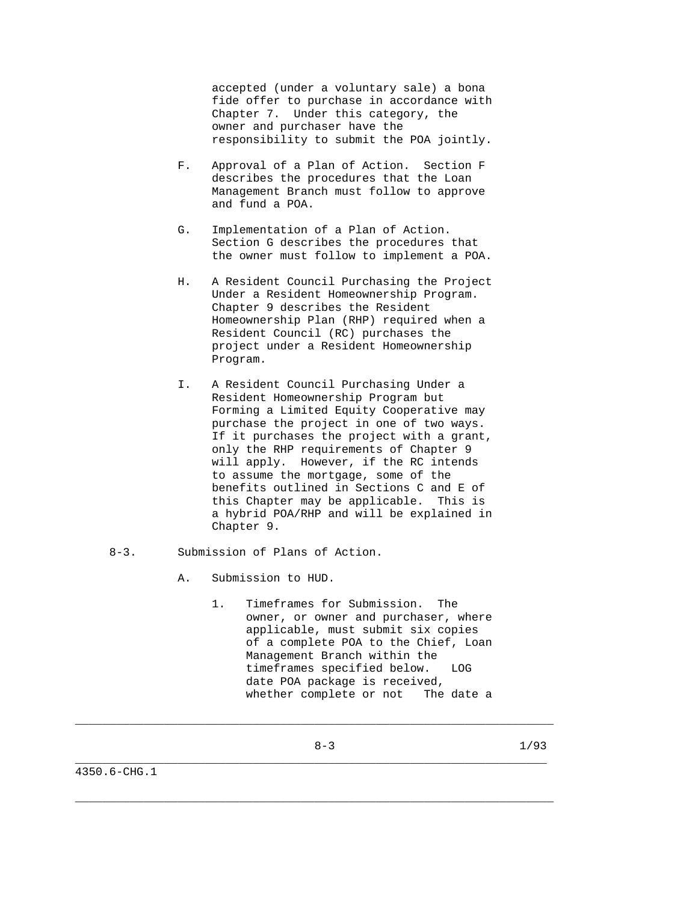accepted (under a voluntary sale) a bona fide offer to purchase in accordance with Chapter 7. Under this category, the owner and purchaser have the responsibility to submit the POA jointly.

- F. Approval of a Plan of Action. Section F describes the procedures that the Loan Management Branch must follow to approve and fund a POA.
- G. Implementation of a Plan of Action. Section G describes the procedures that the owner must follow to implement a POA.
- H. A Resident Council Purchasing the Project Under a Resident Homeownership Program. Chapter 9 describes the Resident Homeownership Plan (RHP) required when a Resident Council (RC) purchases the project under a Resident Homeownership Program.
- I. A Resident Council Purchasing Under a Resident Homeownership Program but Forming a Limited Equity Cooperative may purchase the project in one of two ways. If it purchases the project with a grant, only the RHP requirements of Chapter 9 will apply. However, if the RC intends to assume the mortgage, some of the benefits outlined in Sections C and E of this Chapter may be applicable. This is a hybrid POA/RHP and will be explained in Chapter 9.

## 8-3. Submission of Plans of Action.

- A. Submission to HUD.
	- 1. Timeframes for Submission. The owner, or owner and purchaser, where applicable, must submit six copies of a complete POA to the Chief, Loan Management Branch within the timeframes specified below. LOG date POA package is received, whether complete or not The date a

\_\_\_\_\_\_\_\_\_\_\_\_\_\_\_\_\_\_\_\_\_\_\_\_\_\_\_\_\_\_\_\_\_\_\_\_\_\_\_\_\_\_\_\_\_\_\_\_\_\_\_\_\_\_\_\_\_\_\_\_\_\_\_\_\_\_\_\_\_\_

\_\_\_\_\_\_\_\_\_\_\_\_\_\_\_\_\_\_\_\_\_\_\_\_\_\_\_\_\_\_\_\_\_\_\_\_\_\_\_\_\_\_\_\_\_\_\_\_\_\_\_\_\_\_\_\_\_\_\_\_\_\_\_\_\_\_\_\_\_\_

 $8-3$  1/93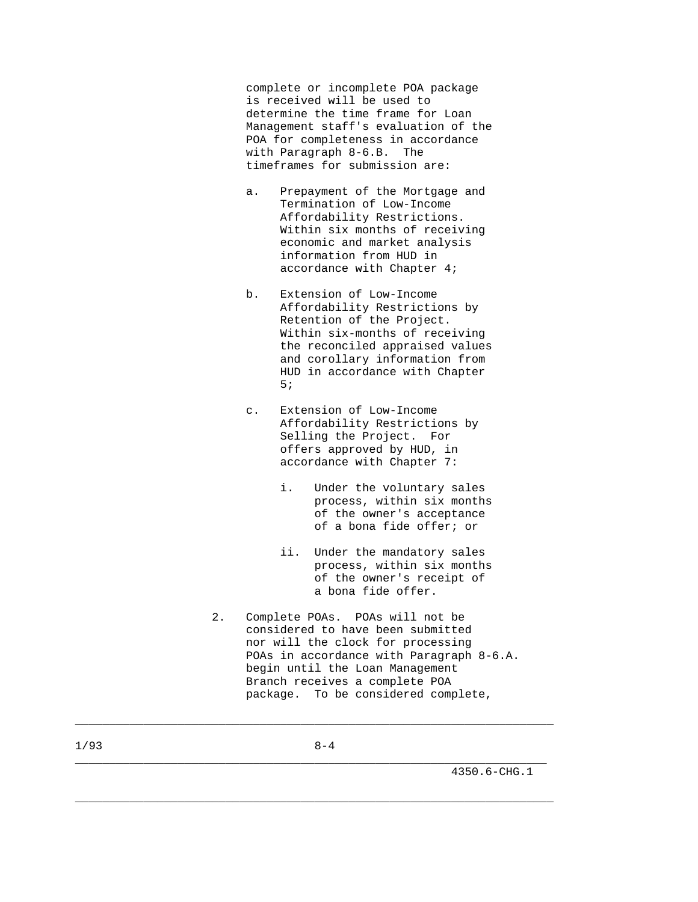complete or incomplete POA package is received will be used to determine the time frame for Loan Management staff's evaluation of the POA for completeness in accordance with Paragraph 8-6.B. The timeframes for submission are:

- a. Prepayment of the Mortgage and Termination of Low-Income Affordability Restrictions. Within six months of receiving economic and market analysis information from HUD in accordance with Chapter 4;
- b. Extension of Low-Income Affordability Restrictions by Retention of the Project. Within six-months of receiving the reconciled appraised values and corollary information from HUD in accordance with Chapter  $5;$ 
	- c. Extension of Low-Income Affordability Restrictions by Selling the Project. For offers approved by HUD, in accordance with Chapter 7:
		- i. Under the voluntary sales process, within six months of the owner's acceptance of a bona fide offer; or
		- ii. Under the mandatory sales process, within six months of the owner's receipt of a bona fide offer.
	- 2. Complete POAs. POAs will not be considered to have been submitted nor will the clock for processing POAs in accordance with Paragraph 8-6.A. begin until the Loan Management Branch receives a complete POA package. To be considered complete,

\_\_\_\_\_\_\_\_\_\_\_\_\_\_\_\_\_\_\_\_\_\_\_\_\_\_\_\_\_\_\_\_\_\_\_\_\_\_\_\_\_\_\_\_\_\_\_\_\_\_\_\_\_\_\_\_\_\_\_\_\_\_\_\_\_\_\_\_\_\_

\_\_\_\_\_\_\_\_\_\_\_\_\_\_\_\_\_\_\_\_\_\_\_\_\_\_\_\_\_\_\_\_\_\_\_\_\_\_\_\_\_\_\_\_\_\_\_\_\_\_\_\_\_\_\_\_\_\_\_\_\_\_\_\_\_\_\_\_\_

\_\_\_\_\_\_\_\_\_\_\_\_\_\_\_\_\_\_\_\_\_\_\_\_\_\_\_\_\_\_\_\_\_\_\_\_\_\_\_\_\_\_\_\_\_\_\_\_\_\_\_\_\_\_\_\_\_\_\_\_\_\_\_\_\_\_\_\_\_\_

4350.6-CHG.1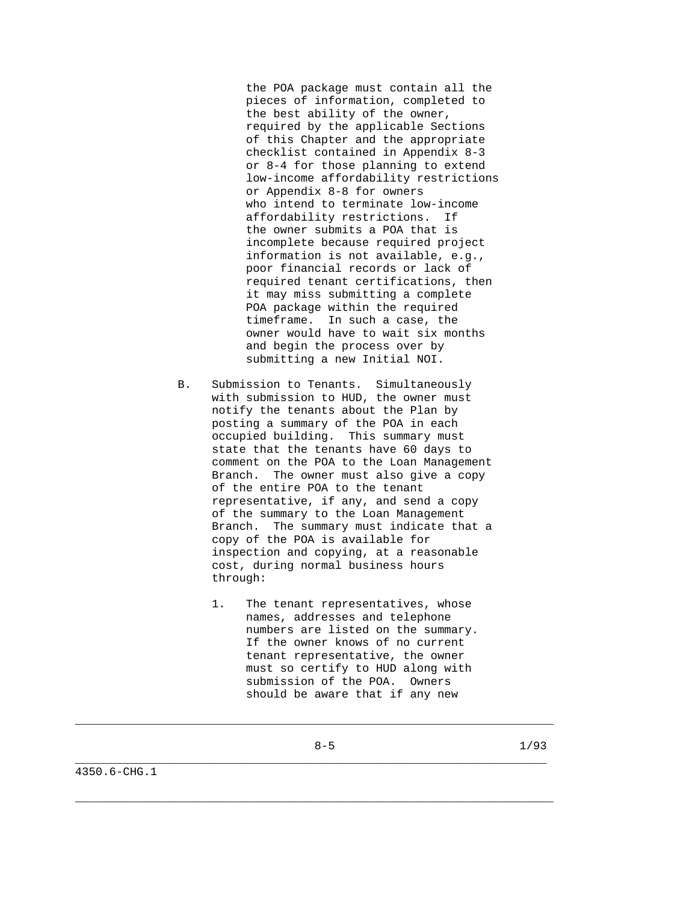the POA package must contain all the pieces of information, completed to the best ability of the owner, required by the applicable Sections of this Chapter and the appropriate checklist contained in Appendix 8-3 or 8-4 for those planning to extend low-income affordability restrictions or Appendix 8-8 for owners who intend to terminate low-income affordability restrictions. If the owner submits a POA that is incomplete because required project information is not available, e.g., poor financial records or lack of required tenant certifications, then it may miss submitting a complete POA package within the required timeframe. In such a case, the owner would have to wait six months and begin the process over by submitting a new Initial NOI.

- B. Submission to Tenants. Simultaneously with submission to HUD, the owner must notify the tenants about the Plan by posting a summary of the POA in each occupied building. This summary must state that the tenants have 60 days to comment on the POA to the Loan Management Branch. The owner must also give a copy of the entire POA to the tenant representative, if any, and send a copy of the summary to the Loan Management Branch. The summary must indicate that a copy of the POA is available for inspection and copying, at a reasonable cost, during normal business hours through:
	- 1. The tenant representatives, whose names, addresses and telephone numbers are listed on the summary. If the owner knows of no current tenant representative, the owner must so certify to HUD along with submission of the POA. Owners should be aware that if any new

\_\_\_\_\_\_\_\_\_\_\_\_\_\_\_\_\_\_\_\_\_\_\_\_\_\_\_\_\_\_\_\_\_\_\_\_\_\_\_\_\_\_\_\_\_\_\_\_\_\_\_\_\_\_\_\_\_\_\_\_\_\_\_\_\_\_\_\_\_\_

\_\_\_\_\_\_\_\_\_\_\_\_\_\_\_\_\_\_\_\_\_\_\_\_\_\_\_\_\_\_\_\_\_\_\_\_\_\_\_\_\_\_\_\_\_\_\_\_\_\_\_\_\_\_\_\_\_\_\_\_\_\_\_\_\_\_\_\_\_

\_\_\_\_\_\_\_\_\_\_\_\_\_\_\_\_\_\_\_\_\_\_\_\_\_\_\_\_\_\_\_\_\_\_\_\_\_\_\_\_\_\_\_\_\_\_\_\_\_\_\_\_\_\_\_\_\_\_\_\_\_\_\_\_\_\_\_\_\_\_

 $8-5$  1/93

4350.6-CHG.1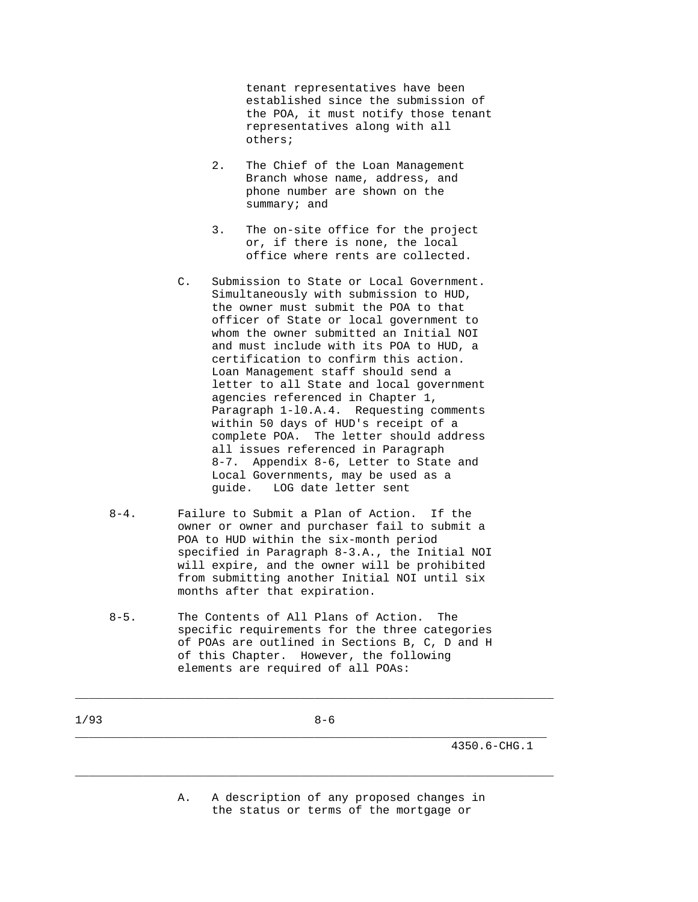tenant representatives have been established since the submission of the POA, it must notify those tenant representatives along with all others;

- 2. The Chief of the Loan Management Branch whose name, address, and phone number are shown on the summary; and
- 3. The on-site office for the project or, if there is none, the local office where rents are collected.
- C. Submission to State or Local Government. Simultaneously with submission to HUD, the owner must submit the POA to that officer of State or local government to whom the owner submitted an Initial NOI and must include with its POA to HUD, a certification to confirm this action. Loan Management staff should send a letter to all State and local government agencies referenced in Chapter 1, Paragraph 1-l0.A.4. Requesting comments within 50 days of HUD's receipt of a complete POA. The letter should address all issues referenced in Paragraph 8-7. Appendix 8-6, Letter to State and Local Governments, may be used as a guide. LOG date letter sent
- 8-4. Failure to Submit a Plan of Action. If the owner or owner and purchaser fail to submit a POA to HUD within the six-month period specified in Paragraph 8-3.A., the Initial NOI will expire, and the owner will be prohibited from submitting another Initial NOI until six months after that expiration.
- 8-5. The Contents of All Plans of Action. The specific requirements for the three categories of POAs are outlined in Sections B, C, D and H of this Chapter. However, the following elements are required of all POAs:
- $1/93$  8-6

\_\_\_\_\_\_\_\_\_\_\_\_\_\_\_\_\_\_\_\_\_\_\_\_\_\_\_\_\_\_\_\_\_\_\_\_\_\_\_\_\_\_\_\_\_\_\_\_\_\_\_\_\_\_\_\_\_\_\_\_\_\_\_\_\_\_\_\_\_\_

\_\_\_\_\_\_\_\_\_\_\_\_\_\_\_\_\_\_\_\_\_\_\_\_\_\_\_\_\_\_\_\_\_\_\_\_\_\_\_\_\_\_\_\_\_\_\_\_\_\_\_\_\_\_\_\_\_\_\_\_\_\_\_\_\_\_\_\_\_

\_\_\_\_\_\_\_\_\_\_\_\_\_\_\_\_\_\_\_\_\_\_\_\_\_\_\_\_\_\_\_\_\_\_\_\_\_\_\_\_\_\_\_\_\_\_\_\_\_\_\_\_\_\_\_\_\_\_\_\_\_\_\_\_\_\_\_\_\_\_

4350.6-CHG.1

 A. A description of any proposed changes in the status or terms of the mortgage or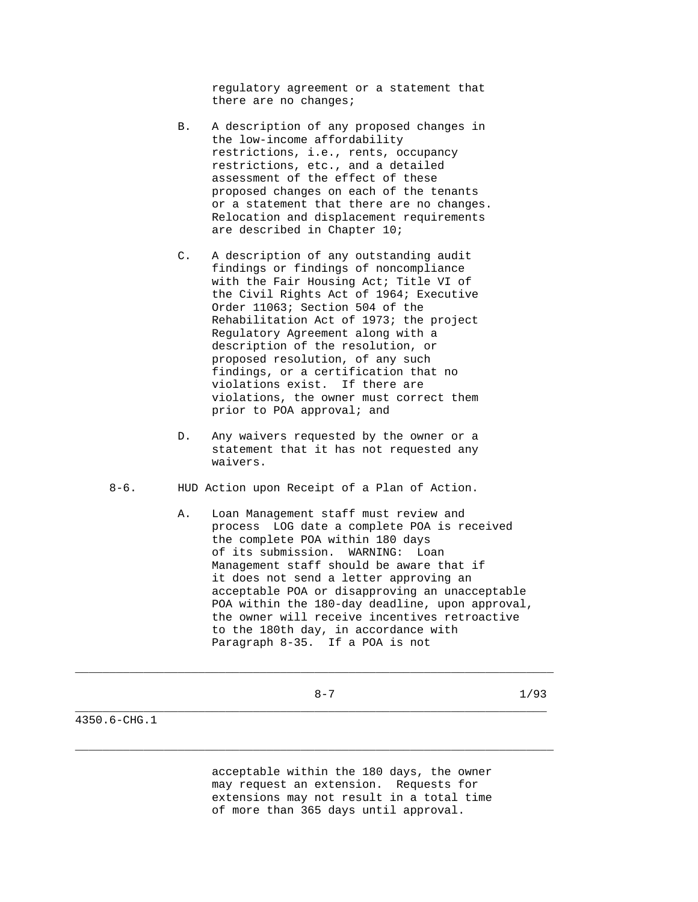regulatory agreement or a statement that there are no changes;

- B. A description of any proposed changes in the low-income affordability restrictions, i.e., rents, occupancy restrictions, etc., and a detailed assessment of the effect of these proposed changes on each of the tenants or a statement that there are no changes. Relocation and displacement requirements are described in Chapter 10;
- C. A description of any outstanding audit findings or findings of noncompliance with the Fair Housing Act; Title VI of the Civil Rights Act of 1964; Executive Order 11063; Section 504 of the Rehabilitation Act of 1973; the project Regulatory Agreement along with a description of the resolution, or proposed resolution, of any such findings, or a certification that no violations exist. If there are violations, the owner must correct them prior to POA approval; and
- D. Any waivers requested by the owner or a statement that it has not requested any waivers.
- 8-6. HUD Action upon Receipt of a Plan of Action.
	- A. Loan Management staff must review and process LOG date a complete POA is received the complete POA within 180 days of its submission. WARNING: Loan Management staff should be aware that if it does not send a letter approving an acceptable POA or disapproving an unacceptable POA within the 180-day deadline, upon approval, the owner will receive incentives retroactive to the 180th day, in accordance with Paragraph 8-35. If a POA is not

\_\_\_\_\_\_\_\_\_\_\_\_\_\_\_\_\_\_\_\_\_\_\_\_\_\_\_\_\_\_\_\_\_\_\_\_\_\_\_\_\_\_\_\_\_\_\_\_\_\_\_\_\_\_\_\_\_\_\_\_\_\_\_\_\_\_\_\_\_\_

\_\_\_\_\_\_\_\_\_\_\_\_\_\_\_\_\_\_\_\_\_\_\_\_\_\_\_\_\_\_\_\_\_\_\_\_\_\_\_\_\_\_\_\_\_\_\_\_\_\_\_\_\_\_\_\_\_\_\_\_\_\_\_\_\_\_\_\_\_\_

 $8-7$  1/93

\_\_\_\_\_\_\_\_\_\_\_\_\_\_\_\_\_\_\_\_\_\_\_\_\_\_\_\_\_\_\_\_\_\_\_\_\_\_\_\_\_\_\_\_\_\_\_\_\_\_\_\_\_\_\_\_\_\_\_\_\_\_\_\_\_\_\_\_\_ 4350.6-CHG.1

> acceptable within the 180 days, the owner may request an extension. Requests for extensions may not result in a total time of more than 365 days until approval.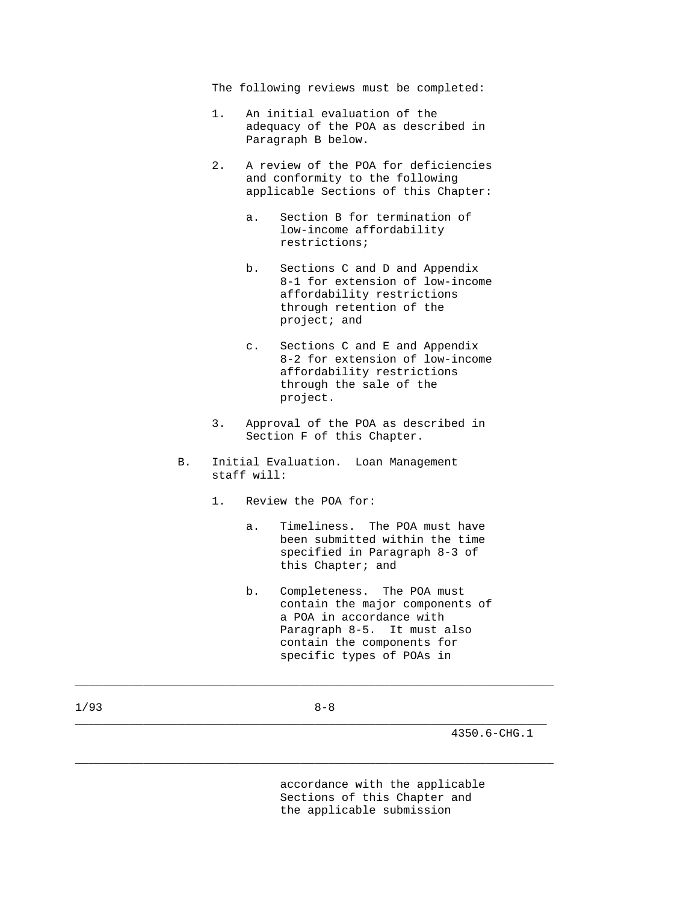The following reviews must be completed:

- 1. An initial evaluation of the adequacy of the POA as described in Paragraph B below.
- 2. A review of the POA for deficiencies and conformity to the following applicable Sections of this Chapter:
	- a. Section B for termination of low-income affordability restrictions;
	- b. Sections C and D and Appendix 8-1 for extension of low-income affordability restrictions through retention of the project; and
	- c. Sections C and E and Appendix 8-2 for extension of low-income affordability restrictions through the sale of the project.
- 3. Approval of the POA as described in Section F of this Chapter.
- B. Initial Evaluation. Loan Management staff will:
	- 1. Review the POA for:
		- a. Timeliness. The POA must have been submitted within the time specified in Paragraph 8-3 of this Chapter; and
		- b. Completeness. The POA must contain the major components of a POA in accordance with Paragraph 8-5. It must also contain the components for specific types of POAs in

 $1/93$  8-8

\_\_\_\_\_\_\_\_\_\_\_\_\_\_\_\_\_\_\_\_\_\_\_\_\_\_\_\_\_\_\_\_\_\_\_\_\_\_\_\_\_\_\_\_\_\_\_\_\_\_\_\_\_\_\_\_\_\_\_\_\_\_\_\_\_\_\_\_\_\_

\_\_\_\_\_\_\_\_\_\_\_\_\_\_\_\_\_\_\_\_\_\_\_\_\_\_\_\_\_\_\_\_\_\_\_\_\_\_\_\_\_\_\_\_\_\_\_\_\_\_\_\_\_\_\_\_\_\_\_\_\_\_\_\_\_\_\_\_\_

\_\_\_\_\_\_\_\_\_\_\_\_\_\_\_\_\_\_\_\_\_\_\_\_\_\_\_\_\_\_\_\_\_\_\_\_\_\_\_\_\_\_\_\_\_\_\_\_\_\_\_\_\_\_\_\_\_\_\_\_\_\_\_\_\_\_\_\_\_\_

4350.6-CHG.1

 accordance with the applicable Sections of this Chapter and the applicable submission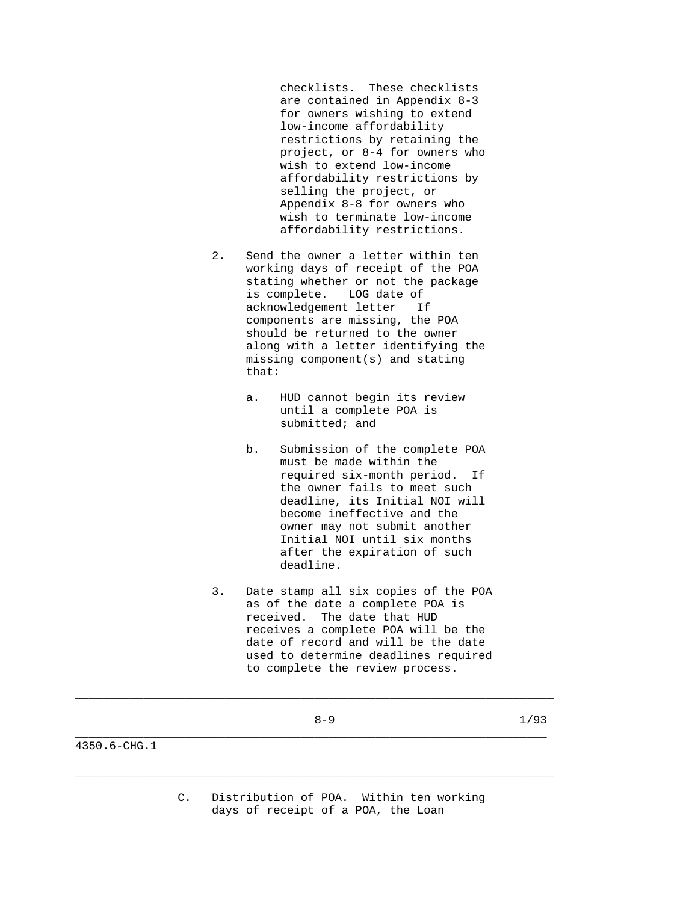checklists. These checklists are contained in Appendix 8-3 for owners wishing to extend low-income affordability restrictions by retaining the project, or 8-4 for owners who wish to extend low-income affordability restrictions by selling the project, or Appendix 8-8 for owners who wish to terminate low-income affordability restrictions.

- 2. Send the owner a letter within ten working days of receipt of the POA stating whether or not the package is complete. LOG date of acknowledgement letter If components are missing, the POA should be returned to the owner along with a letter identifying the missing component(s) and stating that:
	- a. HUD cannot begin its review until a complete POA is submitted; and
	- b. Submission of the complete POA must be made within the required six-month period. If the owner fails to meet such deadline, its Initial NOI will become ineffective and the owner may not submit another Initial NOI until six months after the expiration of such deadline.
- 3. Date stamp all six copies of the POA as of the date a complete POA is received. The date that HUD receives a complete POA will be the date of record and will be the date used to determine deadlines required to complete the review process.

\_\_\_\_\_\_\_\_\_\_\_\_\_\_\_\_\_\_\_\_\_\_\_\_\_\_\_\_\_\_\_\_\_\_\_\_\_\_\_\_\_\_\_\_\_\_\_\_\_\_\_\_\_\_\_\_\_\_\_\_\_\_\_\_\_\_\_\_\_\_

\_\_\_\_\_\_\_\_\_\_\_\_\_\_\_\_\_\_\_\_\_\_\_\_\_\_\_\_\_\_\_\_\_\_\_\_\_\_\_\_\_\_\_\_\_\_\_\_\_\_\_\_\_\_\_\_\_\_\_\_\_\_\_\_\_\_\_\_\_

\_\_\_\_\_\_\_\_\_\_\_\_\_\_\_\_\_\_\_\_\_\_\_\_\_\_\_\_\_\_\_\_\_\_\_\_\_\_\_\_\_\_\_\_\_\_\_\_\_\_\_\_\_\_\_\_\_\_\_\_\_\_\_\_\_\_\_\_\_\_

 $8-9$  1/93

4350.6-CHG.1

 C. Distribution of POA. Within ten working days of receipt of a POA, the Loan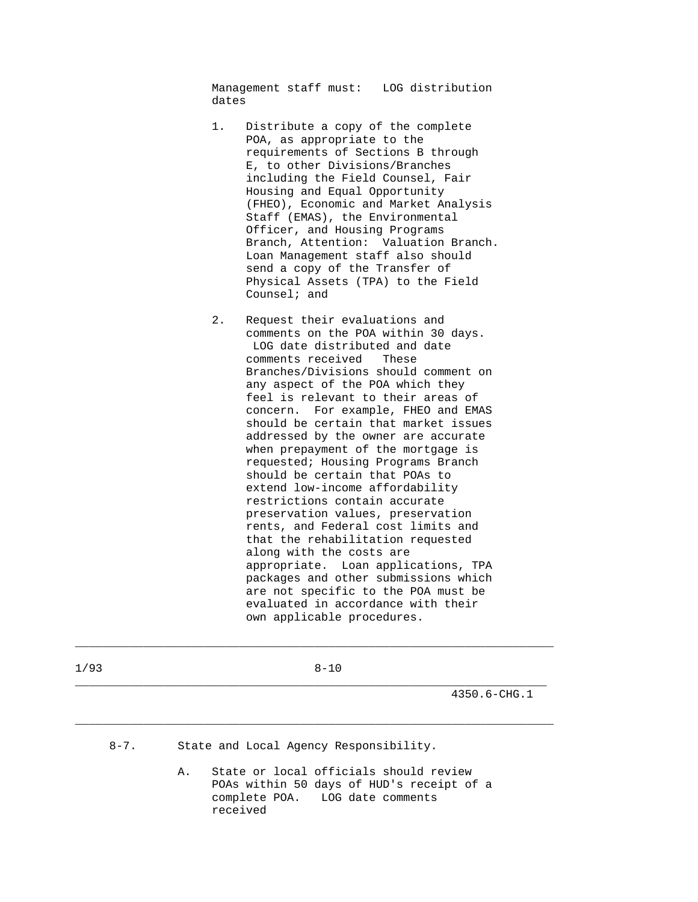Management staff must: LOG distribution dates

- 1. Distribute a copy of the complete POA, as appropriate to the requirements of Sections B through E, to other Divisions/Branches including the Field Counsel, Fair Housing and Equal Opportunity (FHEO), Economic and Market Analysis Staff (EMAS), the Environmental Officer, and Housing Programs Branch, Attention: Valuation Branch. Loan Management staff also should send a copy of the Transfer of Physical Assets (TPA) to the Field Counsel; and
- 2. Request their evaluations and comments on the POA within 30 days. LOG date distributed and date comments received These Branches/Divisions should comment on any aspect of the POA which they feel is relevant to their areas of concern. For example, FHEO and EMAS should be certain that market issues addressed by the owner are accurate when prepayment of the mortgage is requested; Housing Programs Branch should be certain that POAs to extend low-income affordability restrictions contain accurate preservation values, preservation rents, and Federal cost limits and that the rehabilitation requested along with the costs are appropriate. Loan applications, TPA packages and other submissions which are not specific to the POA must be evaluated in accordance with their own applicable procedures.

1/93 8-10

\_\_\_\_\_\_\_\_\_\_\_\_\_\_\_\_\_\_\_\_\_\_\_\_\_\_\_\_\_\_\_\_\_\_\_\_\_\_\_\_\_\_\_\_\_\_\_\_\_\_\_\_\_\_\_\_\_\_\_\_\_\_\_\_\_\_\_\_\_\_

\_\_\_\_\_\_\_\_\_\_\_\_\_\_\_\_\_\_\_\_\_\_\_\_\_\_\_\_\_\_\_\_\_\_\_\_\_\_\_\_\_\_\_\_\_\_\_\_\_\_\_\_\_\_\_\_\_\_\_\_\_\_\_\_\_\_\_\_\_

\_\_\_\_\_\_\_\_\_\_\_\_\_\_\_\_\_\_\_\_\_\_\_\_\_\_\_\_\_\_\_\_\_\_\_\_\_\_\_\_\_\_\_\_\_\_\_\_\_\_\_\_\_\_\_\_\_\_\_\_\_\_\_\_\_\_\_\_\_\_

4350.6-CHG.1

8-7. State and Local Agency Responsibility.

 A. State or local officials should review POAs within 50 days of HUD's receipt of a complete POA. LOG date comments received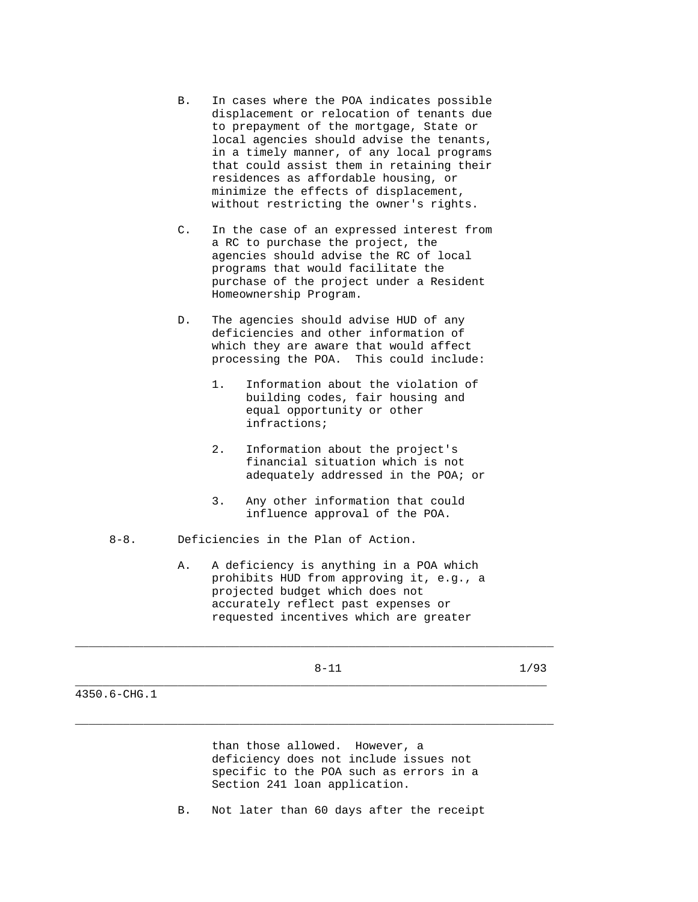- B. In cases where the POA indicates possible displacement or relocation of tenants due to prepayment of the mortgage, State or local agencies should advise the tenants, in a timely manner, of any local programs that could assist them in retaining their residences as affordable housing, or minimize the effects of displacement, without restricting the owner's rights.
- C. In the case of an expressed interest from a RC to purchase the project, the agencies should advise the RC of local programs that would facilitate the purchase of the project under a Resident Homeownership Program.
- D. The agencies should advise HUD of any deficiencies and other information of which they are aware that would affect processing the POA. This could include:
	- 1. Information about the violation of building codes, fair housing and equal opportunity or other infractions;
	- 2. Information about the project's financial situation which is not adequately addressed in the POA; or
	- 3. Any other information that could influence approval of the POA.
- 8-8. Deficiencies in the Plan of Action.
	- A. A deficiency is anything in a POA which prohibits HUD from approving it, e.g., a projected budget which does not accurately reflect past expenses or requested incentives which are greater
		-

\_\_\_\_\_\_\_\_\_\_\_\_\_\_\_\_\_\_\_\_\_\_\_\_\_\_\_\_\_\_\_\_\_\_\_\_\_\_\_\_\_\_\_\_\_\_\_\_\_\_\_\_\_\_\_\_\_\_\_\_\_\_\_\_\_\_\_\_\_\_

\_\_\_\_\_\_\_\_\_\_\_\_\_\_\_\_\_\_\_\_\_\_\_\_\_\_\_\_\_\_\_\_\_\_\_\_\_\_\_\_\_\_\_\_\_\_\_\_\_\_\_\_\_\_\_\_\_\_\_\_\_\_\_\_\_\_\_\_\_

\_\_\_\_\_\_\_\_\_\_\_\_\_\_\_\_\_\_\_\_\_\_\_\_\_\_\_\_\_\_\_\_\_\_\_\_\_\_\_\_\_\_\_\_\_\_\_\_\_\_\_\_\_\_\_\_\_\_\_\_\_\_\_\_\_\_\_\_\_\_

 $8-11$  1/93

4350.6-CHG.1

 than those allowed. However, a deficiency does not include issues not specific to the POA such as errors in a Section 241 loan application.

B. Not later than 60 days after the receipt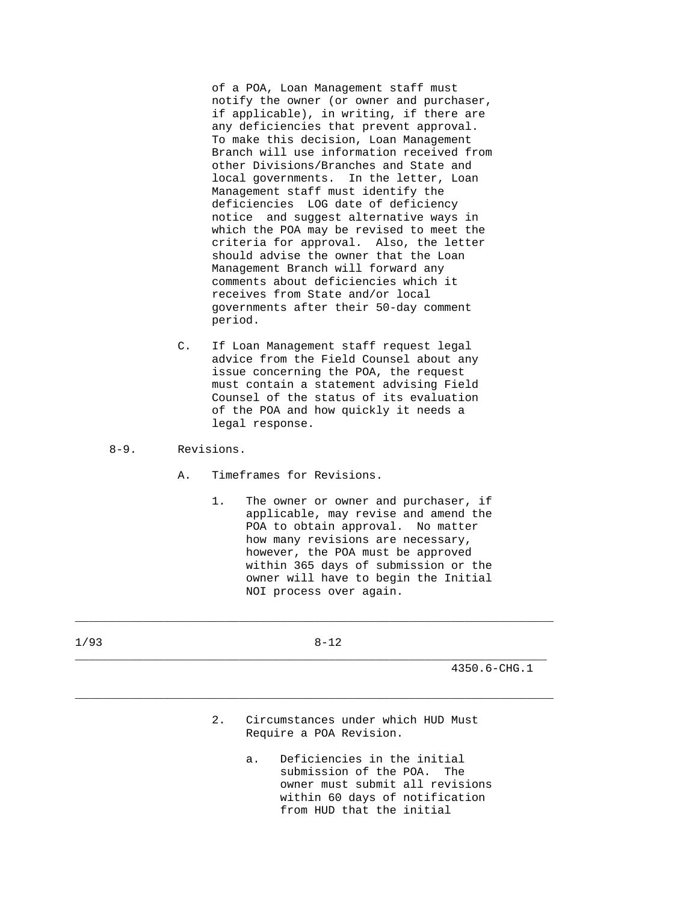of a POA, Loan Management staff must notify the owner (or owner and purchaser, if applicable), in writing, if there are any deficiencies that prevent approval. To make this decision, Loan Management Branch will use information received from other Divisions/Branches and State and local governments. In the letter, Loan Management staff must identify the deficiencies LOG date of deficiency notice and suggest alternative ways in which the POA may be revised to meet the criteria for approval. Also, the letter should advise the owner that the Loan Management Branch will forward any comments about deficiencies which it receives from State and/or local governments after their 50-day comment period.

 C. If Loan Management staff request legal advice from the Field Counsel about any issue concerning the POA, the request must contain a statement advising Field Counsel of the status of its evaluation of the POA and how quickly it needs a legal response.

### 8-9. Revisions.

- A. Timeframes for Revisions.
	- 1. The owner or owner and purchaser, if applicable, may revise and amend the POA to obtain approval. No matter how many revisions are necessary, however, the POA must be approved within 365 days of submission or the owner will have to begin the Initial NOI process over again.

| 1/93 | $8 - 12$ |              |
|------|----------|--------------|
|      |          | 4350.6-CHG.1 |

- 2. Circumstances under which HUD Must Require a POA Revision.
	- a. Deficiencies in the initial submission of the POA. The owner must submit all revisions within 60 days of notification from HUD that the initial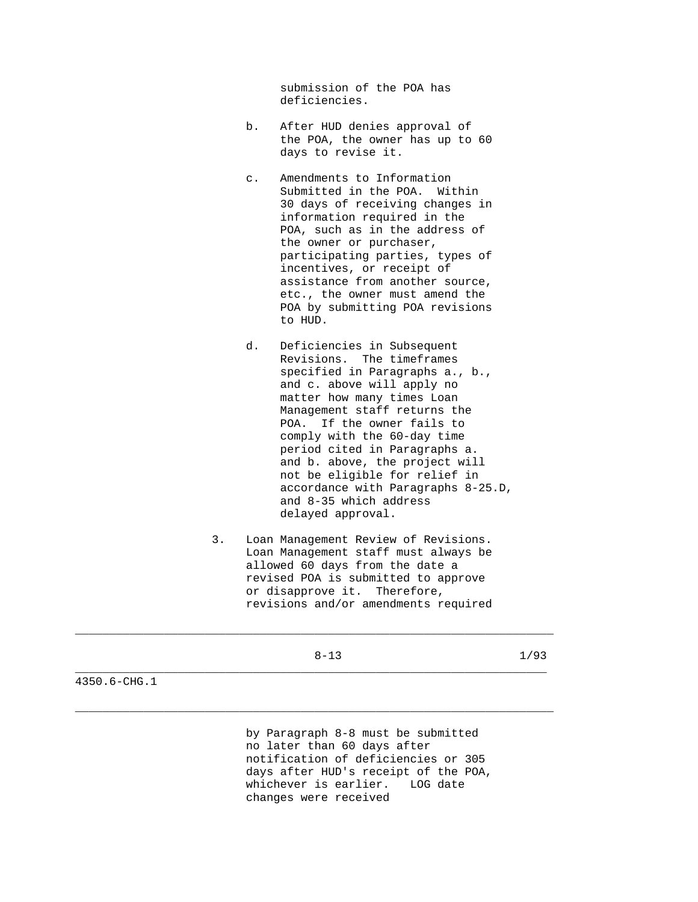submission of the POA has deficiencies.

- b. After HUD denies approval of the POA, the owner has up to 60 days to revise it.
- c. Amendments to Information Submitted in the POA. Within 30 days of receiving changes in information required in the POA, such as in the address of the owner or purchaser, participating parties, types of incentives, or receipt of assistance from another source, etc., the owner must amend the POA by submitting POA revisions to HUD.
- d. Deficiencies in Subsequent Revisions. The timeframes specified in Paragraphs a., b., and c. above will apply no matter how many times Loan Management staff returns the POA. If the owner fails to comply with the 60-day time period cited in Paragraphs a. and b. above, the project will not be eligible for relief in accordance with Paragraphs 8-25.D, and 8-35 which address delayed approval.
- 3. Loan Management Review of Revisions. Loan Management staff must always be allowed 60 days from the date a revised POA is submitted to approve or disapprove it. Therefore, revisions and/or amendments required

### 8-13 1/93

\_\_\_\_\_\_\_\_\_\_\_\_\_\_\_\_\_\_\_\_\_\_\_\_\_\_\_\_\_\_\_\_\_\_\_\_\_\_\_\_\_\_\_\_\_\_\_\_\_\_\_\_\_\_\_\_\_\_\_\_\_\_\_\_\_\_\_\_\_\_

\_\_\_\_\_\_\_\_\_\_\_\_\_\_\_\_\_\_\_\_\_\_\_\_\_\_\_\_\_\_\_\_\_\_\_\_\_\_\_\_\_\_\_\_\_\_\_\_\_\_\_\_\_\_\_\_\_\_\_\_\_\_\_\_\_\_\_\_\_

\_\_\_\_\_\_\_\_\_\_\_\_\_\_\_\_\_\_\_\_\_\_\_\_\_\_\_\_\_\_\_\_\_\_\_\_\_\_\_\_\_\_\_\_\_\_\_\_\_\_\_\_\_\_\_\_\_\_\_\_\_\_\_\_\_\_\_\_\_\_

### 4350.6-CHG.1

 by Paragraph 8-8 must be submitted no later than 60 days after notification of deficiencies or 305 days after HUD's receipt of the POA, whichever is earlier. LOG date changes were received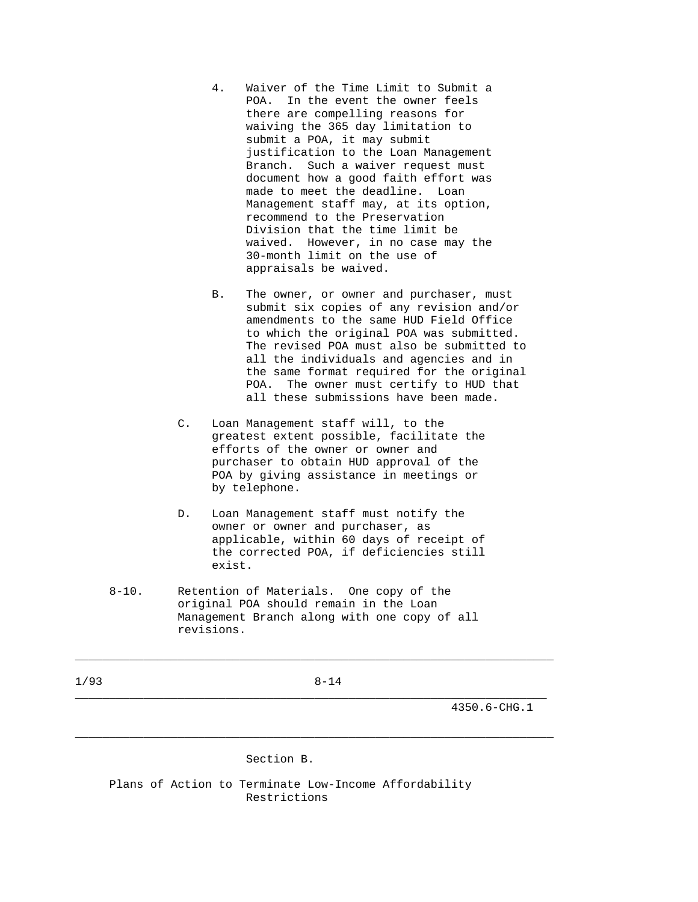- 4. Waiver of the Time Limit to Submit a POA. In the event the owner feels there are compelling reasons for waiving the 365 day limitation to submit a POA, it may submit justification to the Loan Management Branch. Such a waiver request must document how a good faith effort was made to meet the deadline. Loan Management staff may, at its option, recommend to the Preservation Division that the time limit be waived. However, in no case may the 30-month limit on the use of appraisals be waived.
- B. The owner, or owner and purchaser, must submit six copies of any revision and/or amendments to the same HUD Field Office to which the original POA was submitted. The revised POA must also be submitted to all the individuals and agencies and in the same format required for the original POA. The owner must certify to HUD that all these submissions have been made.
- C. Loan Management staff will, to the greatest extent possible, facilitate the efforts of the owner or owner and purchaser to obtain HUD approval of the POA by giving assistance in meetings or by telephone.
- D. Loan Management staff must notify the owner or owner and purchaser, as applicable, within 60 days of receipt of the corrected POA, if deficiencies still exist.
- 8-10. Retention of Materials. One copy of the original POA should remain in the Loan Management Branch along with one copy of all revisions.

1/93 8-14

\_\_\_\_\_\_\_\_\_\_\_\_\_\_\_\_\_\_\_\_\_\_\_\_\_\_\_\_\_\_\_\_\_\_\_\_\_\_\_\_\_\_\_\_\_\_\_\_\_\_\_\_\_\_\_\_\_\_\_\_\_\_\_\_\_\_\_\_\_\_

\_\_\_\_\_\_\_\_\_\_\_\_\_\_\_\_\_\_\_\_\_\_\_\_\_\_\_\_\_\_\_\_\_\_\_\_\_\_\_\_\_\_\_\_\_\_\_\_\_\_\_\_\_\_\_\_\_\_\_\_\_\_\_\_\_\_\_\_\_

\_\_\_\_\_\_\_\_\_\_\_\_\_\_\_\_\_\_\_\_\_\_\_\_\_\_\_\_\_\_\_\_\_\_\_\_\_\_\_\_\_\_\_\_\_\_\_\_\_\_\_\_\_\_\_\_\_\_\_\_\_\_\_\_\_\_\_\_\_\_

4350.6-CHG.1

### Section B.

 Plans of Action to Terminate Low-Income Affordability Restrictions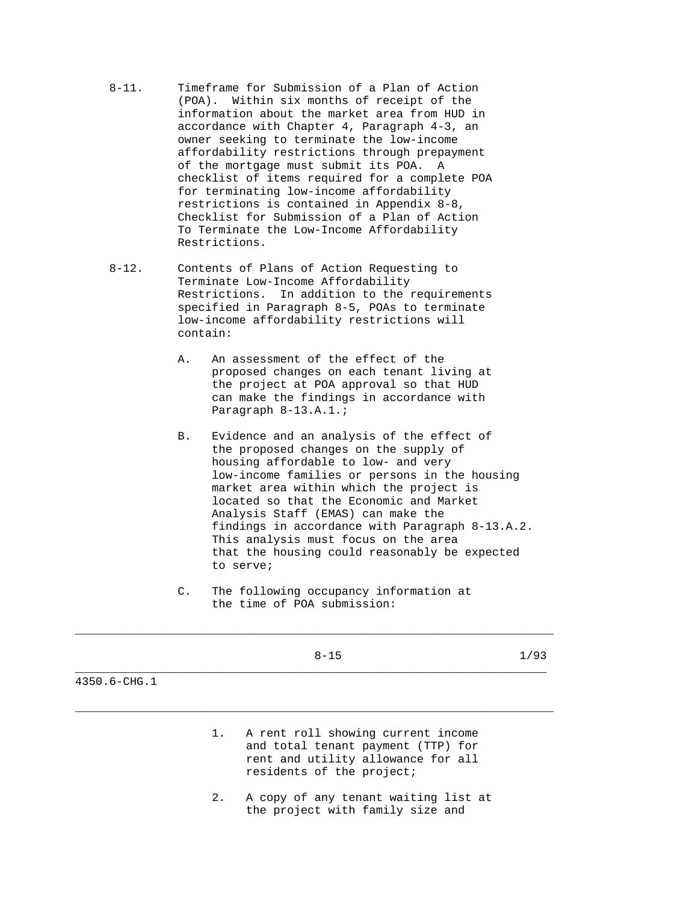- 8-11. Timeframe for Submission of a Plan of Action (POA). Within six months of receipt of the information about the market area from HUD in accordance with Chapter 4, Paragraph 4-3, an owner seeking to terminate the low-income affordability restrictions through prepayment of the mortgage must submit its POA. A checklist of items required for a complete POA for terminating low-income affordability restrictions is contained in Appendix 8-8, Checklist for Submission of a Plan of Action To Terminate the Low-Income Affordability Restrictions.
- 8-12. Contents of Plans of Action Requesting to Terminate Low-Income Affordability Restrictions. In addition to the requirements specified in Paragraph 8-5, POAs to terminate low-income affordability restrictions will contain:
	- A. An assessment of the effect of the proposed changes on each tenant living at the project at POA approval so that HUD can make the findings in accordance with Paragraph 8-13.A.1.;
	- B. Evidence and an analysis of the effect of the proposed changes on the supply of housing affordable to low- and very low-income families or persons in the housing market area within which the project is located so that the Economic and Market Analysis Staff (EMAS) can make the findings in accordance with Paragraph 8-13.A.2. This analysis must focus on the area that the housing could reasonably be expected to serve;
	- C. The following occupancy information at the time of POA submission:

|              | $8 - 15$ | 1/93 |
|--------------|----------|------|
| 4350.6-CHG.1 |          |      |

- 1. A rent roll showing current income and total tenant payment (TTP) for rent and utility allowance for all residents of the project;
- 2. A copy of any tenant waiting list at the project with family size and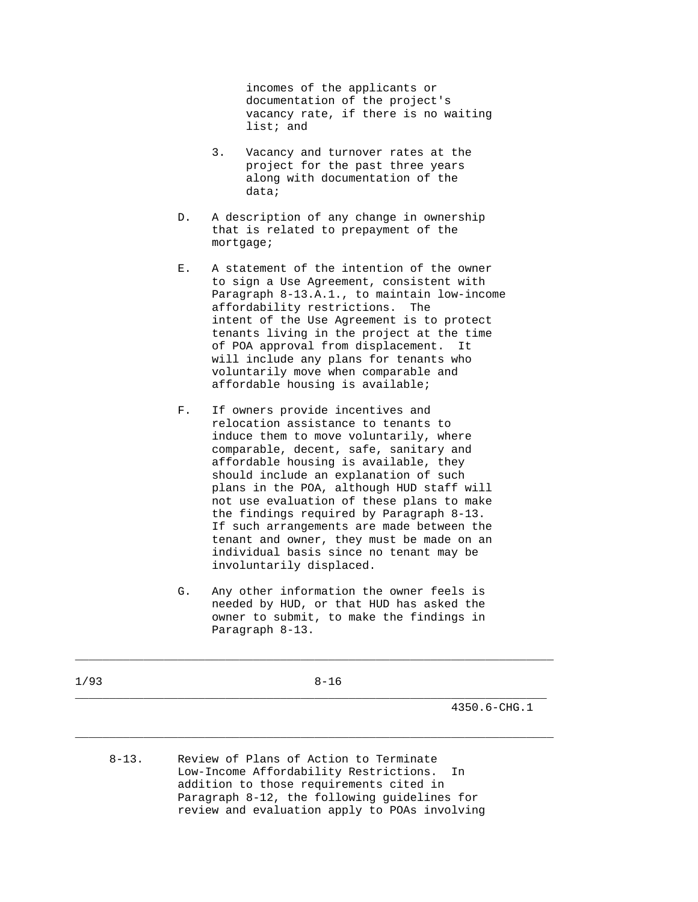incomes of the applicants or documentation of the project's vacancy rate, if there is no waiting list; and

- 3. Vacancy and turnover rates at the project for the past three years along with documentation of the data;
- D. A description of any change in ownership that is related to prepayment of the mortgage;
- E. A statement of the intention of the owner to sign a Use Agreement, consistent with Paragraph 8-13.A.1., to maintain low-income affordability restrictions. The intent of the Use Agreement is to protect tenants living in the project at the time of POA approval from displacement. It will include any plans for tenants who voluntarily move when comparable and affordable housing is available;
- F. If owners provide incentives and relocation assistance to tenants to induce them to move voluntarily, where comparable, decent, safe, sanitary and affordable housing is available, they should include an explanation of such plans in the POA, although HUD staff will not use evaluation of these plans to make the findings required by Paragraph 8-13. If such arrangements are made between the tenant and owner, they must be made on an individual basis since no tenant may be involuntarily displaced.
- G. Any other information the owner feels is needed by HUD, or that HUD has asked the owner to submit, to make the findings in Paragraph 8-13.

\_\_\_\_\_\_\_\_\_\_\_\_\_\_\_\_\_\_\_\_\_\_\_\_\_\_\_\_\_\_\_\_\_\_\_\_\_\_\_\_\_\_\_\_\_\_\_\_\_\_\_\_\_\_\_\_\_\_\_\_\_\_\_\_\_\_\_\_\_\_

\_\_\_\_\_\_\_\_\_\_\_\_\_\_\_\_\_\_\_\_\_\_\_\_\_\_\_\_\_\_\_\_\_\_\_\_\_\_\_\_\_\_\_\_\_\_\_\_\_\_\_\_\_\_\_\_\_\_\_\_\_\_\_\_\_\_\_\_\_

\_\_\_\_\_\_\_\_\_\_\_\_\_\_\_\_\_\_\_\_\_\_\_\_\_\_\_\_\_\_\_\_\_\_\_\_\_\_\_\_\_\_\_\_\_\_\_\_\_\_\_\_\_\_\_\_\_\_\_\_\_\_\_\_\_\_\_\_\_\_

4350.6-CHG.1

 8-13. Review of Plans of Action to Terminate Low-Income Affordability Restrictions. In addition to those requirements cited in Paragraph 8-12, the following guidelines for review and evaluation apply to POAs involving

1/93 8-16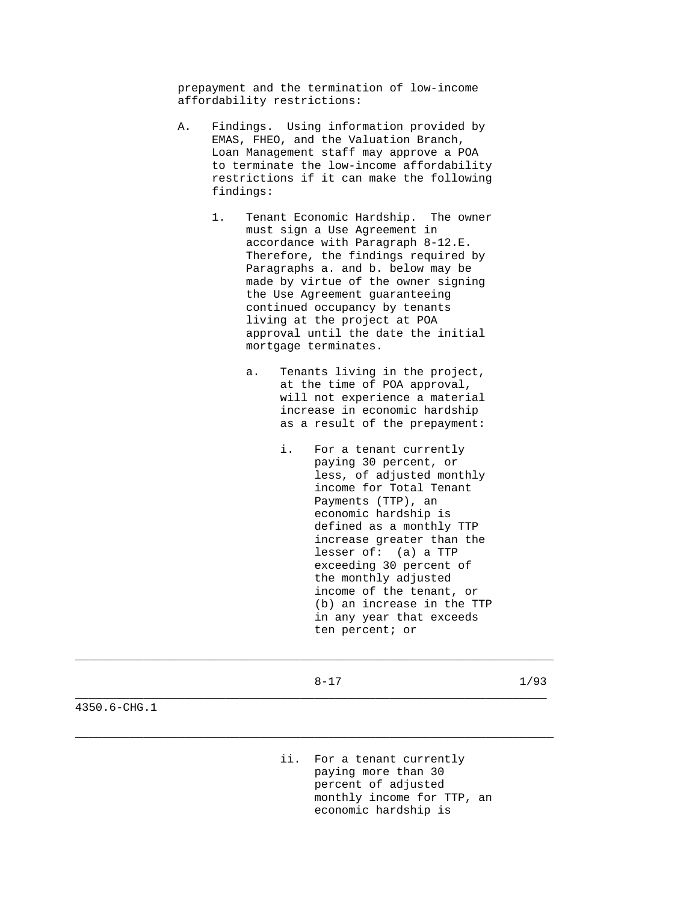prepayment and the termination of low-income affordability restrictions:

- A. Findings. Using information provided by EMAS, FHEO, and the Valuation Branch, Loan Management staff may approve a POA to terminate the low-income affordability restrictions if it can make the following findings:
	- 1. Tenant Economic Hardship. The owner must sign a Use Agreement in accordance with Paragraph 8-12.E. Therefore, the findings required by Paragraphs a. and b. below may be made by virtue of the owner signing the Use Agreement guaranteeing continued occupancy by tenants living at the project at POA approval until the date the initial mortgage terminates.
		- a. Tenants living in the project, at the time of POA approval, will not experience a material increase in economic hardship as a result of the prepayment:
			- i. For a tenant currently paying 30 percent, or less, of adjusted monthly income for Total Tenant Payments (TTP), an economic hardship is defined as a monthly TTP increase greater than the lesser of: (a) a TTP exceeding 30 percent of the monthly adjusted income of the tenant, or (b) an increase in the TTP in any year that exceeds ten percent; or

| ۰.<br>w |  |  |
|---------|--|--|

\_\_\_\_\_\_\_\_\_\_\_\_\_\_\_\_\_\_\_\_\_\_\_\_\_\_\_\_\_\_\_\_\_\_\_\_\_\_\_\_\_\_\_\_\_\_\_\_\_\_\_\_\_\_\_\_\_\_\_\_\_\_\_\_\_\_\_\_\_\_

\_\_\_\_\_\_\_\_\_\_\_\_\_\_\_\_\_\_\_\_\_\_\_\_\_\_\_\_\_\_\_\_\_\_\_\_\_\_\_\_\_\_\_\_\_\_\_\_\_\_\_\_\_\_\_\_\_\_\_\_\_\_\_\_\_\_\_\_\_

\_\_\_\_\_\_\_\_\_\_\_\_\_\_\_\_\_\_\_\_\_\_\_\_\_\_\_\_\_\_\_\_\_\_\_\_\_\_\_\_\_\_\_\_\_\_\_\_\_\_\_\_\_\_\_\_\_\_\_\_\_\_\_\_\_\_\_\_\_\_

8-17 1/93

4350.6-CHG.1

 ii. For a tenant currently paying more than 30 percent of adjusted monthly income for TTP, an economic hardship is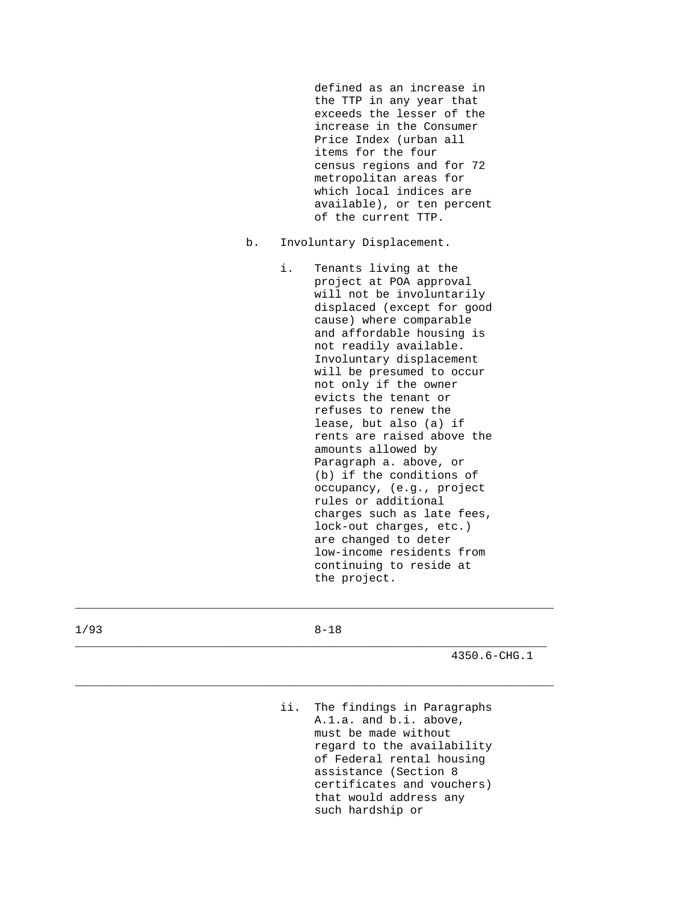defined as an increase in the TTP in any year that exceeds the lesser of the increase in the Consumer Price Index (urban all items for the four census regions and for 72 metropolitan areas for which local indices are available), or ten percent of the current TTP.

- b. Involuntary Displacement.
	- i. Tenants living at the project at POA approval will not be involuntarily displaced (except for good cause) where comparable and affordable housing is not readily available. Involuntary displacement will be presumed to occur not only if the owner evicts the tenant or refuses to renew the lease, but also (a) if rents are raised above the amounts allowed by Paragraph a. above, or (b) if the conditions of occupancy, (e.g., project rules or additional charges such as late fees, lock-out charges, etc.) are changed to deter low-income residents from continuing to reside at the project.

| 1/93 | $8 - 18$ |
|------|----------|
|      |          |

\_\_\_\_\_\_\_\_\_\_\_\_\_\_\_\_\_\_\_\_\_\_\_\_\_\_\_\_\_\_\_\_\_\_\_\_\_\_\_\_\_\_\_\_\_\_\_\_\_\_\_\_\_\_\_\_\_\_\_\_\_\_\_\_\_\_\_\_\_\_

\_\_\_\_\_\_\_\_\_\_\_\_\_\_\_\_\_\_\_\_\_\_\_\_\_\_\_\_\_\_\_\_\_\_\_\_\_\_\_\_\_\_\_\_\_\_\_\_\_\_\_\_\_\_\_\_\_\_\_\_\_\_\_\_\_\_\_\_\_

\_\_\_\_\_\_\_\_\_\_\_\_\_\_\_\_\_\_\_\_\_\_\_\_\_\_\_\_\_\_\_\_\_\_\_\_\_\_\_\_\_\_\_\_\_\_\_\_\_\_\_\_\_\_\_\_\_\_\_\_\_\_\_\_\_\_\_\_\_\_

4350.6-CHG.1

 ii. The findings in Paragraphs A.1.a. and b.i. above, must be made without regard to the availability of Federal rental housing assistance (Section 8 certificates and vouchers) that would address any such hardship or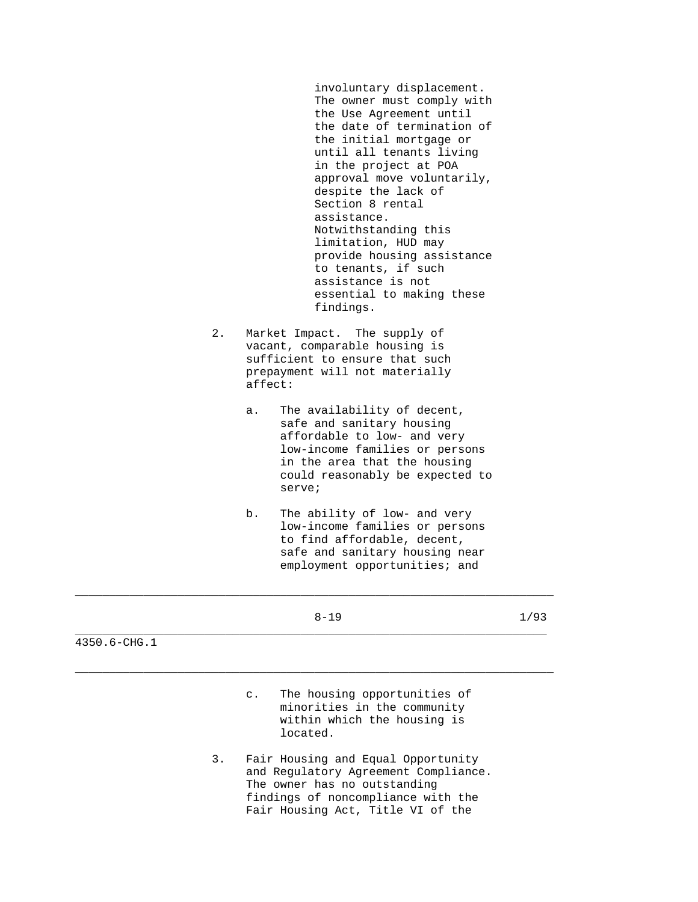involuntary displacement. The owner must comply with the Use Agreement until the date of termination of the initial mortgage or until all tenants living in the project at POA approval move voluntarily, despite the lack of Section 8 rental assistance. Notwithstanding this limitation, HUD may provide housing assistance to tenants, if such assistance is not essential to making these findings.

- 2. Market Impact. The supply of vacant, comparable housing is sufficient to ensure that such prepayment will not materially affect:
	- a. The availability of decent, safe and sanitary housing affordable to low- and very low-income families or persons in the area that the housing could reasonably be expected to serve;
	- b. The ability of low- and very low-income families or persons to find affordable, decent, safe and sanitary housing near employment opportunities; and

|                  |    | $8 - 19$                                                                                                                                         | 1/93 |
|------------------|----|--------------------------------------------------------------------------------------------------------------------------------------------------|------|
| $4350.6 - CHG.1$ |    |                                                                                                                                                  |      |
|                  |    | The housing opportunities of<br>$\mathsf{C}$ .                                                                                                   |      |
|                  |    | minorities in the community<br>within which the housing is<br>located.                                                                           |      |
|                  | 3. | Fair Housing and Equal Opportunity<br>and Regulatory Agreement Compliance.<br>The owner has no outstanding<br>findings of noncompliance with the |      |

Fair Housing Act, Title VI of the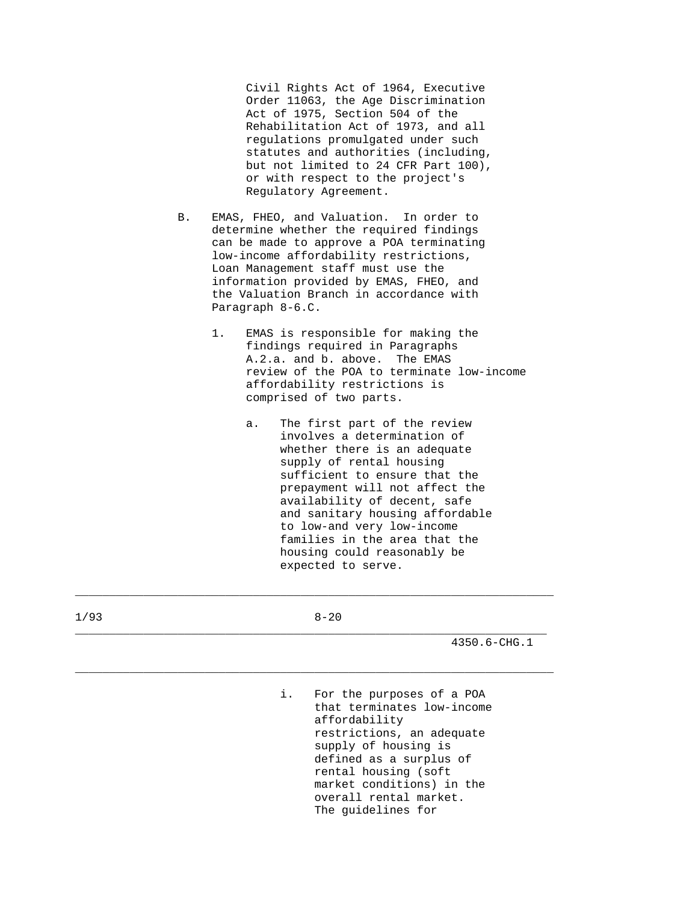Civil Rights Act of 1964, Executive Order 11063, the Age Discrimination Act of 1975, Section 504 of the Rehabilitation Act of 1973, and all regulations promulgated under such statutes and authorities (including, but not limited to 24 CFR Part 100), or with respect to the project's Regulatory Agreement.

- B. EMAS, FHEO, and Valuation. In order to determine whether the required findings can be made to approve a POA terminating low-income affordability restrictions, Loan Management staff must use the information provided by EMAS, FHEO, and the Valuation Branch in accordance with Paragraph 8-6.C.
	- 1. EMAS is responsible for making the findings required in Paragraphs A.2.a. and b. above. The EMAS review of the POA to terminate low-income affordability restrictions is comprised of two parts.
		- a. The first part of the review involves a determination of whether there is an adequate supply of rental housing sufficient to ensure that the prepayment will not affect the availability of decent, safe and sanitary housing affordable to low-and very low-income families in the area that the housing could reasonably be expected to serve.

| 1/93 |       | $8 - 20$                                                                                                                                                                                                                                                      |
|------|-------|---------------------------------------------------------------------------------------------------------------------------------------------------------------------------------------------------------------------------------------------------------------|
|      |       | $4350.6 - CHG.1$                                                                                                                                                                                                                                              |
|      | $i$ . | For the purposes of a POA<br>that terminates low-income<br>affordability<br>restrictions, an adequate<br>supply of housing is<br>defined as a surplus of<br>rental housing (soft<br>market conditions) in the<br>overall rental market.<br>The quidelines for |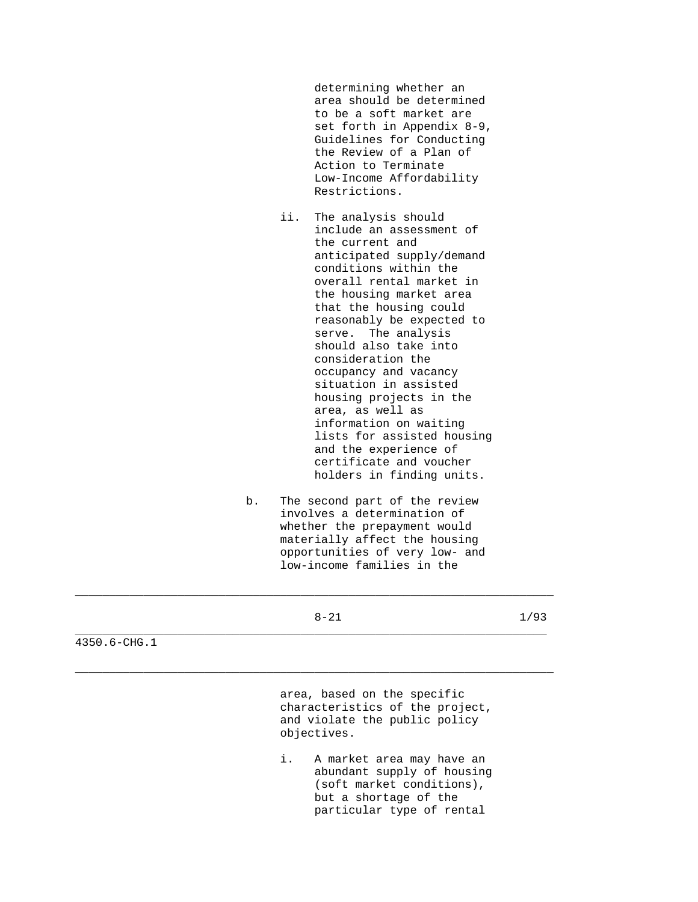determining whether an area should be determined to be a soft market are set forth in Appendix 8-9, Guidelines for Conducting the Review of a Plan of Action to Terminate Low-Income Affordability Restrictions.

- ii. The analysis should include an assessment of the current and anticipated supply/demand conditions within the overall rental market in the housing market area that the housing could reasonably be expected to serve. The analysis should also take into consideration the occupancy and vacancy situation in assisted housing projects in the area, as well as information on waiting lists for assisted housing and the experience of certificate and voucher holders in finding units.
- b. The second part of the review involves a determination of whether the prepayment would materially affect the housing opportunities of very low- and low-income families in the

 but a shortage of the particular type of rental

|              | $8 - 21$                                                                                                       | 1/93 |
|--------------|----------------------------------------------------------------------------------------------------------------|------|
| 4350.6-CHG.1 |                                                                                                                |      |
|              |                                                                                                                |      |
|              | area, based on the specific<br>characteristics of the project,<br>and violate the public policy<br>objectives. |      |
|              | i.<br>A market area may have an<br>abundant supply of housing<br>soft market conditions),                      |      |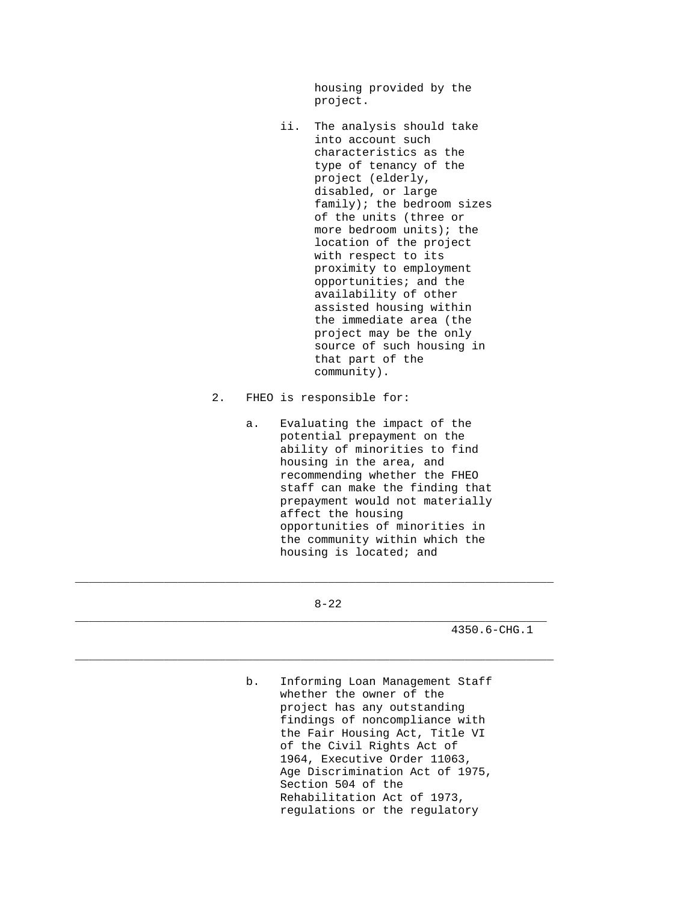housing provided by the project.

 ii. The analysis should take into account such characteristics as the type of tenancy of the project (elderly, disabled, or large family); the bedroom sizes of the units (three or more bedroom units); the location of the project with respect to its proximity to employment opportunities; and the availability of other assisted housing within the immediate area (the project may be the only source of such housing in that part of the community).

## 2. FHEO is responsible for:

 a. Evaluating the impact of the potential prepayment on the ability of minorities to find housing in the area, and recommending whether the FHEO staff can make the finding that prepayment would not materially affect the housing opportunities of minorities in the community within which the housing is located; and

8-22

\_\_\_\_\_\_\_\_\_\_\_\_\_\_\_\_\_\_\_\_\_\_\_\_\_\_\_\_\_\_\_\_\_\_\_\_\_\_\_\_\_\_\_\_\_\_\_\_\_\_\_\_\_\_\_\_\_\_\_\_\_\_\_\_\_\_\_\_\_\_

\_\_\_\_\_\_\_\_\_\_\_\_\_\_\_\_\_\_\_\_\_\_\_\_\_\_\_\_\_\_\_\_\_\_\_\_\_\_\_\_\_\_\_\_\_\_\_\_\_\_\_\_\_\_\_\_\_\_\_\_\_\_\_\_\_\_\_\_\_

\_\_\_\_\_\_\_\_\_\_\_\_\_\_\_\_\_\_\_\_\_\_\_\_\_\_\_\_\_\_\_\_\_\_\_\_\_\_\_\_\_\_\_\_\_\_\_\_\_\_\_\_\_\_\_\_\_\_\_\_\_\_\_\_\_\_\_\_\_\_

4350.6-CHG.1

 b. Informing Loan Management Staff whether the owner of the project has any outstanding findings of noncompliance with the Fair Housing Act, Title VI of the Civil Rights Act of 1964, Executive Order 11063, Age Discrimination Act of 1975, Section 504 of the Rehabilitation Act of 1973, regulations or the regulatory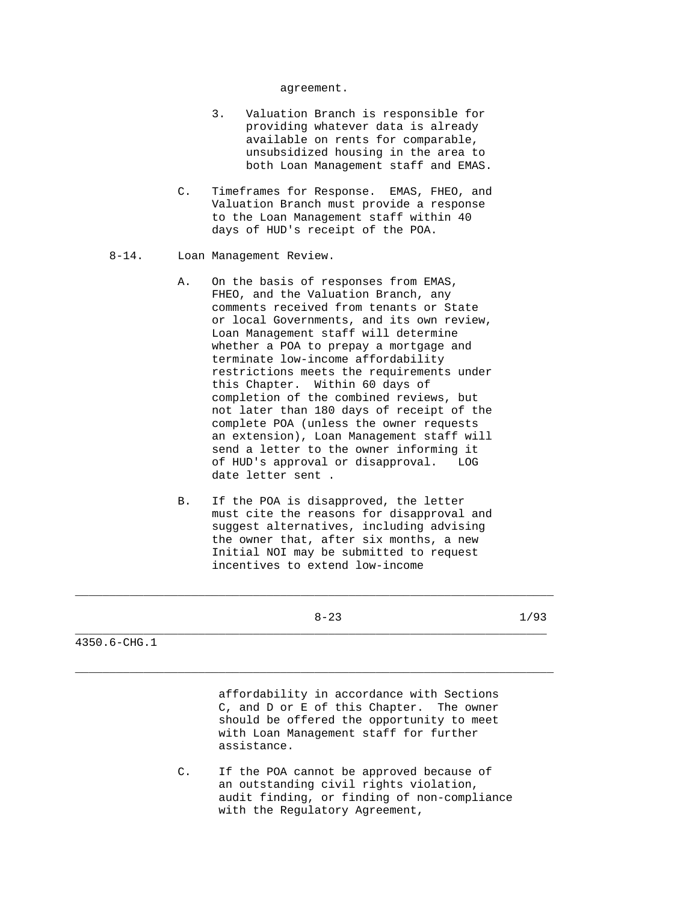### agreement.

- 3. Valuation Branch is responsible for providing whatever data is already available on rents for comparable, unsubsidized housing in the area to both Loan Management staff and EMAS.
- C. Timeframes for Response. EMAS, FHEO, and Valuation Branch must provide a response to the Loan Management staff within 40 days of HUD's receipt of the POA.
- 8-14. Loan Management Review.
	- A. On the basis of responses from EMAS, FHEO, and the Valuation Branch, any comments received from tenants or State or local Governments, and its own review, Loan Management staff will determine whether a POA to prepay a mortgage and terminate low-income affordability restrictions meets the requirements under this Chapter. Within 60 days of completion of the combined reviews, but not later than 180 days of receipt of the complete POA (unless the owner requests an extension), Loan Management staff will send a letter to the owner informing it of HUD's approval or disapproval. LOG date letter sent .
	- B. If the POA is disapproved, the letter must cite the reasons for disapproval and suggest alternatives, including advising the owner that, after six months, a new Initial NOI may be submitted to request incentives to extend low-income

| ×<br>۹ |
|--------|
|        |

\_\_\_\_\_\_\_\_\_\_\_\_\_\_\_\_\_\_\_\_\_\_\_\_\_\_\_\_\_\_\_\_\_\_\_\_\_\_\_\_\_\_\_\_\_\_\_\_\_\_\_\_\_\_\_\_\_\_\_\_\_\_\_\_\_\_\_\_\_\_

\_\_\_\_\_\_\_\_\_\_\_\_\_\_\_\_\_\_\_\_\_\_\_\_\_\_\_\_\_\_\_\_\_\_\_\_\_\_\_\_\_\_\_\_\_\_\_\_\_\_\_\_\_\_\_\_\_\_\_\_\_\_\_\_\_\_\_\_\_

\_\_\_\_\_\_\_\_\_\_\_\_\_\_\_\_\_\_\_\_\_\_\_\_\_\_\_\_\_\_\_\_\_\_\_\_\_\_\_\_\_\_\_\_\_\_\_\_\_\_\_\_\_\_\_\_\_\_\_\_\_\_\_\_\_\_\_\_\_\_

 $8-23$  1/93

4350.6-CHG.1

 affordability in accordance with Sections C, and D or E of this Chapter. The owner should be offered the opportunity to meet with Loan Management staff for further assistance.

 C. If the POA cannot be approved because of an outstanding civil rights violation, audit finding, or finding of non-compliance with the Regulatory Agreement,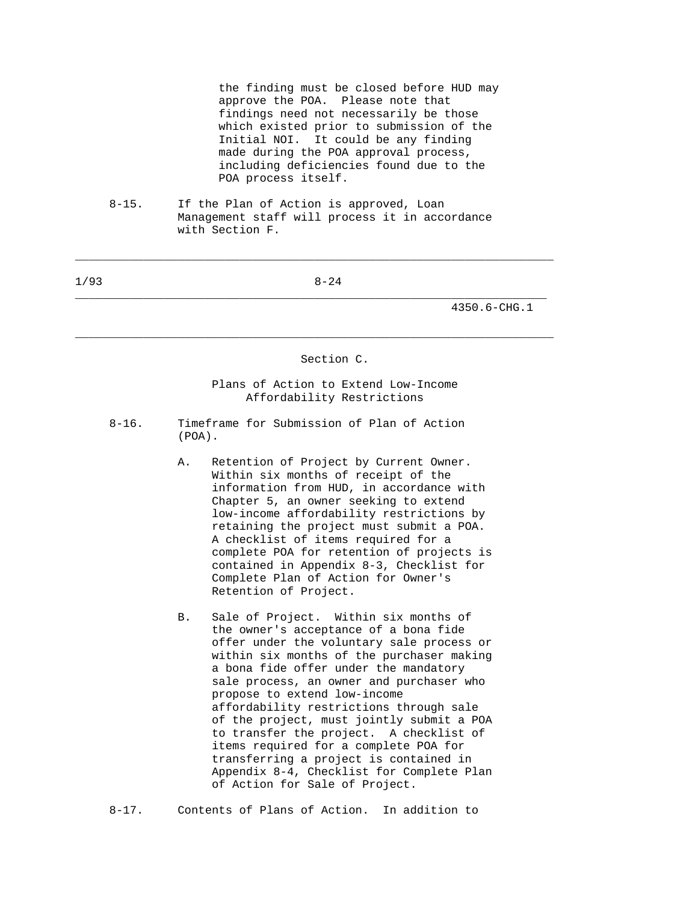the finding must be closed before HUD may approve the POA. Please note that findings need not necessarily be those which existed prior to submission of the Initial NOI. It could be any finding made during the POA approval process, including deficiencies found due to the POA process itself.

 8-15. If the Plan of Action is approved, Loan Management staff will process it in accordance with Section F.

| 1/93 | $8 - 24$ |
|------|----------|
|      |          |

\_\_\_\_\_\_\_\_\_\_\_\_\_\_\_\_\_\_\_\_\_\_\_\_\_\_\_\_\_\_\_\_\_\_\_\_\_\_\_\_\_\_\_\_\_\_\_\_\_\_\_\_\_\_\_\_\_\_\_\_\_\_\_\_\_\_\_\_\_\_

\_\_\_\_\_\_\_\_\_\_\_\_\_\_\_\_\_\_\_\_\_\_\_\_\_\_\_\_\_\_\_\_\_\_\_\_\_\_\_\_\_\_\_\_\_\_\_\_\_\_\_\_\_\_\_\_\_\_\_\_\_\_\_\_\_\_\_\_\_

\_\_\_\_\_\_\_\_\_\_\_\_\_\_\_\_\_\_\_\_\_\_\_\_\_\_\_\_\_\_\_\_\_\_\_\_\_\_\_\_\_\_\_\_\_\_\_\_\_\_\_\_\_\_\_\_\_\_\_\_\_\_\_\_\_\_\_\_\_\_

4350.6-CHG.1

Section C.

 Plans of Action to Extend Low-Income Affordability Restrictions

- 8-16. Timeframe for Submission of Plan of Action (POA).
	- A. Retention of Project by Current Owner. Within six months of receipt of the information from HUD, in accordance with Chapter 5, an owner seeking to extend low-income affordability restrictions by retaining the project must submit a POA. A checklist of items required for a complete POA for retention of projects is contained in Appendix 8-3, Checklist for Complete Plan of Action for Owner's Retention of Project.
	- B. Sale of Project. Within six months of the owner's acceptance of a bona fide offer under the voluntary sale process or within six months of the purchaser making a bona fide offer under the mandatory sale process, an owner and purchaser who propose to extend low-income affordability restrictions through sale of the project, must jointly submit a POA to transfer the project. A checklist of items required for a complete POA for transferring a project is contained in Appendix 8-4, Checklist for Complete Plan of Action for Sale of Project.

8-17. Contents of Plans of Action. In addition to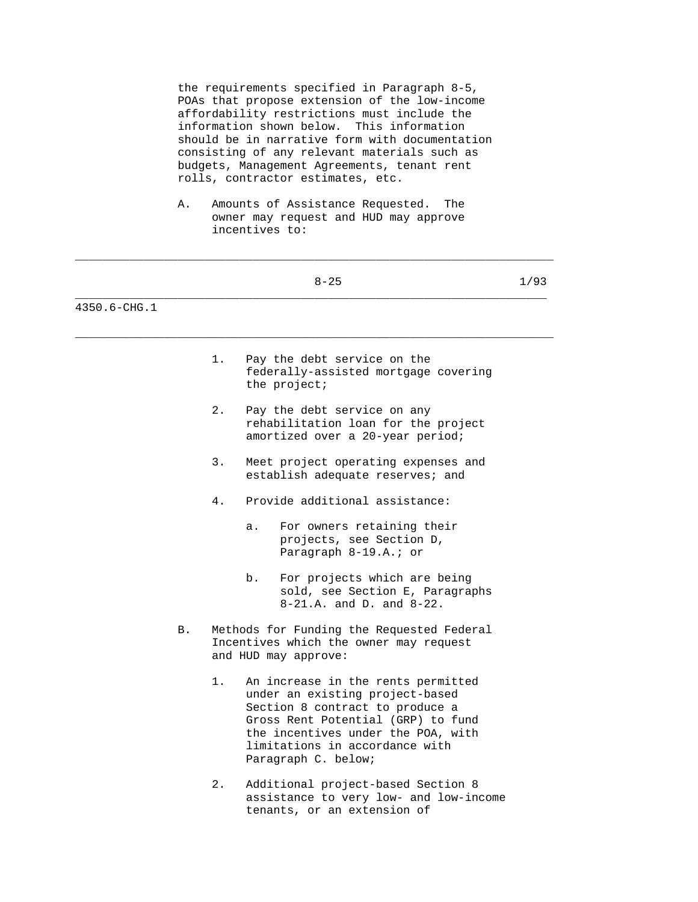the requirements specified in Paragraph 8-5, POAs that propose extension of the low-income affordability restrictions must include the information shown below. This information should be in narrative form with documentation consisting of any relevant materials such as budgets, Management Agreements, tenant rent rolls, contractor estimates, etc.

 A. Amounts of Assistance Requested. The owner may request and HUD may approve incentives to:

\_\_\_\_\_\_\_\_\_\_\_\_\_\_\_\_\_\_\_\_\_\_\_\_\_\_\_\_\_\_\_\_\_\_\_\_\_\_\_\_\_\_\_\_\_\_\_\_\_\_\_\_\_\_\_\_\_\_\_\_\_\_\_\_\_\_\_\_\_\_

|              |    |    | $8 - 25$ |                                                                                                                                                                                                                                               | 1/93 |
|--------------|----|----|----------|-----------------------------------------------------------------------------------------------------------------------------------------------------------------------------------------------------------------------------------------------|------|
| 4350.6-CHG.1 |    |    |          |                                                                                                                                                                                                                                               |      |
|              |    | 1. |          | Pay the debt service on the<br>federally-assisted mortgage covering<br>the project;                                                                                                                                                           |      |
|              |    | 2. |          | Pay the debt service on any<br>rehabilitation loan for the project<br>amortized over a 20-year period;                                                                                                                                        |      |
|              |    | 3. |          | Meet project operating expenses and<br>establish adequate reserves; and                                                                                                                                                                       |      |
|              |    | 4. |          | Provide additional assistance:                                                                                                                                                                                                                |      |
|              |    |    | $a$ .    | For owners retaining their<br>projects, see Section D,<br>Paragraph 8-19.A.; or                                                                                                                                                               |      |
|              |    |    | b.       | For projects which are being<br>sold, see Section E, Paragraphs<br>$8-21.A.$ and D. and $8-22.$                                                                                                                                               |      |
|              | B. |    |          | Methods for Funding the Requested Federal<br>Incentives which the owner may request<br>and HUD may approve:                                                                                                                                   |      |
|              |    | 1. |          | An increase in the rents permitted<br>under an existing project-based<br>Section 8 contract to produce a<br>Gross Rent Potential (GRP) to fund<br>the incentives under the POA, with<br>limitations in accordance with<br>Paragraph C. below; |      |

 2. Additional project-based Section 8 assistance to very low- and low-income tenants, or an extension of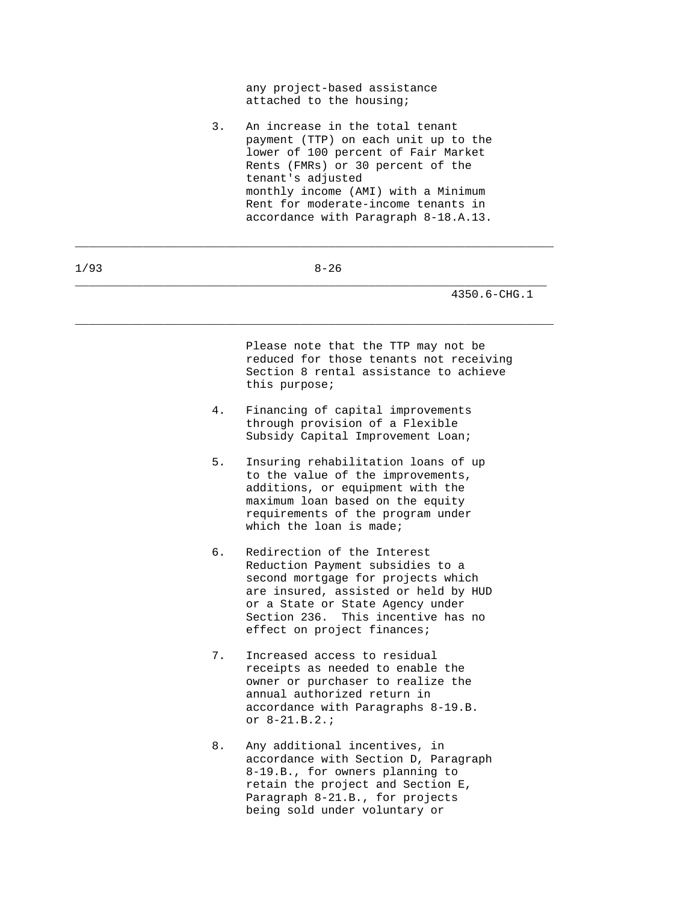any project-based assistance attached to the housing;

 3. An increase in the total tenant payment (TTP) on each unit up to the lower of 100 percent of Fair Market Rents (FMRs) or 30 percent of the tenant's adjusted monthly income (AMI) with a Minimum Rent for moderate-income tenants in accordance with Paragraph 8-18.A.13.

| ۰, |  | ٠ |
|----|--|---|
|----|--|---|

\_\_\_\_\_\_\_\_\_\_\_\_\_\_\_\_\_\_\_\_\_\_\_\_\_\_\_\_\_\_\_\_\_\_\_\_\_\_\_\_\_\_\_\_\_\_\_\_\_\_\_\_\_\_\_\_\_\_\_\_\_\_\_\_\_\_\_\_\_\_

\_\_\_\_\_\_\_\_\_\_\_\_\_\_\_\_\_\_\_\_\_\_\_\_\_\_\_\_\_\_\_\_\_\_\_\_\_\_\_\_\_\_\_\_\_\_\_\_\_\_\_\_\_\_\_\_\_\_\_\_\_\_\_\_\_\_\_\_\_

\_\_\_\_\_\_\_\_\_\_\_\_\_\_\_\_\_\_\_\_\_\_\_\_\_\_\_\_\_\_\_\_\_\_\_\_\_\_\_\_\_\_\_\_\_\_\_\_\_\_\_\_\_\_\_\_\_\_\_\_\_\_\_\_\_\_\_\_\_\_

4350.6-CHG.1

 Please note that the TTP may not be reduced for those tenants not receiving Section 8 rental assistance to achieve this purpose;

- 4. Financing of capital improvements through provision of a Flexible Subsidy Capital Improvement Loan;
- 5. Insuring rehabilitation loans of up to the value of the improvements, additions, or equipment with the maximum loan based on the equity requirements of the program under which the loan is made;
- 6. Redirection of the Interest Reduction Payment subsidies to a second mortgage for projects which are insured, assisted or held by HUD or a State or State Agency under Section 236. This incentive has no effect on project finances;
- 7. Increased access to residual receipts as needed to enable the owner or purchaser to realize the annual authorized return in accordance with Paragraphs 8-19.B. or 8-21.B.2.;
- 8. Any additional incentives, in accordance with Section D, Paragraph 8-19.B., for owners planning to retain the project and Section E, Paragraph 8-21.B., for projects being sold under voluntary or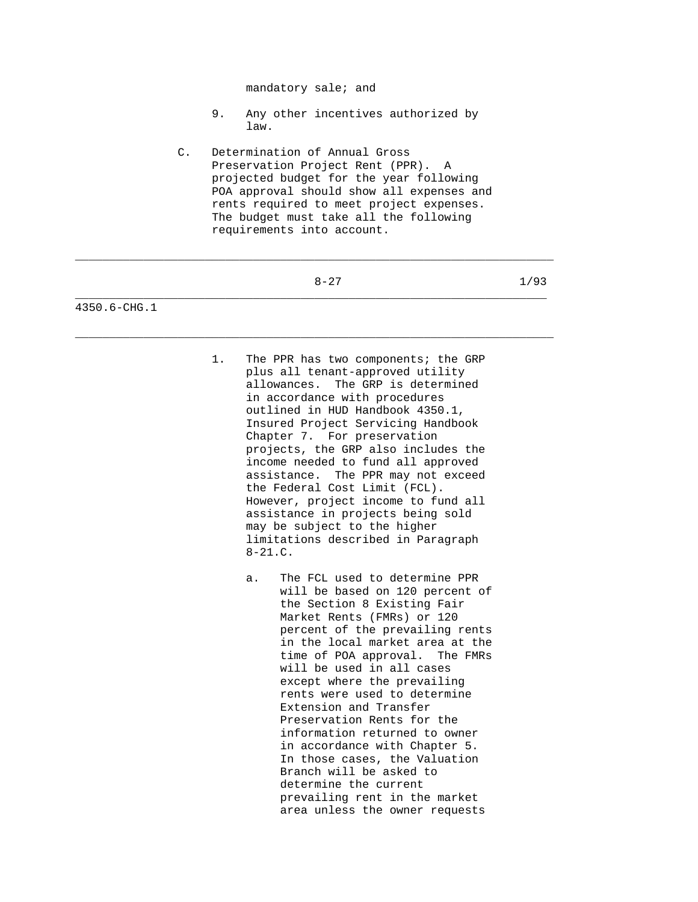mandatory sale; and

- 9. Any other incentives authorized by law.
- C. Determination of Annual Gross Preservation Project Rent (PPR). A projected budget for the year following POA approval should show all expenses and rents required to meet project expenses. The budget must take all the following requirements into account.
	-

\_\_\_\_\_\_\_\_\_\_\_\_\_\_\_\_\_\_\_\_\_\_\_\_\_\_\_\_\_\_\_\_\_\_\_\_\_\_\_\_\_\_\_\_\_\_\_\_\_\_\_\_\_\_\_\_\_\_\_\_\_\_\_\_\_\_\_\_\_\_

\_\_\_\_\_\_\_\_\_\_\_\_\_\_\_\_\_\_\_\_\_\_\_\_\_\_\_\_\_\_\_\_\_\_\_\_\_\_\_\_\_\_\_\_\_\_\_\_\_\_\_\_\_\_\_\_\_\_\_\_\_\_\_\_\_\_\_\_\_

\_\_\_\_\_\_\_\_\_\_\_\_\_\_\_\_\_\_\_\_\_\_\_\_\_\_\_\_\_\_\_\_\_\_\_\_\_\_\_\_\_\_\_\_\_\_\_\_\_\_\_\_\_\_\_\_\_\_\_\_\_\_\_\_\_\_\_\_\_\_

 $8-27$  1/93

4350.6-CHG.1

- 1. The PPR has two components; the GRP plus all tenant-approved utility allowances. The GRP is determined in accordance with procedures outlined in HUD Handbook 4350.1, Insured Project Servicing Handbook Chapter 7. For preservation projects, the GRP also includes the income needed to fund all approved assistance. The PPR may not exceed the Federal Cost Limit (FCL). However, project income to fund all assistance in projects being sold may be subject to the higher limitations described in Paragraph 8-21.C.
	- a. The FCL used to determine PPR will be based on 120 percent of the Section 8 Existing Fair Market Rents (FMRs) or 120 percent of the prevailing rents in the local market area at the time of POA approval. The FMRs will be used in all cases except where the prevailing rents were used to determine Extension and Transfer Preservation Rents for the information returned to owner in accordance with Chapter 5. In those cases, the Valuation Branch will be asked to determine the current prevailing rent in the market area unless the owner requests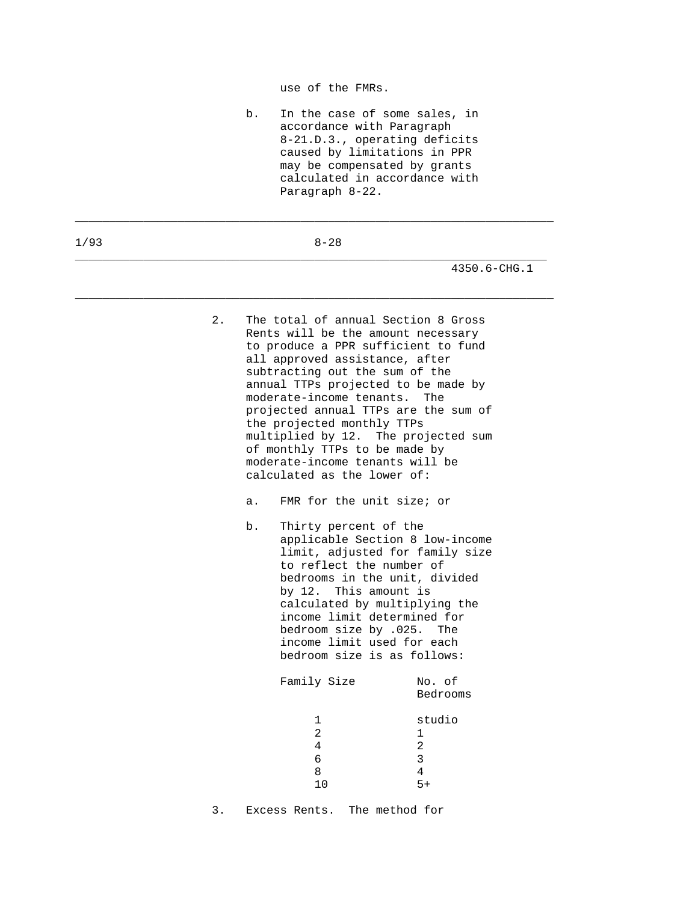use of the FMRs.

 b. In the case of some sales, in accordance with Paragraph 8-21.D.3., operating deficits caused by limitations in PPR may be compensated by grants calculated in accordance with Paragraph 8-22.

\_\_\_\_\_\_\_\_\_\_\_\_\_\_\_\_\_\_\_\_\_\_\_\_\_\_\_\_\_\_\_\_\_\_\_\_\_\_\_\_\_\_\_\_\_\_\_\_\_\_\_\_\_\_\_\_\_\_\_\_\_\_\_\_\_\_\_\_\_\_

\_\_\_\_\_\_\_\_\_\_\_\_\_\_\_\_\_\_\_\_\_\_\_\_\_\_\_\_\_\_\_\_\_\_\_\_\_\_\_\_\_\_\_\_\_\_\_\_\_\_\_\_\_\_\_\_\_\_\_\_\_\_\_\_\_\_\_\_\_

4350.6-CHG.1

| 2. | all approved assistance, after<br>subtracting out the sum of the<br>moderate-income tenants.        | The total of annual Section 8 Gross<br>Rents will be the amount necessary<br>to produce a PPR sufficient to fund<br>annual TTPs projected to be made by<br>The                                                                          |
|----|-----------------------------------------------------------------------------------------------------|-----------------------------------------------------------------------------------------------------------------------------------------------------------------------------------------------------------------------------------------|
|    | the projected monthly TTPs                                                                          | projected annual TTPs are the sum of                                                                                                                                                                                                    |
|    | of monthly TTPs to be made by                                                                       | multiplied by 12. The projected sum                                                                                                                                                                                                     |
|    | moderate-income tenants will be                                                                     |                                                                                                                                                                                                                                         |
|    | calculated as the lower of:                                                                         |                                                                                                                                                                                                                                         |
| a. | FMR for the unit size; or                                                                           |                                                                                                                                                                                                                                         |
| b. | Thirty percent of the<br>to reflect the number of<br>by 12. This amount is<br>bedroom size by .025. | applicable Section 8 low-income<br>limit, adjusted for family size<br>bedrooms in the unit, divided<br>calculated by multiplying the<br>income limit determined for<br>The<br>income limit used for each<br>bedroom size is as follows: |
|    | Family Size                                                                                         | No. of                                                                                                                                                                                                                                  |
|    |                                                                                                     | Bedrooms                                                                                                                                                                                                                                |
|    | 1                                                                                                   | studio                                                                                                                                                                                                                                  |
|    | $\overline{2}$                                                                                      | 1                                                                                                                                                                                                                                       |
|    |                                                                                                     |                                                                                                                                                                                                                                         |
|    | 4                                                                                                   | $\overline{2}$                                                                                                                                                                                                                          |
|    | 6<br>8                                                                                              | 3<br>4                                                                                                                                                                                                                                  |

1/93 8-28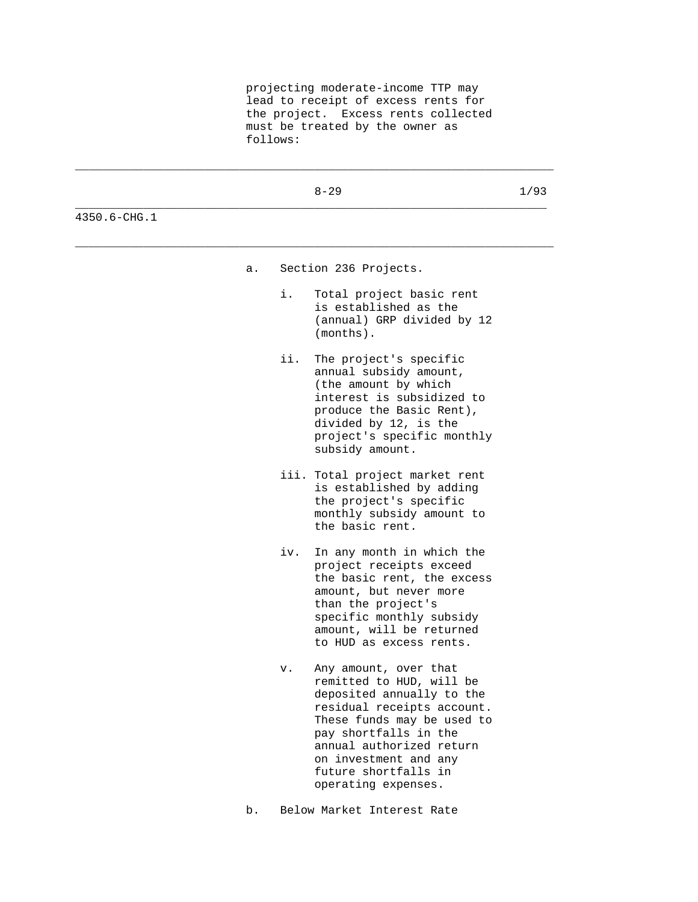projecting moderate-income TTP may lead to receipt of excess rents for the project. Excess rents collected must be treated by the owner as follows:

|              |    |     | $8 - 29$                                                                                                                                                                                                                                                                | 1/93 |
|--------------|----|-----|-------------------------------------------------------------------------------------------------------------------------------------------------------------------------------------------------------------------------------------------------------------------------|------|
| 4350.6-CHG.1 |    |     |                                                                                                                                                                                                                                                                         |      |
|              | а. |     | Section 236 Projects.                                                                                                                                                                                                                                                   |      |
|              |    | i.  | Total project basic rent<br>is established as the<br>(annual) GRP divided by 12<br>$(months)$ .                                                                                                                                                                         |      |
|              |    | ii. | The project's specific<br>annual subsidy amount,<br>(the amount by which<br>interest is subsidized to<br>produce the Basic Rent),<br>divided by 12, is the<br>project's specific monthly<br>subsidy amount.                                                             |      |
|              |    |     | iii. Total project market rent<br>is established by adding<br>the project's specific<br>monthly subsidy amount to<br>the basic rent.                                                                                                                                    |      |
|              |    | iv. | In any month in which the<br>project receipts exceed<br>the basic rent, the excess<br>amount, but never more<br>than the project's<br>specific monthly subsidy<br>amount, will be returned<br>to HUD as excess rents.                                                   |      |
|              |    | v.  | Any amount, over that<br>remitted to HUD, will be<br>deposited annually to the<br>residual receipts account.<br>These funds may be used to<br>pay shortfalls in the<br>annual authorized return<br>on investment and any<br>future shortfalls in<br>operating expenses. |      |
|              | b. |     | Below Market Interest Rate                                                                                                                                                                                                                                              |      |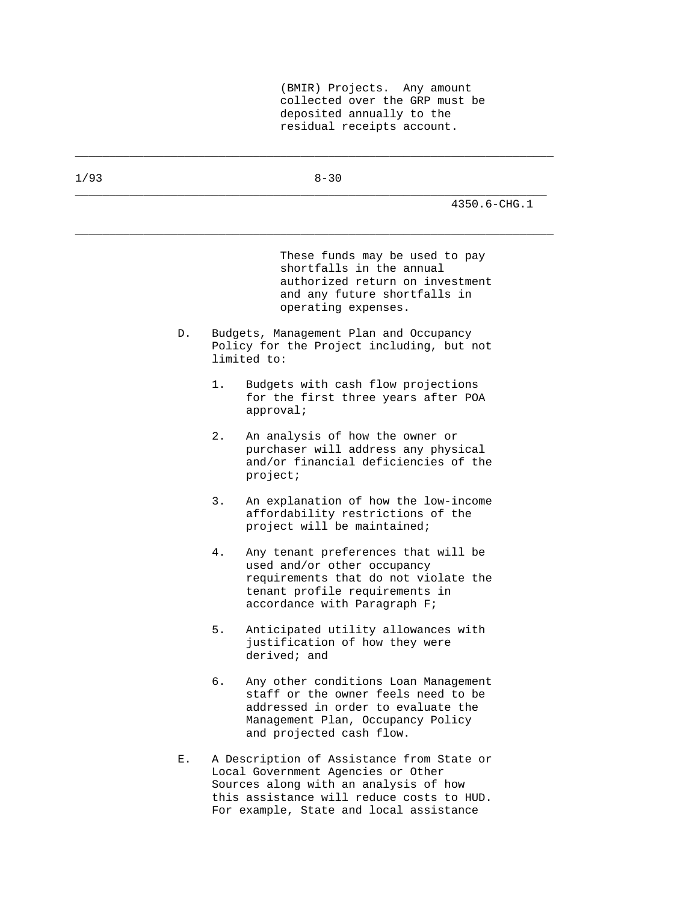(BMIR) Projects. Any amount collected over the GRP must be deposited annually to the residual receipts account.

| 1/93 |    | $8 - 30$                                                                                                                                                                                                         |
|------|----|------------------------------------------------------------------------------------------------------------------------------------------------------------------------------------------------------------------|
|      |    | $4350.6 - CHG.1$                                                                                                                                                                                                 |
|      |    | These funds may be used to pay<br>shortfalls in the annual<br>authorized return on investment<br>and any future shortfalls in<br>operating expenses.                                                             |
|      | D. | Budgets, Management Plan and Occupancy<br>Policy for the Project including, but not<br>limited to:                                                                                                               |
|      |    | Budgets with cash flow projections<br>1.<br>for the first three years after POA<br>approval;                                                                                                                     |
|      |    | 2.<br>An analysis of how the owner or<br>purchaser will address any physical<br>and/or financial deficiencies of the<br>project;                                                                                 |
|      |    | An explanation of how the low-income<br>3.<br>affordability restrictions of the<br>project will be maintained;                                                                                                   |
|      |    | Any tenant preferences that will be<br>4.<br>used and/or other occupancy<br>requirements that do not violate the<br>tenant profile requirements in<br>accordance with Paragraph F;                               |
|      |    | 5.<br>Anticipated utility allowances with<br>justification of how they were<br>derived; and                                                                                                                      |
|      |    | б.<br>Any other conditions Loan Management<br>staff or the owner feels need to be<br>addressed in order to evaluate the<br>Management Plan, Occupancy Policy<br>and projected cash flow.                         |
|      | Е. | A Description of Assistance from State or<br>Local Government Agencies or Other<br>Sources along with an analysis of how<br>this assistance will reduce costs to HUD.<br>For example, State and local assistance |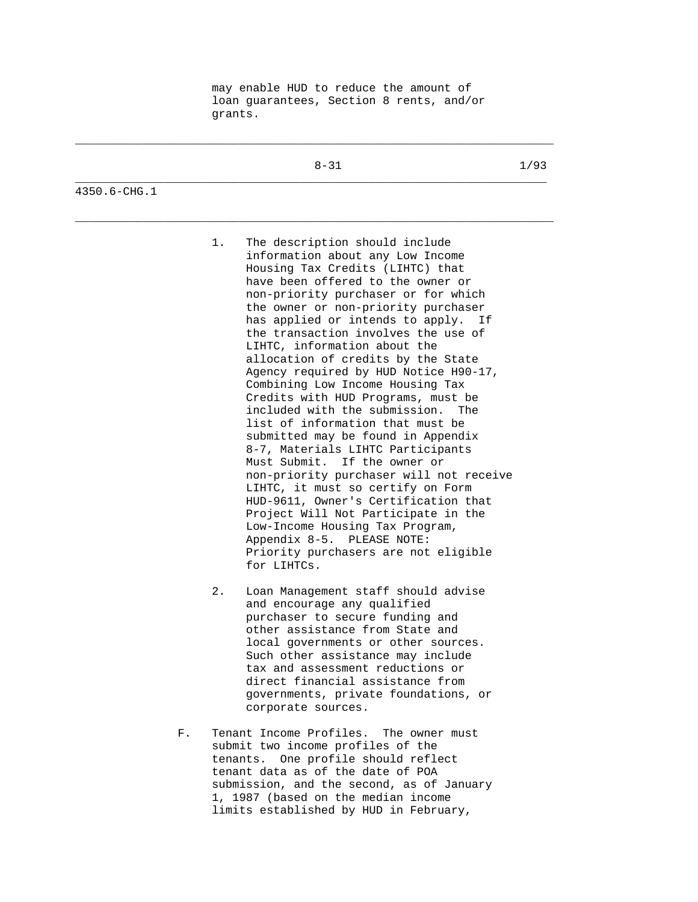may enable HUD to reduce the amount of loan guarantees, Section 8 rents, and/or grants.

 $8-31$  1/93

\_\_\_\_\_\_\_\_\_\_\_\_\_\_\_\_\_\_\_\_\_\_\_\_\_\_\_\_\_\_\_\_\_\_\_\_\_\_\_\_\_\_\_\_\_\_\_\_\_\_\_\_\_\_\_\_\_\_\_\_\_\_\_\_\_\_\_\_\_\_

\_\_\_\_\_\_\_\_\_\_\_\_\_\_\_\_\_\_\_\_\_\_\_\_\_\_\_\_\_\_\_\_\_\_\_\_\_\_\_\_\_\_\_\_\_\_\_\_\_\_\_\_\_\_\_\_\_\_\_\_\_\_\_\_\_\_\_\_\_

\_\_\_\_\_\_\_\_\_\_\_\_\_\_\_\_\_\_\_\_\_\_\_\_\_\_\_\_\_\_\_\_\_\_\_\_\_\_\_\_\_\_\_\_\_\_\_\_\_\_\_\_\_\_\_\_\_\_\_\_\_\_\_\_\_\_\_\_\_\_

4350.6-CHG.1

- 1. The description should include information about any Low Income Housing Tax Credits (LIHTC) that have been offered to the owner or non-priority purchaser or for which the owner or non-priority purchaser has applied or intends to apply. If the transaction involves the use of LIHTC, information about the allocation of credits by the State Agency required by HUD Notice H90-17, Combining Low Income Housing Tax Credits with HUD Programs, must be included with the submission. The list of information that must be submitted may be found in Appendix 8-7, Materials LIHTC Participants Must Submit. If the owner or non-priority purchaser will not receive LIHTC, it must so certify on Form HUD-9611, Owner's Certification that Project Will Not Participate in the Low-Income Housing Tax Program, Appendix 8-5. PLEASE NOTE: Priority purchasers are not eligible for LIHTCs.
- 2. Loan Management staff should advise and encourage any qualified purchaser to secure funding and other assistance from State and local governments or other sources. Such other assistance may include tax and assessment reductions or direct financial assistance from governments, private foundations, or corporate sources.
- F. Tenant Income Profiles. The owner must submit two income profiles of the tenants. One profile should reflect tenant data as of the date of POA submission, and the second, as of January 1, 1987 (based on the median income limits established by HUD in February,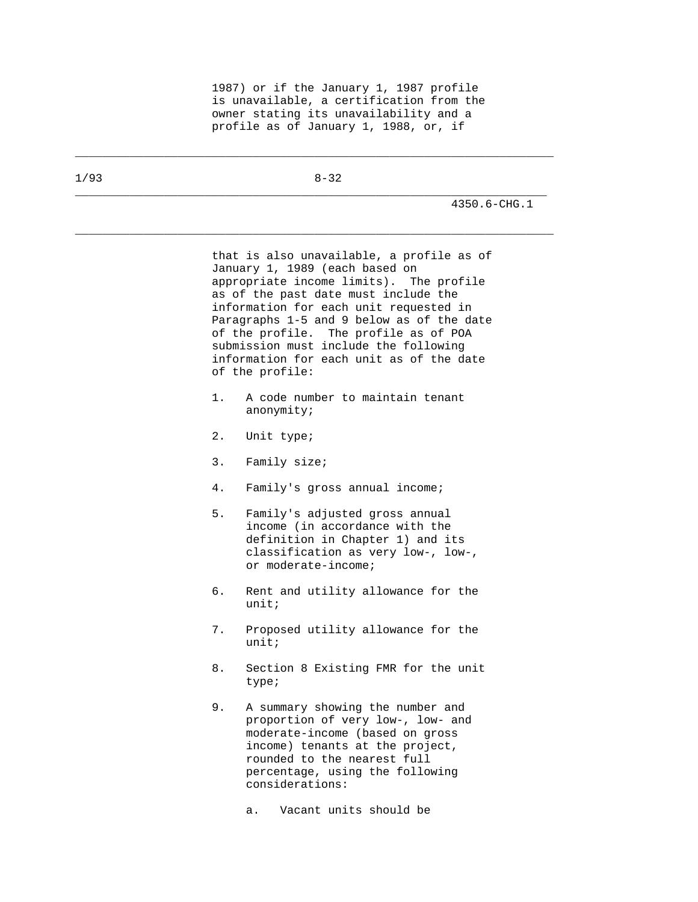1987) or if the January 1, 1987 profile is unavailable, a certification from the owner stating its unavailability and a profile as of January 1, 1988, or, if

\_\_\_\_\_\_\_\_\_\_\_\_\_\_\_\_\_\_\_\_\_\_\_\_\_\_\_\_\_\_\_\_\_\_\_\_\_\_\_\_\_\_\_\_\_\_\_\_\_\_\_\_\_\_\_\_\_\_\_\_\_\_\_\_\_\_\_\_\_\_

\_\_\_\_\_\_\_\_\_\_\_\_\_\_\_\_\_\_\_\_\_\_\_\_\_\_\_\_\_\_\_\_\_\_\_\_\_\_\_\_\_\_\_\_\_\_\_\_\_\_\_\_\_\_\_\_\_\_\_\_\_\_\_\_\_\_\_\_\_

1/93 8-32

|    | 4350.6-CHG.1                                                                                                                                                                                                                                                                                                                                                                                           |
|----|--------------------------------------------------------------------------------------------------------------------------------------------------------------------------------------------------------------------------------------------------------------------------------------------------------------------------------------------------------------------------------------------------------|
|    | that is also unavailable, a profile as of<br>January 1, 1989 (each based on<br>appropriate income limits). The profile<br>as of the past date must include the<br>information for each unit requested in<br>Paragraphs 1-5 and 9 below as of the date<br>of the profile. The profile as of POA<br>submission must include the following<br>information for each unit as of the date<br>of the profile: |
| 1. | A code number to maintain tenant<br>anonymity;                                                                                                                                                                                                                                                                                                                                                         |
| 2. | Unit type;                                                                                                                                                                                                                                                                                                                                                                                             |
| 3. | Family size;                                                                                                                                                                                                                                                                                                                                                                                           |
| 4. | Family's gross annual income;                                                                                                                                                                                                                                                                                                                                                                          |
| 5. | Family's adjusted gross annual<br>income (in accordance with the<br>definition in Chapter 1) and its<br>classification as very low-, low-,<br>or moderate-income;                                                                                                                                                                                                                                      |
| б. | Rent and utility allowance for the<br>unit:                                                                                                                                                                                                                                                                                                                                                            |
| 7. | Proposed utility allowance for the<br>unit:                                                                                                                                                                                                                                                                                                                                                            |
| 8. | Section 8 Existing FMR for the unit<br>type;                                                                                                                                                                                                                                                                                                                                                           |
| 9. | A summary showing the number and<br>proportion of very low-, low- and<br>moderate-income (based on gross<br>income) tenants at the project,<br>rounded to the nearest full<br>percentage, using the following<br>considerations:                                                                                                                                                                       |

a. Vacant units should be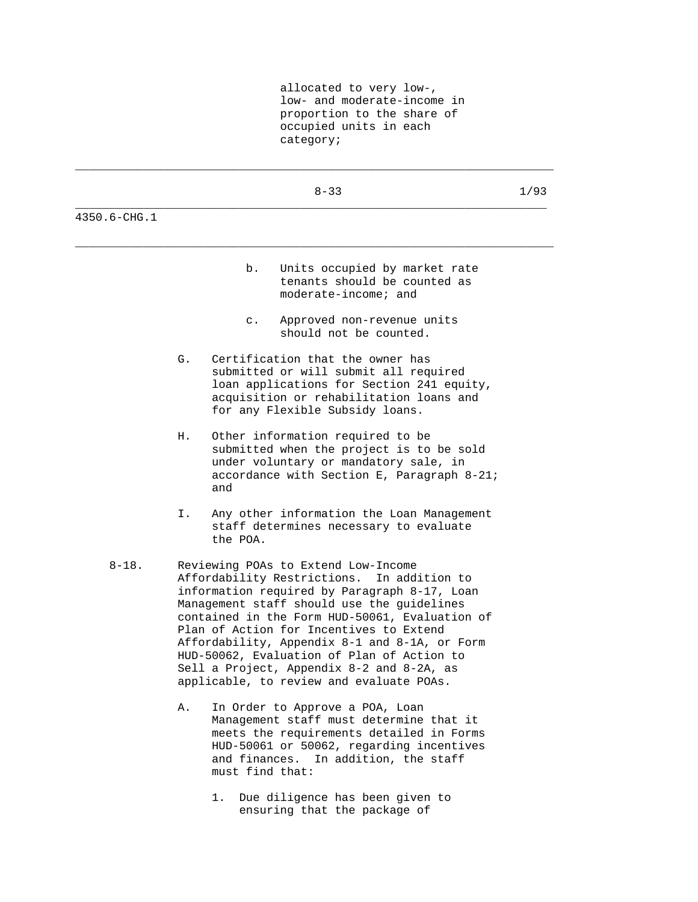allocated to very low-, low- and moderate-income in proportion to the share of occupied units in each category;

|              | $8 - 33$                                                                                                                                                                                                                                                                                                                                                                                                                                                             | 1/93 |
|--------------|----------------------------------------------------------------------------------------------------------------------------------------------------------------------------------------------------------------------------------------------------------------------------------------------------------------------------------------------------------------------------------------------------------------------------------------------------------------------|------|
| 4350.6-CHG.1 |                                                                                                                                                                                                                                                                                                                                                                                                                                                                      |      |
|              | b.<br>Units occupied by market rate<br>tenants should be counted as<br>moderate-income; and                                                                                                                                                                                                                                                                                                                                                                          |      |
|              | Approved non-revenue units<br>$\mathsf{c}$ .<br>should not be counted.                                                                                                                                                                                                                                                                                                                                                                                               |      |
|              | Certification that the owner has<br>G.<br>submitted or will submit all required<br>loan applications for Section 241 equity,<br>acquisition or rehabilitation loans and<br>for any Flexible Subsidy loans.                                                                                                                                                                                                                                                           |      |
|              | Other information required to be<br>Η.<br>submitted when the project is to be sold<br>under voluntary or mandatory sale, in<br>accordance with Section E, Paragraph 8-21;<br>and                                                                                                                                                                                                                                                                                     |      |
|              | Any other information the Loan Management<br>Ι.<br>staff determines necessary to evaluate<br>the POA.                                                                                                                                                                                                                                                                                                                                                                |      |
| $8 - 18$ .   | Reviewing POAs to Extend Low-Income<br>Affordability Restrictions. In addition to<br>information required by Paragraph 8-17, Loan<br>Management staff should use the guidelines<br>contained in the Form HUD-50061, Evaluation of<br>Plan of Action for Incentives to Extend<br>Affordability, Appendix 8-1 and 8-1A, or Form<br>HUD-50062, Evaluation of Plan of Action to<br>Sell a Project, Appendix 8-2 and 8-2A, as<br>applicable, to review and evaluate POAs. |      |
|              | In Order to Approve a POA, Loan<br>Α.<br>Management staff must determine that it<br>meets the requirements detailed in Forms<br>HUD-50061 or 50062, regarding incentives<br>and finances. In addition, the staff<br>must find that:                                                                                                                                                                                                                                  |      |
|              | Due diligence has been given to<br>1.<br>ensuring that the package of                                                                                                                                                                                                                                                                                                                                                                                                |      |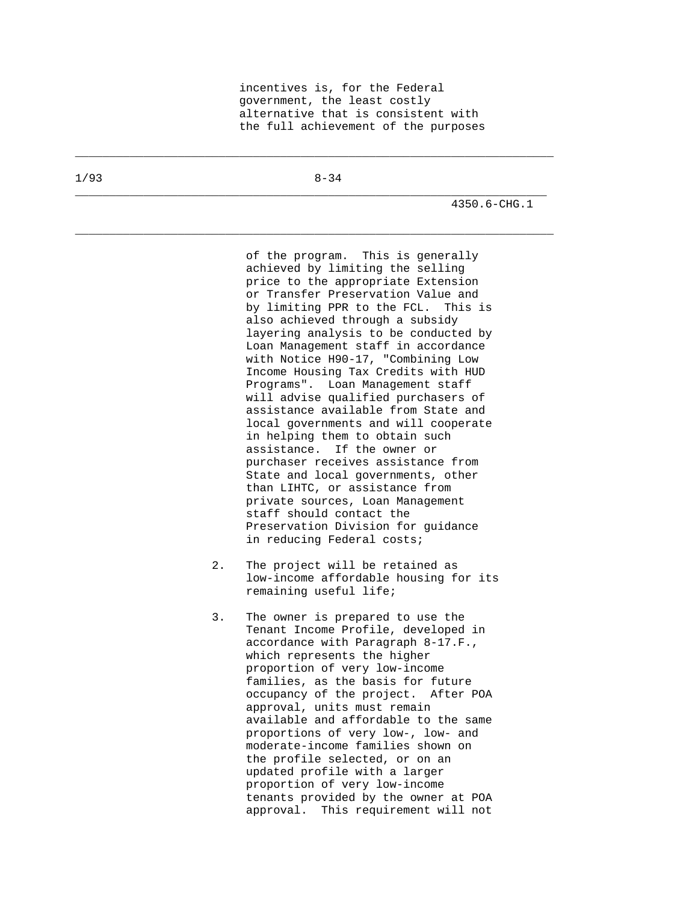incentives is, for the Federal government, the least costly alternative that is consistent with the full achievement of the purposes

\_\_\_\_\_\_\_\_\_\_\_\_\_\_\_\_\_\_\_\_\_\_\_\_\_\_\_\_\_\_\_\_\_\_\_\_\_\_\_\_\_\_\_\_\_\_\_\_\_\_\_\_\_\_\_\_\_\_\_\_\_\_\_\_\_\_\_\_\_\_

\_\_\_\_\_\_\_\_\_\_\_\_\_\_\_\_\_\_\_\_\_\_\_\_\_\_\_\_\_\_\_\_\_\_\_\_\_\_\_\_\_\_\_\_\_\_\_\_\_\_\_\_\_\_\_\_\_\_\_\_\_\_\_\_\_\_\_\_\_

\_\_\_\_\_\_\_\_\_\_\_\_\_\_\_\_\_\_\_\_\_\_\_\_\_\_\_\_\_\_\_\_\_\_\_\_\_\_\_\_\_\_\_\_\_\_\_\_\_\_\_\_\_\_\_\_\_\_\_\_\_\_\_\_\_\_\_\_\_\_

4350.6-CHG.1

 of the program. This is generally achieved by limiting the selling price to the appropriate Extension or Transfer Preservation Value and by limiting PPR to the FCL. This is also achieved through a subsidy layering analysis to be conducted by Loan Management staff in accordance with Notice H90-17, "Combining Low Income Housing Tax Credits with HUD Programs". Loan Management staff will advise qualified purchasers of assistance available from State and local governments and will cooperate in helping them to obtain such assistance. If the owner or purchaser receives assistance from State and local governments, other than LIHTC, or assistance from private sources, Loan Management staff should contact the Preservation Division for guidance in reducing Federal costs;

- 2. The project will be retained as low-income affordable housing for its remaining useful life;
- 3. The owner is prepared to use the Tenant Income Profile, developed in accordance with Paragraph 8-17.F., which represents the higher proportion of very low-income families, as the basis for future occupancy of the project. After POA approval, units must remain available and affordable to the same proportions of very low-, low- and moderate-income families shown on the profile selected, or on an updated profile with a larger proportion of very low-income tenants provided by the owner at POA approval. This requirement will not

1/93 8-34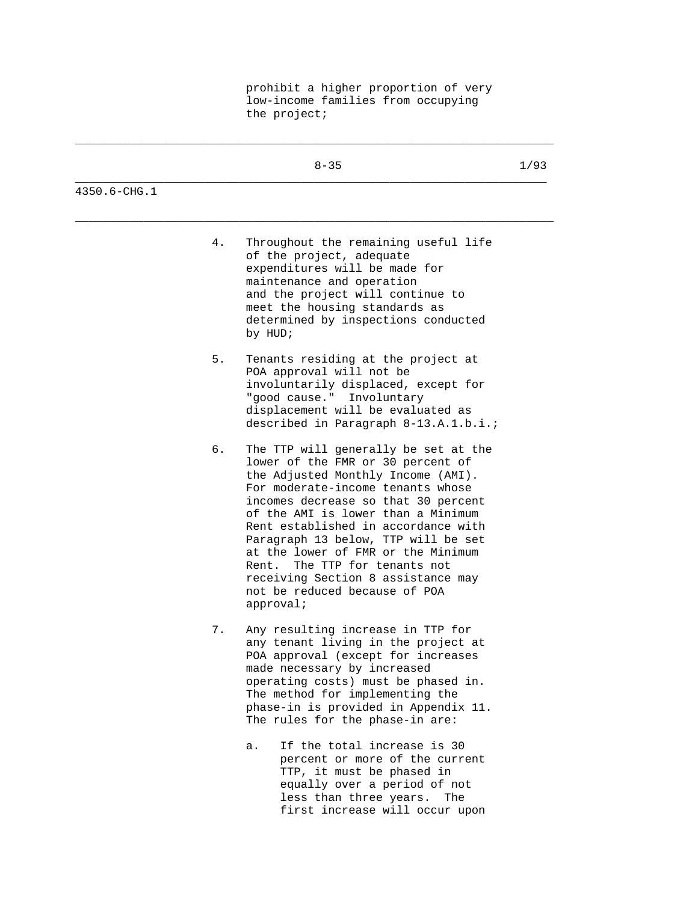prohibit a higher proportion of very low-income families from occupying the project;

\_\_\_\_\_\_\_\_\_\_\_\_\_\_\_\_\_\_\_\_\_\_\_\_\_\_\_\_\_\_\_\_\_\_\_\_\_\_\_\_\_\_\_\_\_\_\_\_\_\_\_\_\_\_\_\_\_\_\_\_\_\_\_\_\_\_\_\_\_\_

|              |    | $8 - 35$                                                                                                                                                                                                                                                                                                                                                                                                                                                                  | 1/93 |
|--------------|----|---------------------------------------------------------------------------------------------------------------------------------------------------------------------------------------------------------------------------------------------------------------------------------------------------------------------------------------------------------------------------------------------------------------------------------------------------------------------------|------|
| 4350.6-CHG.1 |    |                                                                                                                                                                                                                                                                                                                                                                                                                                                                           |      |
|              | 4. | Throughout the remaining useful life<br>of the project, adequate<br>expenditures will be made for<br>maintenance and operation<br>and the project will continue to<br>meet the housing standards as<br>determined by inspections conducted<br>by HUD;                                                                                                                                                                                                                     |      |
|              | 5. | Tenants residing at the project at<br>POA approval will not be<br>involuntarily displaced, except for<br>"good cause." Involuntary<br>displacement will be evaluated as<br>described in Paragraph 8-13.A.1.b.i.;                                                                                                                                                                                                                                                          |      |
|              | б. | The TTP will generally be set at the<br>lower of the FMR or 30 percent of<br>the Adjusted Monthly Income (AMI).<br>For moderate-income tenants whose<br>incomes decrease so that 30 percent<br>of the AMI is lower than a Minimum<br>Rent established in accordance with<br>Paragraph 13 below, TTP will be set<br>at the lower of FMR or the Minimum<br>Rent. The TTP for tenants not<br>receiving Section 8 assistance may<br>not be reduced because of POA<br>approved |      |
|              | 7. | Any resulting increase in TTP for<br>any tenant living in the project at<br>POA approval (except for increases<br>made necessary by increased<br>operating costs) must be phased in.<br>The method for implementing the<br>phase-in is provided in Appendix 11.<br>The rules for the phase-in are:                                                                                                                                                                        |      |
|              |    | If the total increase is 30<br>а.<br>$\omega$ more of the gumps                                                                                                                                                                                                                                                                                                                                                                                                           |      |

 percent or more of the current TTP, it must be phased in equally over a period of not less than three years. The first increase will occur upon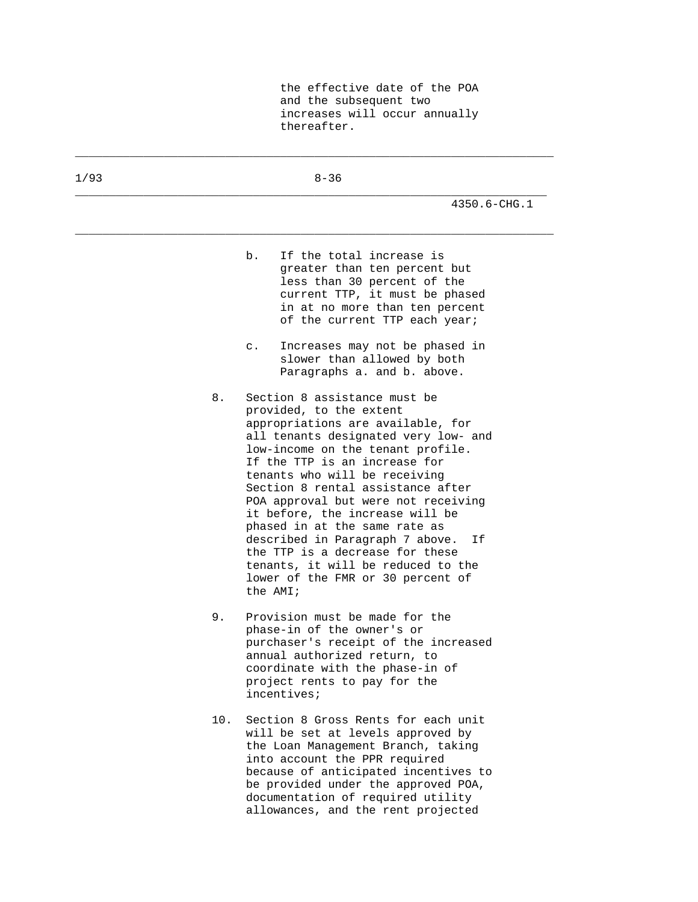the effective date of the POA and the subsequent two increases will occur annually thereafter.

| 1/93 | $8 - 36$                                                                                                                                                                                                                                                                                                                                                                                                                                                                                                                                                             |
|------|----------------------------------------------------------------------------------------------------------------------------------------------------------------------------------------------------------------------------------------------------------------------------------------------------------------------------------------------------------------------------------------------------------------------------------------------------------------------------------------------------------------------------------------------------------------------|
|      | 4350.6-CHG.1                                                                                                                                                                                                                                                                                                                                                                                                                                                                                                                                                         |
|      | If the total increase is<br>$b$ .<br>greater than ten percent but<br>less than 30 percent of the<br>current TTP, it must be phased<br>in at no more than ten percent<br>of the current TTP each year;                                                                                                                                                                                                                                                                                                                                                                |
|      | Increases may not be phased in<br>$\mathsf{C}$ .<br>slower than allowed by both<br>Paragraphs a. and b. above.                                                                                                                                                                                                                                                                                                                                                                                                                                                       |
|      | 8.<br>Section 8 assistance must be<br>provided, to the extent<br>appropriations are available, for<br>all tenants designated very low- and<br>low-income on the tenant profile.<br>If the TTP is an increase for<br>tenants who will be receiving<br>Section 8 rental assistance after<br>POA approval but were not receiving<br>it before, the increase will be<br>phased in at the same rate as<br>described in Paragraph 7 above.<br>Ιf<br>the TTP is a decrease for these<br>tenants, it will be reduced to the<br>lower of the FMR or 30 percent of<br>the AMI; |
|      | 9.<br>Provision must be made for the<br>phase-in of the owner's or<br>purchaser's receipt of the increased<br>annual authorized return, to<br>coordinate with the phase-in of<br>project rents to pay for the<br>incentives;                                                                                                                                                                                                                                                                                                                                         |
|      | 10.<br>Section 8 Gross Rents for each unit<br>will be set at levels approved by<br>the Loan Management Branch, taking<br>into account the PPR required<br>because of anticipated incentives to<br>be provided under the approved POA,<br>documentation of required utility<br>allowances, and the rent projected                                                                                                                                                                                                                                                     |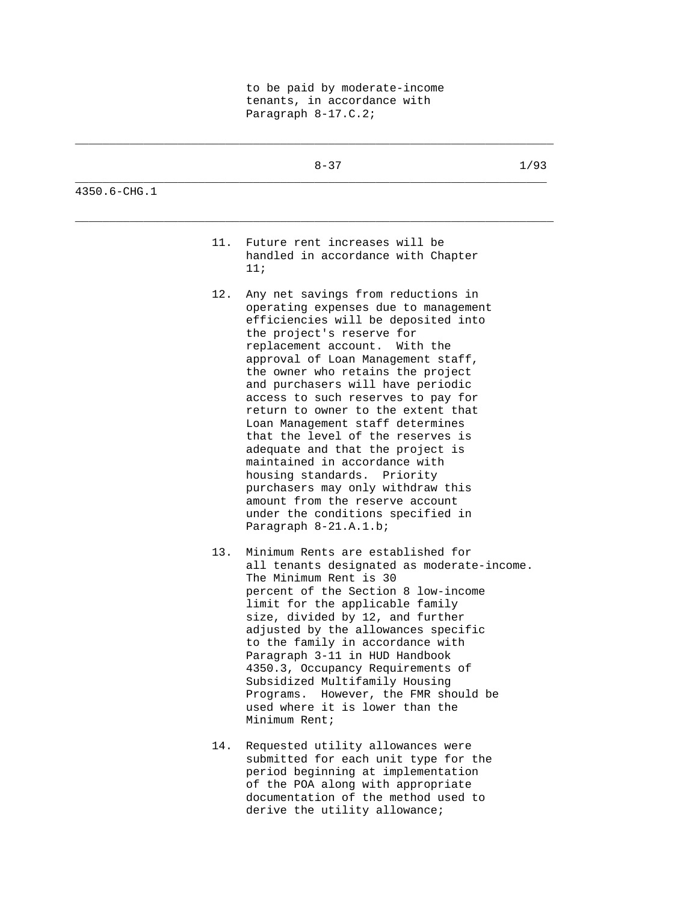to be paid by moderate-income tenants, in accordance with Paragraph 8-17.C.2;

\_\_\_\_\_\_\_\_\_\_\_\_\_\_\_\_\_\_\_\_\_\_\_\_\_\_\_\_\_\_\_\_\_\_\_\_\_\_\_\_\_\_\_\_\_\_\_\_\_\_\_\_\_\_\_\_\_\_\_\_\_\_\_\_\_\_\_\_\_\_

|              |     | $8 - 37$                                                                                                                                                                                                                                                                                                                                                                                                                                                                                                                                                                                                                                                                                       | 1/93 |
|--------------|-----|------------------------------------------------------------------------------------------------------------------------------------------------------------------------------------------------------------------------------------------------------------------------------------------------------------------------------------------------------------------------------------------------------------------------------------------------------------------------------------------------------------------------------------------------------------------------------------------------------------------------------------------------------------------------------------------------|------|
| 4350.6-CHG.1 |     |                                                                                                                                                                                                                                                                                                                                                                                                                                                                                                                                                                                                                                                                                                |      |
|              | 11. | Future rent increases will be<br>handled in accordance with Chapter<br>11i                                                                                                                                                                                                                                                                                                                                                                                                                                                                                                                                                                                                                     |      |
|              | 12. | Any net savings from reductions in<br>operating expenses due to management<br>efficiencies will be deposited into<br>the project's reserve for<br>replacement account. With the<br>approval of Loan Management staff,<br>the owner who retains the project<br>and purchasers will have periodic<br>access to such reserves to pay for<br>return to owner to the extent that<br>Loan Management staff determines<br>that the level of the reserves is<br>adequate and that the project is<br>maintained in accordance with<br>housing standards. Priority<br>purchasers may only withdraw this<br>amount from the reserve account<br>under the conditions specified in<br>Paragraph 8-21.A.1.b; |      |
|              | 13. | Minimum Rents are established for<br>all tenants designated as moderate-income.<br>The Minimum Rent is 30<br>percent of the Section 8 low-income<br>limit for the applicable family<br>size, divided by 12, and further<br>adjusted by the allowances specific<br>to the family in accordance with<br>Paragraph 3-11 in HUD Handbook<br>4350.3, Occupancy Requirements of<br>Subsidized Multifamily Housing<br>However, the FMR should be<br>Programs.<br>used where it is lower than the<br>Minimum Rent;                                                                                                                                                                                     |      |
|              | 14. | Requested utility allowances were<br>submitted for each unit type for the                                                                                                                                                                                                                                                                                                                                                                                                                                                                                                                                                                                                                      |      |

 period beginning at implementation of the POA along with appropriate documentation of the method used to derive the utility allowance;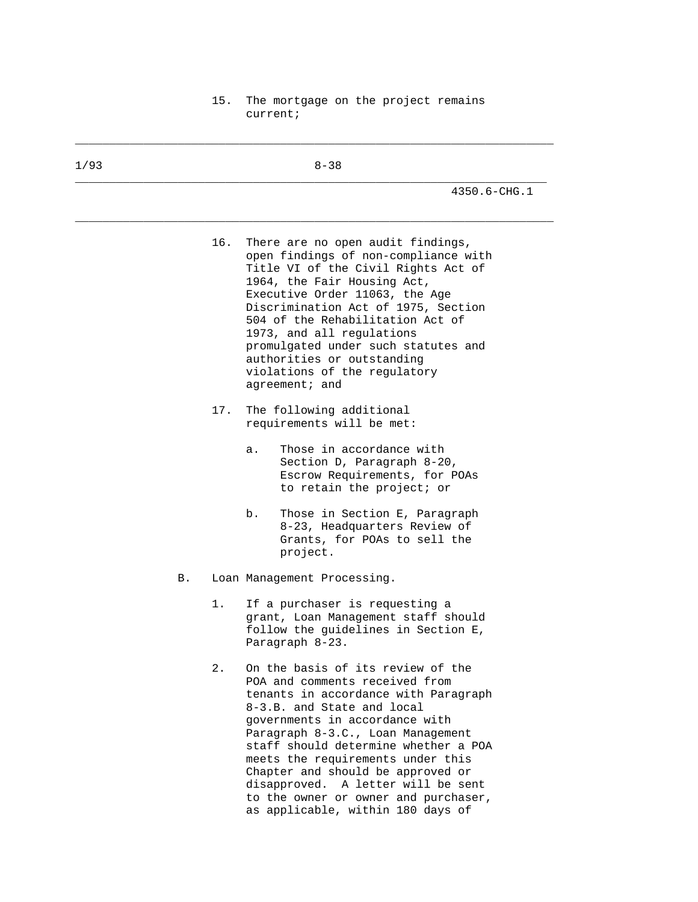| 1/93 |    |       | $8 - 38$                                                                                                                                                                                                                                                                                                                                                                                                                                              |
|------|----|-------|-------------------------------------------------------------------------------------------------------------------------------------------------------------------------------------------------------------------------------------------------------------------------------------------------------------------------------------------------------------------------------------------------------------------------------------------------------|
|      |    |       | 4350.6-CHG.1                                                                                                                                                                                                                                                                                                                                                                                                                                          |
|      |    | 16.   | There are no open audit findings,<br>open findings of non-compliance with<br>Title VI of the Civil Rights Act of<br>1964, the Fair Housing Act,<br>Executive Order 11063, the Age<br>Discrimination Act of 1975, Section<br>504 of the Rehabilitation Act of<br>1973, and all regulations<br>promulgated under such statutes and<br>authorities or outstanding<br>violations of the regulatory<br>agreement; and                                      |
|      |    | 17.   | The following additional<br>requirements will be met:<br>Those in accordance with<br>a.                                                                                                                                                                                                                                                                                                                                                               |
|      |    |       | Section D, Paragraph 8-20,<br>Escrow Requirements, for POAs<br>to retain the project; or                                                                                                                                                                                                                                                                                                                                                              |
|      |    |       | b.<br>Those in Section E, Paragraph<br>8-23, Headquarters Review of<br>Grants, for POAs to sell the<br>project.                                                                                                                                                                                                                                                                                                                                       |
|      | В. |       | Loan Management Processing.                                                                                                                                                                                                                                                                                                                                                                                                                           |
|      |    | $1$ . | If a purchaser is requesting a<br>grant, Loan Management staff should<br>follow the guidelines in Section E,<br>Paragraph 8-23.                                                                                                                                                                                                                                                                                                                       |
|      |    | $2$ . | On the basis of its review of the<br>POA and comments received from<br>tenants in accordance with Paragraph<br>8-3.B. and State and local<br>governments in accordance with<br>Paragraph 8-3.C., Loan Management<br>staff should determine whether a POA<br>meets the requirements under this<br>Chapter and should be approved or<br>disapproved. A letter will be sent<br>to the owner or owner and purchaser,<br>as applicable, within 180 days of |

# 15. The mortgage on the project remains current;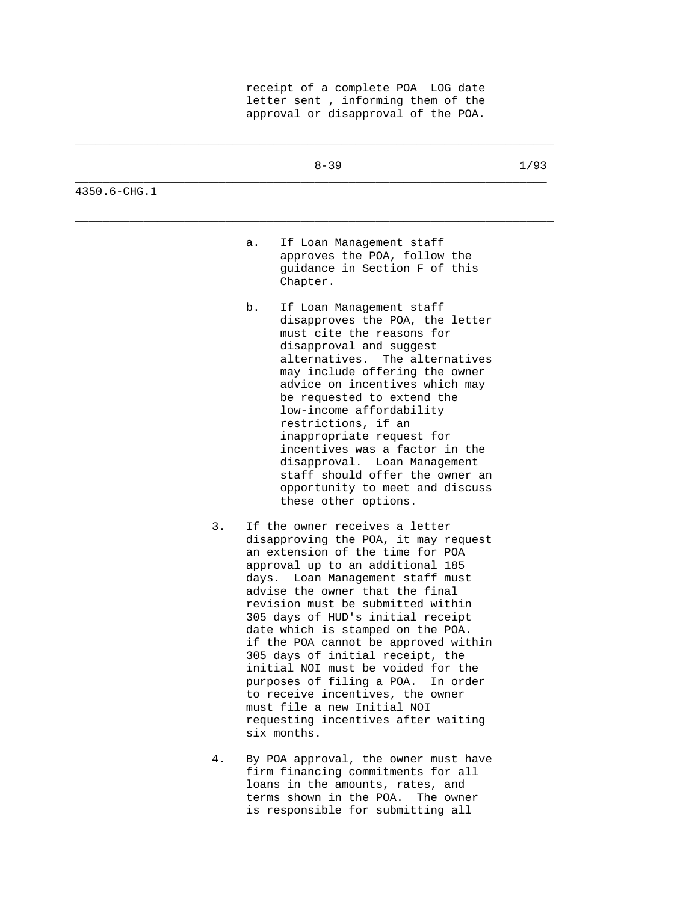receipt of a complete POA LOG date letter sent , informing them of the approval or disapproval of the POA.

|              |    | $8 - 39$                                                                                                                                                                                                                                                                                                                                                                                                                                                                                                                                                                                                              | 1/93 |
|--------------|----|-----------------------------------------------------------------------------------------------------------------------------------------------------------------------------------------------------------------------------------------------------------------------------------------------------------------------------------------------------------------------------------------------------------------------------------------------------------------------------------------------------------------------------------------------------------------------------------------------------------------------|------|
| 4350.6-CHG.1 |    |                                                                                                                                                                                                                                                                                                                                                                                                                                                                                                                                                                                                                       |      |
|              |    | If Loan Management staff<br>a.<br>approves the POA, follow the<br>guidance in Section F of this<br>Chapter.                                                                                                                                                                                                                                                                                                                                                                                                                                                                                                           |      |
|              |    | b.<br>If Loan Management staff<br>disapproves the POA, the letter<br>must cite the reasons for<br>disapproval and suggest<br>alternatives.<br>The alternatives<br>may include offering the owner<br>advice on incentives which may<br>be requested to extend the<br>low-income affordability<br>restrictions, if an<br>inappropriate request for<br>incentives was a factor in the<br>disapproval. Loan Management<br>staff should offer the owner an<br>opportunity to meet and discuss<br>these other options.                                                                                                      |      |
|              | 3. | If the owner receives a letter<br>disapproving the POA, it may request<br>an extension of the time for POA<br>approval up to an additional 185<br>days. Loan Management staff must<br>advise the owner that the final<br>revision must be submitted within<br>305 days of HUD's initial receipt<br>date which is stamped on the POA.<br>if the POA cannot be approved within<br>305 days of initial receipt, the<br>initial NOI must be voided for the<br>purposes of filing a POA. In order<br>to receive incentives, the owner<br>must file a new Initial NOI<br>requesting incentives after waiting<br>six months. |      |
|              | 4. | By POA approval, the owner must have<br>firm financing commitments for all<br>loans in the amounts, rates, and<br>terms shown in the POA.<br>The owner<br>is responsible for submitting all                                                                                                                                                                                                                                                                                                                                                                                                                           |      |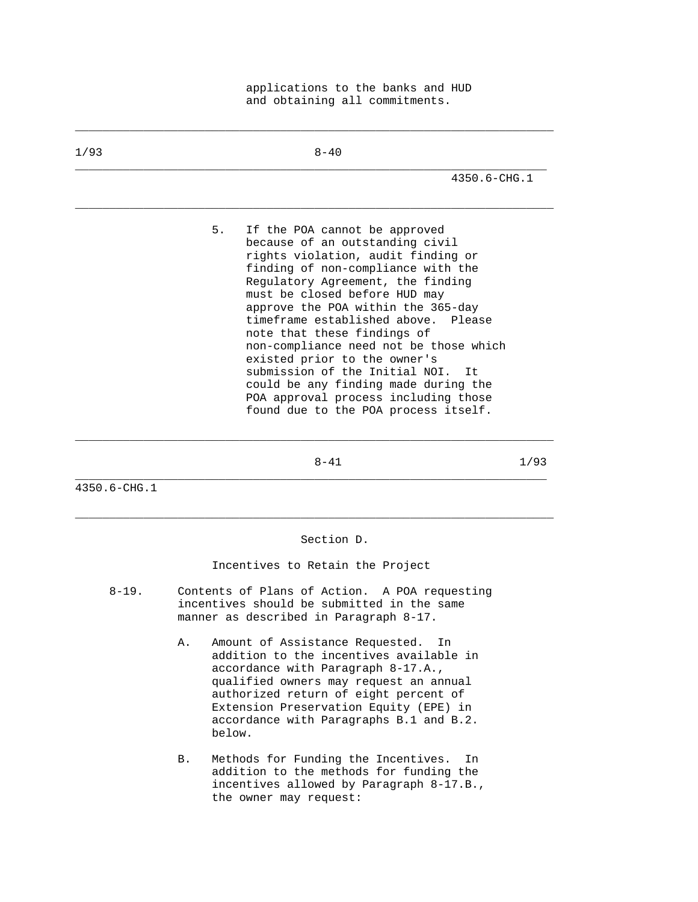applications to the banks and HUD and obtaining all commitments.

| 1/93         | $8 - 40$                                                                                                                                                                                                                                                                                                                                                                                                                                                                                                                                                                       |  |  |
|--------------|--------------------------------------------------------------------------------------------------------------------------------------------------------------------------------------------------------------------------------------------------------------------------------------------------------------------------------------------------------------------------------------------------------------------------------------------------------------------------------------------------------------------------------------------------------------------------------|--|--|
|              | 4350.6-CHG.1                                                                                                                                                                                                                                                                                                                                                                                                                                                                                                                                                                   |  |  |
|              | 5.<br>If the POA cannot be approved<br>because of an outstanding civil<br>rights violation, audit finding or<br>finding of non-compliance with the<br>Regulatory Agreement, the finding<br>must be closed before HUD may<br>approve the POA within the 365-day<br>timeframe established above. Please<br>note that these findings of<br>non-compliance need not be those which<br>existed prior to the owner's<br>submission of the Initial NOI.<br>It<br>could be any finding made during the<br>POA approval process including those<br>found due to the POA process itself. |  |  |
|              | $8 - 41$<br>1/93                                                                                                                                                                                                                                                                                                                                                                                                                                                                                                                                                               |  |  |
| 4350.6-CHG.1 |                                                                                                                                                                                                                                                                                                                                                                                                                                                                                                                                                                                |  |  |
|              | Section D.                                                                                                                                                                                                                                                                                                                                                                                                                                                                                                                                                                     |  |  |
|              | Incentives to Retain the Project                                                                                                                                                                                                                                                                                                                                                                                                                                                                                                                                               |  |  |
| $8 - 19$ .   | Contents of Plans of Action. A POA requesting<br>incentives should be submitted in the same<br>manner as described in Paragraph 8-17.                                                                                                                                                                                                                                                                                                                                                                                                                                          |  |  |
|              | Amount of Assistance Requested.<br>Α.<br>In                                                                                                                                                                                                                                                                                                                                                                                                                                                                                                                                    |  |  |

- addition to the incentives available in accordance with Paragraph 8-17.A., qualified owners may request an annual authorized return of eight percent of Extension Preservation Equity (EPE) in accordance with Paragraphs B.1 and B.2. below.
- B. Methods for Funding the Incentives. In addition to the methods for funding the incentives allowed by Paragraph 8-17.B., the owner may request: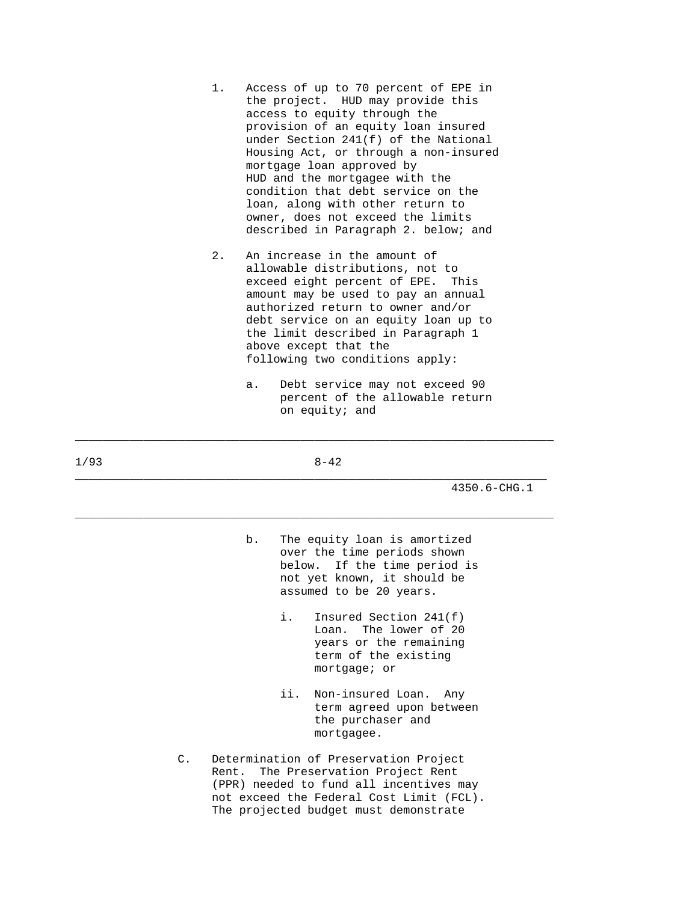- 1. Access of up to 70 percent of EPE in the project. HUD may provide this access to equity through the provision of an equity loan insured under Section 241(f) of the National Housing Act, or through a non-insured mortgage loan approved by HUD and the mortgagee with the condition that debt service on the loan, along with other return to owner, does not exceed the limits described in Paragraph 2. below; and
- 2. An increase in the amount of allowable distributions, not to exceed eight percent of EPE. This amount may be used to pay an annual authorized return to owner and/or debt service on an equity loan up to the limit described in Paragraph 1 above except that the following two conditions apply:
	- a. Debt service may not exceed 90 percent of the allowable return on equity; and

1/93 8-42

\_\_\_\_\_\_\_\_\_\_\_\_\_\_\_\_\_\_\_\_\_\_\_\_\_\_\_\_\_\_\_\_\_\_\_\_\_\_\_\_\_\_\_\_\_\_\_\_\_\_\_\_\_\_\_\_\_\_\_\_\_\_\_\_\_\_\_\_\_\_

\_\_\_\_\_\_\_\_\_\_\_\_\_\_\_\_\_\_\_\_\_\_\_\_\_\_\_\_\_\_\_\_\_\_\_\_\_\_\_\_\_\_\_\_\_\_\_\_\_\_\_\_\_\_\_\_\_\_\_\_\_\_\_\_\_\_\_\_\_

\_\_\_\_\_\_\_\_\_\_\_\_\_\_\_\_\_\_\_\_\_\_\_\_\_\_\_\_\_\_\_\_\_\_\_\_\_\_\_\_\_\_\_\_\_\_\_\_\_\_\_\_\_\_\_\_\_\_\_\_\_\_\_\_\_\_\_\_\_\_

4350.6-CHG.1

- b. The equity loan is amortized over the time periods shown below. If the time period is not yet known, it should be assumed to be 20 years.
	- i. Insured Section 241(f) Loan. The lower of 20 years or the remaining term of the existing mortgage; or
	- ii. Non-insured Loan. Any term agreed upon between the purchaser and mortgagee.
- C. Determination of Preservation Project Rent. The Preservation Project Rent (PPR) needed to fund all incentives may not exceed the Federal Cost Limit (FCL). The projected budget must demonstrate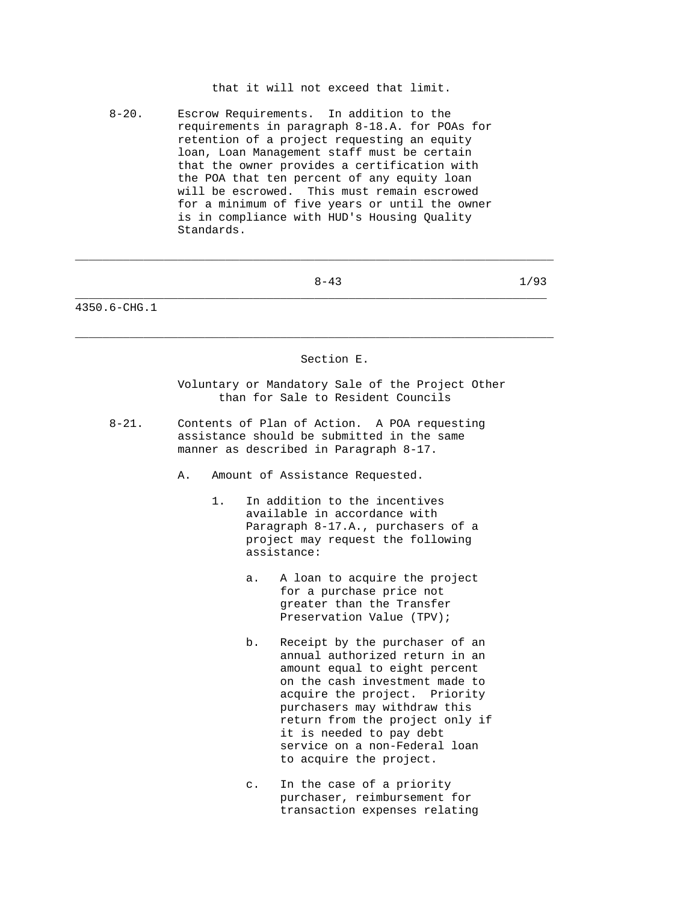that it will not exceed that limit.

 8-20. Escrow Requirements. In addition to the requirements in paragraph 8-18.A. for POAs for retention of a project requesting an equity loan, Loan Management staff must be certain that the owner provides a certification with the POA that ten percent of any equity loan will be escrowed. This must remain escrowed for a minimum of five years or until the owner is in compliance with HUD's Housing Quality Standards.

|              | $8 - 43$                                                                                                                                                                      | 1/93 |
|--------------|-------------------------------------------------------------------------------------------------------------------------------------------------------------------------------|------|
| 4350.6-CHG.1 |                                                                                                                                                                               |      |
|              | Section E.                                                                                                                                                                    |      |
|              | Voluntary or Mandatory Sale of the Project Other<br>than for Sale to Resident Councils                                                                                        |      |
| $8 - 21$ .   | Contents of Plan of Action. A POA requesting<br>assistance should be submitted in the same<br>manner as described in Paragraph 8-17.                                          |      |
|              | Amount of Assistance Requested.<br>Α.                                                                                                                                         |      |
|              | In addition to the incentives<br>$1$ .<br>available in accordance with<br>Paragraph 8-17.A., purchasers of a<br>project may request the following<br>assistance:              |      |
|              | A loan to acquire the project<br>a.<br>for a purchase price not<br>greater than the Transfer<br>Preservation Value (TPV);                                                     |      |
|              | Receipt by the purchaser of an<br>$b$ .<br>annual authorized return in an<br>amount equal to eight percent<br>on the cash investment made to<br>acquire the project. Priority |      |

 purchasers may withdraw this return from the project only if

 purchaser, reimbursement for transaction expenses relating

 it is needed to pay debt service on a non-Federal loan

to acquire the project.

c. In the case of a priority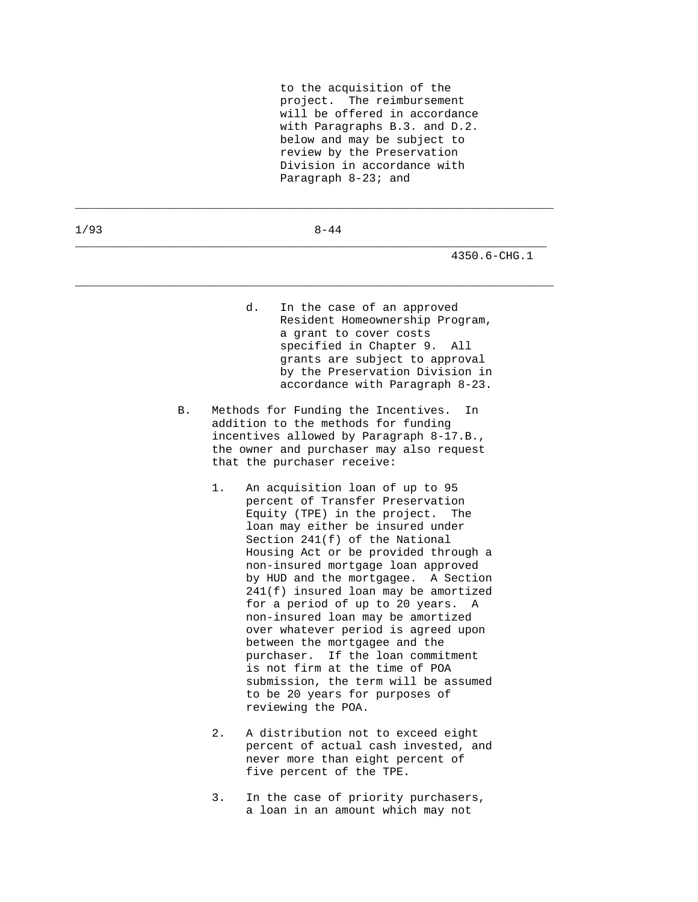to the acquisition of the project. The reimbursement will be offered in accordance with Paragraphs B.3. and D.2. below and may be subject to review by the Preservation Division in accordance with Paragraph 8-23; and

| 1/93 | $8 - 44$                                                                                                                                                                                                                                                                                                                                                                                                                                                                                                                                                                                                                                                                                                                                                                                                                                                                        |
|------|---------------------------------------------------------------------------------------------------------------------------------------------------------------------------------------------------------------------------------------------------------------------------------------------------------------------------------------------------------------------------------------------------------------------------------------------------------------------------------------------------------------------------------------------------------------------------------------------------------------------------------------------------------------------------------------------------------------------------------------------------------------------------------------------------------------------------------------------------------------------------------|
|      | $4350.6 - CHG.1$                                                                                                                                                                                                                                                                                                                                                                                                                                                                                                                                                                                                                                                                                                                                                                                                                                                                |
|      | d.<br>In the case of an approved<br>Resident Homeownership Program,<br>a grant to cover costs<br>specified in Chapter 9.<br>All<br>grants are subject to approval<br>by the Preservation Division in<br>accordance with Paragraph 8-23.                                                                                                                                                                                                                                                                                                                                                                                                                                                                                                                                                                                                                                         |
|      | Methods for Funding the Incentives.<br><b>B</b> .<br>In<br>addition to the methods for funding<br>incentives allowed by Paragraph 8-17.B.,<br>the owner and purchaser may also request<br>that the purchaser receive:<br>$1$ .<br>An acquisition loan of up to 95<br>percent of Transfer Preservation<br>Equity (TPE) in the project. The<br>loan may either be insured under<br>Section 241(f) of the National<br>Housing Act or be provided through a<br>non-insured mortgage loan approved<br>by HUD and the mortgagee. A Section<br>241(f) insured loan may be amortized<br>for a period of up to 20 years. A<br>non-insured loan may be amortized<br>over whatever period is agreed upon<br>between the mortgagee and the<br>purchaser. If the loan commitment<br>is not firm at the time of POA<br>submission, the term will be assumed<br>to be 20 years for purposes of |
|      | reviewing the POA.<br>2.<br>A distribution not to exceed eight<br>percent of actual cash invested, and<br>never more than eight percent of<br>five percent of the TPE.                                                                                                                                                                                                                                                                                                                                                                                                                                                                                                                                                                                                                                                                                                          |

 3. In the case of priority purchasers, a loan in an amount which may not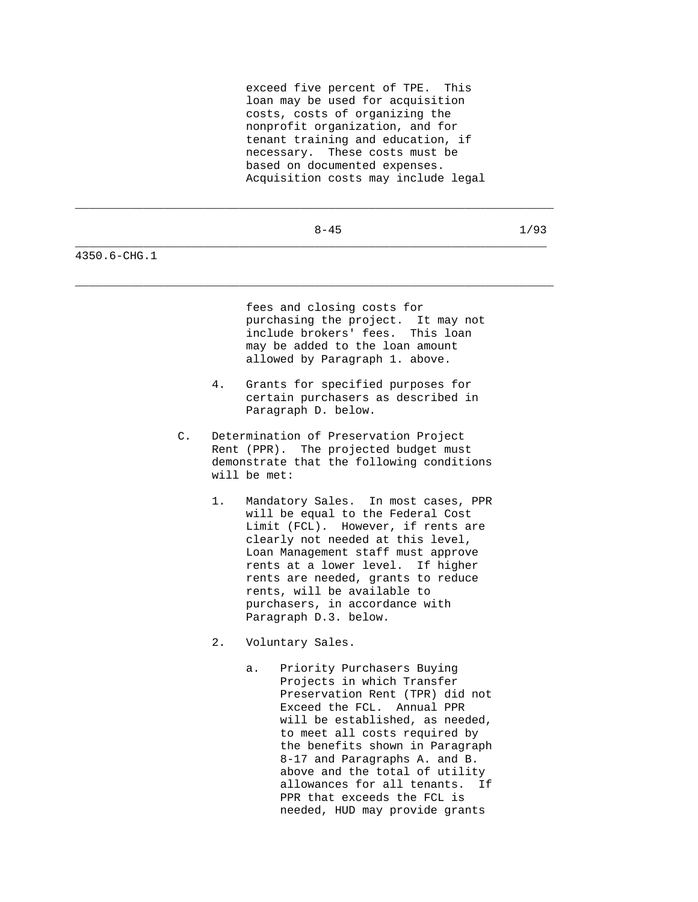exceed five percent of TPE. This loan may be used for acquisition costs, costs of organizing the nonprofit organization, and for tenant training and education, if necessary. These costs must be based on documented expenses. Acquisition costs may include legal

\_\_\_\_\_\_\_\_\_\_\_\_\_\_\_\_\_\_\_\_\_\_\_\_\_\_\_\_\_\_\_\_\_\_\_\_\_\_\_\_\_\_\_\_\_\_\_\_\_\_\_\_\_\_\_\_\_\_\_\_\_\_\_\_\_\_\_\_\_\_

|              |                |    | $8 - 45$                                                                                                                                                                                                                                                                                                                                                                      | 1/93 |  |
|--------------|----------------|----|-------------------------------------------------------------------------------------------------------------------------------------------------------------------------------------------------------------------------------------------------------------------------------------------------------------------------------------------------------------------------------|------|--|
| 4350.6-CHG.1 |                |    |                                                                                                                                                                                                                                                                                                                                                                               |      |  |
|              |                |    | fees and closing costs for<br>purchasing the project. It may not<br>include brokers' fees. This loan<br>may be added to the loan amount<br>allowed by Paragraph 1. above.                                                                                                                                                                                                     |      |  |
|              |                | 4. | Grants for specified purposes for<br>certain purchasers as described in<br>Paragraph D. below.                                                                                                                                                                                                                                                                                |      |  |
|              | $\mathsf{C}$ . |    | Determination of Preservation Project<br>Rent (PPR). The projected budget must<br>demonstrate that the following conditions<br>will be met:                                                                                                                                                                                                                                   |      |  |
|              |                | 1. | Mandatory Sales. In most cases, PPR<br>will be equal to the Federal Cost<br>Limit (FCL). However, if rents are<br>clearly not needed at this level,<br>Loan Management staff must approve<br>rents at a lower level.<br>If higher<br>rents are needed, grants to reduce<br>rents, will be available to<br>purchasers, in accordance with<br>Paragraph D.3. below.             |      |  |
|              |                | 2. | Voluntary Sales.                                                                                                                                                                                                                                                                                                                                                              |      |  |
|              |                |    | Priority Purchasers Buying<br>a.<br>Projects in which Transfer<br>Preservation Rent (TPR) did not<br>Exceed the FCL. Annual PPR<br>will be established, as needed,<br>to meet all costs required by<br>the benefits shown in Paragraph<br>8-17 and Paragraphs A. and B.<br>above and the total of utility<br>allowances for all tenants.<br>Ιf<br>PPR that exceeds the FCL is |      |  |

needed, HUD may provide grants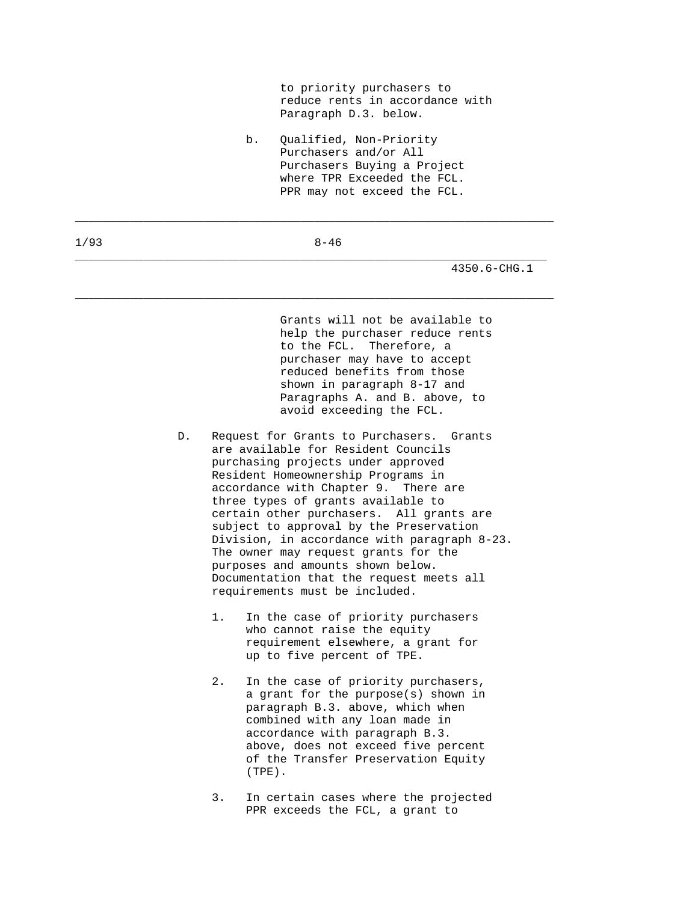to priority purchasers to reduce rents in accordance with Paragraph D.3. below.

 b. Qualified, Non-Priority Purchasers and/or All Purchasers Buying a Project where TPR Exceeded the FCL. PPR may not exceed the FCL.

1/93 8-46

\_\_\_\_\_\_\_\_\_\_\_\_\_\_\_\_\_\_\_\_\_\_\_\_\_\_\_\_\_\_\_\_\_\_\_\_\_\_\_\_\_\_\_\_\_\_\_\_\_\_\_\_\_\_\_\_\_\_\_\_\_\_\_\_\_\_\_\_\_\_

\_\_\_\_\_\_\_\_\_\_\_\_\_\_\_\_\_\_\_\_\_\_\_\_\_\_\_\_\_\_\_\_\_\_\_\_\_\_\_\_\_\_\_\_\_\_\_\_\_\_\_\_\_\_\_\_\_\_\_\_\_\_\_\_\_\_\_\_\_

\_\_\_\_\_\_\_\_\_\_\_\_\_\_\_\_\_\_\_\_\_\_\_\_\_\_\_\_\_\_\_\_\_\_\_\_\_\_\_\_\_\_\_\_\_\_\_\_\_\_\_\_\_\_\_\_\_\_\_\_\_\_\_\_\_\_\_\_\_\_

4350.6-CHG.1

 Grants will not be available to help the purchaser reduce rents to the FCL. Therefore, a purchaser may have to accept reduced benefits from those shown in paragraph 8-17 and Paragraphs A. and B. above, to avoid exceeding the FCL.

- D. Request for Grants to Purchasers. Grants are available for Resident Councils purchasing projects under approved Resident Homeownership Programs in accordance with Chapter 9. There are three types of grants available to certain other purchasers. All grants are subject to approval by the Preservation Division, in accordance with paragraph 8-23. The owner may request grants for the purposes and amounts shown below. Documentation that the request meets all requirements must be included.
	- 1. In the case of priority purchasers who cannot raise the equity requirement elsewhere, a grant for up to five percent of TPE.
	- 2. In the case of priority purchasers, a grant for the purpose(s) shown in paragraph B.3. above, which when combined with any loan made in accordance with paragraph B.3. above, does not exceed five percent of the Transfer Preservation Equity (TPE).
	- 3. In certain cases where the projected PPR exceeds the FCL, a grant to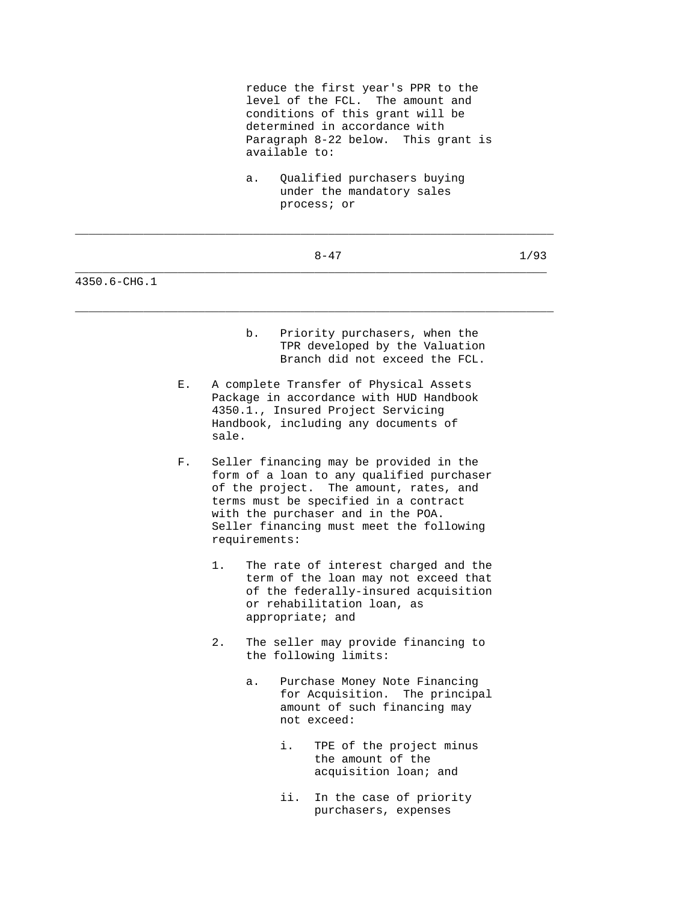|              | reduce the first year's PPR to the<br>level of the FCL. The amount and<br>conditions of this grant will be<br>determined in accordance with<br>Paragraph 8-22 below. This grant is<br>available to: |                                                                                                                                                                                                                                                                            |    |     |                                                                                                                                                                        |      |
|--------------|-----------------------------------------------------------------------------------------------------------------------------------------------------------------------------------------------------|----------------------------------------------------------------------------------------------------------------------------------------------------------------------------------------------------------------------------------------------------------------------------|----|-----|------------------------------------------------------------------------------------------------------------------------------------------------------------------------|------|
|              |                                                                                                                                                                                                     |                                                                                                                                                                                                                                                                            | а. |     | Qualified purchasers buying<br>under the mandatory sales<br>process; or                                                                                                |      |
|              |                                                                                                                                                                                                     |                                                                                                                                                                                                                                                                            |    |     | $8 - 47$                                                                                                                                                               | 1/93 |
| 4350.6-CHG.1 |                                                                                                                                                                                                     |                                                                                                                                                                                                                                                                            |    |     |                                                                                                                                                                        |      |
|              |                                                                                                                                                                                                     |                                                                                                                                                                                                                                                                            | b. |     | Priority purchasers, when the<br>TPR developed by the Valuation<br>Branch did not exceed the FCL.                                                                      |      |
|              | Е.                                                                                                                                                                                                  | sale.                                                                                                                                                                                                                                                                      |    |     | A complete Transfer of Physical Assets<br>Package in accordance with HUD Handbook<br>4350.1., Insured Project Servicing<br>Handbook, including any documents of        |      |
|              | F.                                                                                                                                                                                                  | Seller financing may be provided in the<br>form of a loan to any qualified purchaser<br>of the project. The amount, rates, and<br>terms must be specified in a contract<br>with the purchaser and in the POA.<br>Seller financing must meet the following<br>requirements: |    |     |                                                                                                                                                                        |      |
|              |                                                                                                                                                                                                     | 1.                                                                                                                                                                                                                                                                         |    |     | The rate of interest charged and the<br>term of the loan may not exceed that<br>of the federally-insured acquisition<br>or rehabilitation loan, as<br>appropriate; and |      |
|              |                                                                                                                                                                                                     | 2.                                                                                                                                                                                                                                                                         |    |     | The seller may provide financing to<br>the following limits:                                                                                                           |      |
|              |                                                                                                                                                                                                     |                                                                                                                                                                                                                                                                            | а. |     | Purchase Money Note Financing<br>for Acquisition. The principal<br>amount of such financing may<br>not exceed:                                                         |      |
|              |                                                                                                                                                                                                     |                                                                                                                                                                                                                                                                            |    | i.  | TPE of the project minus<br>the amount of the<br>acquisition loan; and                                                                                                 |      |
|              |                                                                                                                                                                                                     |                                                                                                                                                                                                                                                                            |    | ii. | In the case of priority<br>purchasers, expenses                                                                                                                        |      |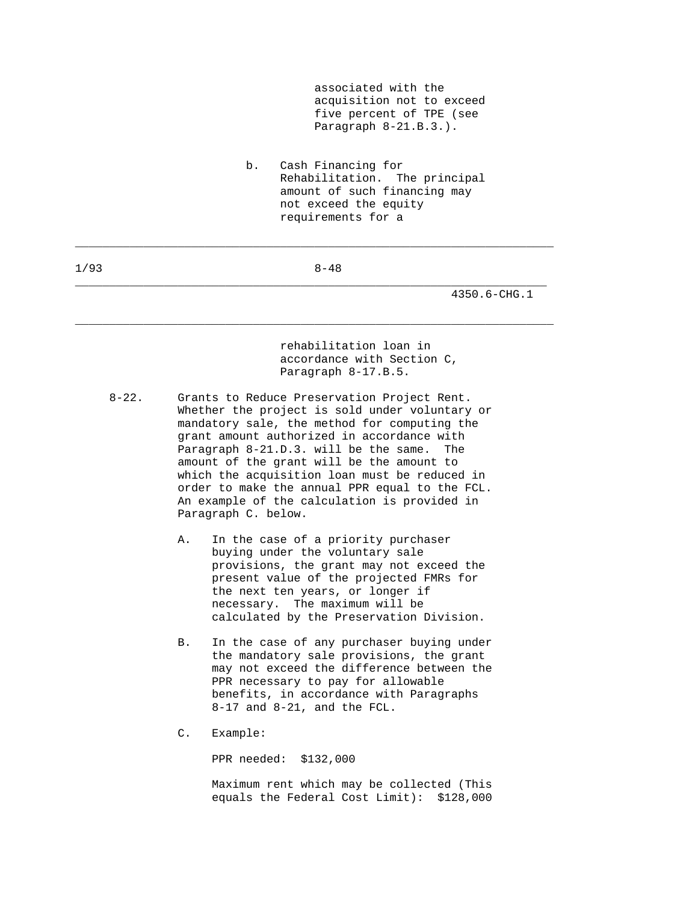associated with the acquisition not to exceed five percent of TPE (see Paragraph 8-21.B.3.).

 b. Cash Financing for Rehabilitation. The principal amount of such financing may not exceed the equity requirements for a

| 1/93 | $8 - 48$                                                                    |
|------|-----------------------------------------------------------------------------|
|      | 4350.6-CHG.1                                                                |
|      | rehabilitation loan in<br>accordance with Section C,<br>Paragraph 8-17.B.5. |

- 8-22. Grants to Reduce Preservation Project Rent. Whether the project is sold under voluntary or mandatory sale, the method for computing the grant amount authorized in accordance with Paragraph 8-21.D.3. will be the same. The amount of the grant will be the amount to which the acquisition loan must be reduced in order to make the annual PPR equal to the FCL. An example of the calculation is provided in Paragraph C. below.
	- A. In the case of a priority purchaser buying under the voluntary sale provisions, the grant may not exceed the present value of the projected FMRs for the next ten years, or longer if necessary. The maximum will be calculated by the Preservation Division.
	- B. In the case of any purchaser buying under the mandatory sale provisions, the grant may not exceed the difference between the PPR necessary to pay for allowable benefits, in accordance with Paragraphs 8-17 and 8-21, and the FCL.

C. Example:

PPR needed: \$132,000

 Maximum rent which may be collected (This equals the Federal Cost Limit): \$128,000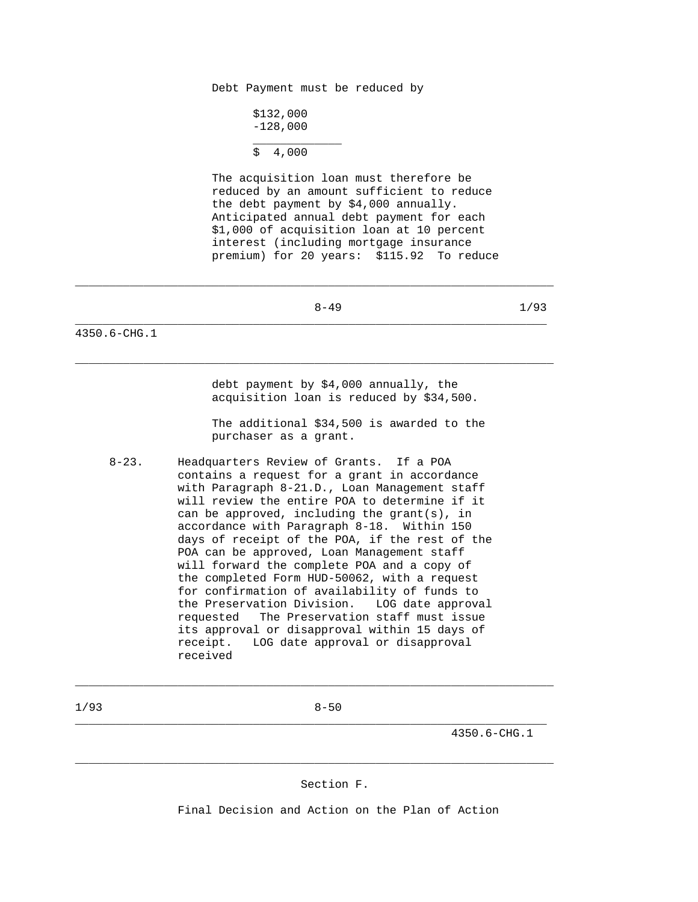Debt Payment must be reduced by

```
 $132,000 
                                                     -128,000 
\mathcal{L}_\text{max} and \mathcal{L}_\text{max} and \mathcal{L}_\text{max} and \mathcal{L}_\text{max}$ 4,000
```
 The acquisition loan must therefore be reduced by an amount sufficient to reduce the debt payment by \$4,000 annually. Anticipated annual debt payment for each \$1,000 of acquisition loan at 10 percent interest (including mortgage insurance premium) for 20 years: \$115.92 To reduce

|              | $8 - 49$                                                                                                                                                                                                                                                                                                                                                                               | 1/93 |
|--------------|----------------------------------------------------------------------------------------------------------------------------------------------------------------------------------------------------------------------------------------------------------------------------------------------------------------------------------------------------------------------------------------|------|
| 4350.6-CHG.1 |                                                                                                                                                                                                                                                                                                                                                                                        |      |
|              | debt payment by \$4,000 annually, the<br>acquisition loan is reduced by \$34,500.                                                                                                                                                                                                                                                                                                      |      |
|              | The additional \$34,500 is awarded to the<br>purchaser as a grant.                                                                                                                                                                                                                                                                                                                     |      |
| $8 - 23$ .   | Headquarters Review of Grants. If a POA<br>contains a request for a grant in accordance<br>with Paragraph 8-21.D., Loan Management staff<br>will review the entire POA to determine if it<br>can be approved, including the grant(s), in<br>accordance with Paragraph 8-18. Within 150<br>days of receipt of the POA, if the rest of the<br>POA can be approved, Loan Management staff |      |

\_\_\_\_\_\_\_\_\_\_\_\_\_\_\_\_\_\_\_\_\_\_\_\_\_\_\_\_\_\_\_\_\_\_\_\_\_\_\_\_\_\_\_\_\_\_\_\_\_\_\_\_\_\_\_\_\_\_\_\_\_\_\_\_\_\_\_\_\_\_

 will forward the complete POA and a copy of the completed Form HUD-50062, with a request for confirmation of availability of funds to the Preservation Division. LOG date approval requested The Preservation staff must issue its approval or disapproval within 15 days of receipt. LOG date approval or disapproval

received

1/93 8-50

\_\_\_\_\_\_\_\_\_\_\_\_\_\_\_\_\_\_\_\_\_\_\_\_\_\_\_\_\_\_\_\_\_\_\_\_\_\_\_\_\_\_\_\_\_\_\_\_\_\_\_\_\_\_\_\_\_\_\_\_\_\_\_\_\_\_\_\_\_\_

\_\_\_\_\_\_\_\_\_\_\_\_\_\_\_\_\_\_\_\_\_\_\_\_\_\_\_\_\_\_\_\_\_\_\_\_\_\_\_\_\_\_\_\_\_\_\_\_\_\_\_\_\_\_\_\_\_\_\_\_\_\_\_\_\_\_\_\_\_

\_\_\_\_\_\_\_\_\_\_\_\_\_\_\_\_\_\_\_\_\_\_\_\_\_\_\_\_\_\_\_\_\_\_\_\_\_\_\_\_\_\_\_\_\_\_\_\_\_\_\_\_\_\_\_\_\_\_\_\_\_\_\_\_\_\_\_\_\_\_

4350.6-CHG.1

Section F.

Final Decision and Action on the Plan of Action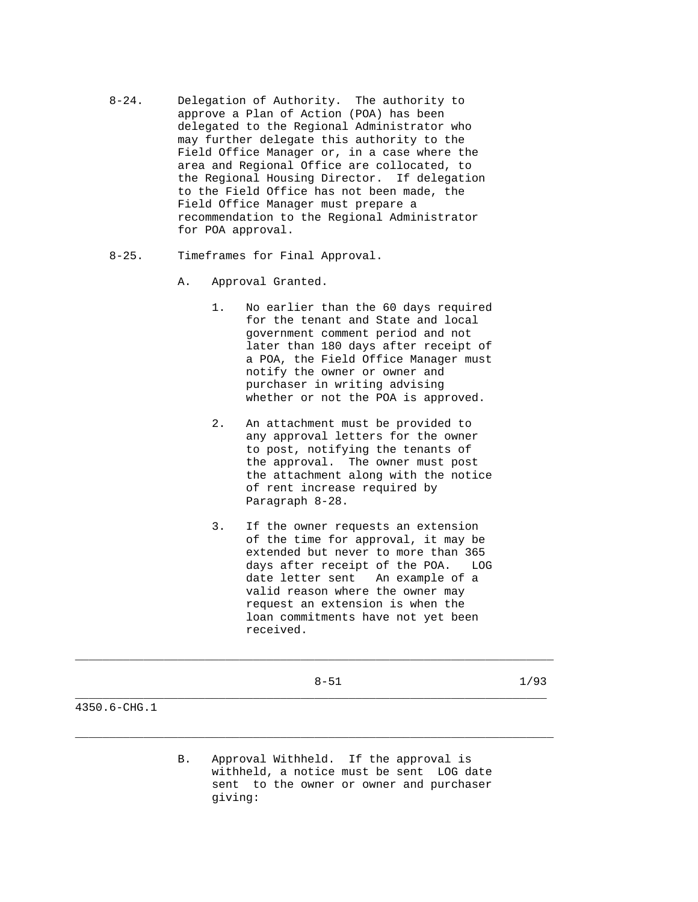- 8-24. Delegation of Authority. The authority to approve a Plan of Action (POA) has been delegated to the Regional Administrator who may further delegate this authority to the Field Office Manager or, in a case where the area and Regional Office are collocated, to the Regional Housing Director. If delegation to the Field Office has not been made, the Field Office Manager must prepare a recommendation to the Regional Administrator for POA approval.
- 8-25. Timeframes for Final Approval.
	- A. Approval Granted.
		- 1. No earlier than the 60 days required for the tenant and State and local government comment period and not later than 180 days after receipt of a POA, the Field Office Manager must notify the owner or owner and purchaser in writing advising whether or not the POA is approved.
		- 2. An attachment must be provided to any approval letters for the owner to post, notifying the tenants of the approval. The owner must post the attachment along with the notice of rent increase required by Paragraph 8-28.
		- 3. If the owner requests an extension of the time for approval, it may be extended but never to more than 365 days after receipt of the POA. LOG date letter sent An example of a valid reason where the owner may request an extension is when the loan commitments have not yet been received.

\_\_\_\_\_\_\_\_\_\_\_\_\_\_\_\_\_\_\_\_\_\_\_\_\_\_\_\_\_\_\_\_\_\_\_\_\_\_\_\_\_\_\_\_\_\_\_\_\_\_\_\_\_\_\_\_\_\_\_\_\_\_\_\_\_\_\_\_\_\_

\_\_\_\_\_\_\_\_\_\_\_\_\_\_\_\_\_\_\_\_\_\_\_\_\_\_\_\_\_\_\_\_\_\_\_\_\_\_\_\_\_\_\_\_\_\_\_\_\_\_\_\_\_\_\_\_\_\_\_\_\_\_\_\_\_\_\_\_\_

\_\_\_\_\_\_\_\_\_\_\_\_\_\_\_\_\_\_\_\_\_\_\_\_\_\_\_\_\_\_\_\_\_\_\_\_\_\_\_\_\_\_\_\_\_\_\_\_\_\_\_\_\_\_\_\_\_\_\_\_\_\_\_\_\_\_\_\_\_\_

4350.6-CHG.1

 B. Approval Withheld. If the approval is withheld, a notice must be sent LOG date sent to the owner or owner and purchaser giving: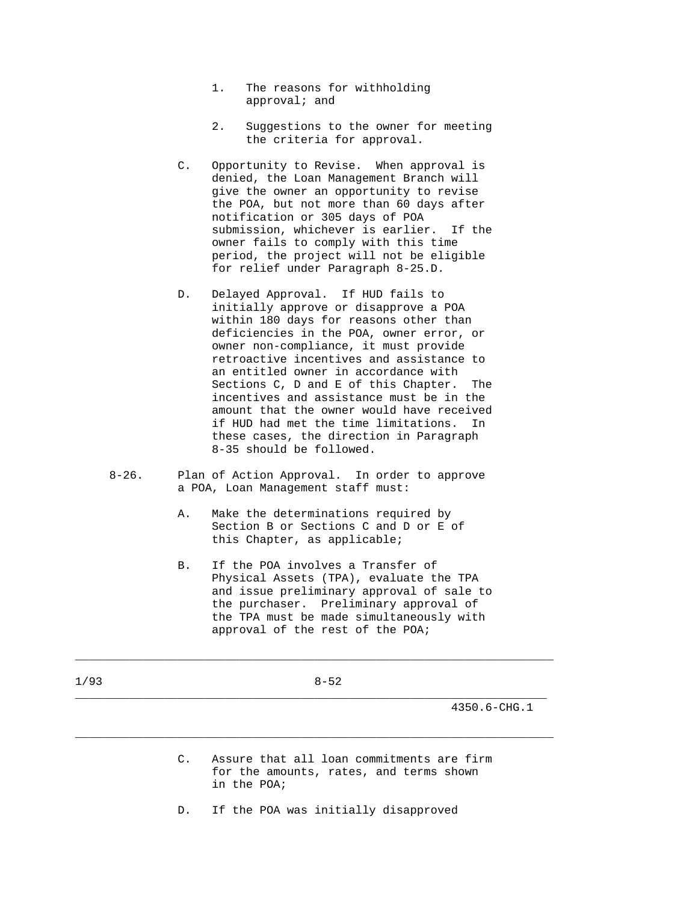- 1. The reasons for withholding approval; and
- 2. Suggestions to the owner for meeting the criteria for approval.
- C. Opportunity to Revise. When approval is denied, the Loan Management Branch will give the owner an opportunity to revise the POA, but not more than 60 days after notification or 305 days of POA submission, whichever is earlier. If the owner fails to comply with this time period, the project will not be eligible for relief under Paragraph 8-25.D.
- D. Delayed Approval. If HUD fails to initially approve or disapprove a POA within 180 days for reasons other than deficiencies in the POA, owner error, or owner non-compliance, it must provide retroactive incentives and assistance to an entitled owner in accordance with Sections C, D and E of this Chapter. The incentives and assistance must be in the amount that the owner would have received if HUD had met the time limitations. In these cases, the direction in Paragraph 8-35 should be followed.
- 8-26. Plan of Action Approval. In order to approve a POA, Loan Management staff must:
	- A. Make the determinations required by Section B or Sections C and D or E of this Chapter, as applicable;
	- B. If the POA involves a Transfer of Physical Assets (TPA), evaluate the TPA and issue preliminary approval of sale to the purchaser. Preliminary approval of the TPA must be made simultaneously with approval of the rest of the POA;

1/93 8-52

\_\_\_\_\_\_\_\_\_\_\_\_\_\_\_\_\_\_\_\_\_\_\_\_\_\_\_\_\_\_\_\_\_\_\_\_\_\_\_\_\_\_\_\_\_\_\_\_\_\_\_\_\_\_\_\_\_\_\_\_\_\_\_\_\_\_\_\_\_\_

\_\_\_\_\_\_\_\_\_\_\_\_\_\_\_\_\_\_\_\_\_\_\_\_\_\_\_\_\_\_\_\_\_\_\_\_\_\_\_\_\_\_\_\_\_\_\_\_\_\_\_\_\_\_\_\_\_\_\_\_\_\_\_\_\_\_\_\_\_

\_\_\_\_\_\_\_\_\_\_\_\_\_\_\_\_\_\_\_\_\_\_\_\_\_\_\_\_\_\_\_\_\_\_\_\_\_\_\_\_\_\_\_\_\_\_\_\_\_\_\_\_\_\_\_\_\_\_\_\_\_\_\_\_\_\_\_\_\_\_

4350.6-CHG.1

 C. Assure that all loan commitments are firm for the amounts, rates, and terms shown in the POA;

D. If the POA was initially disapproved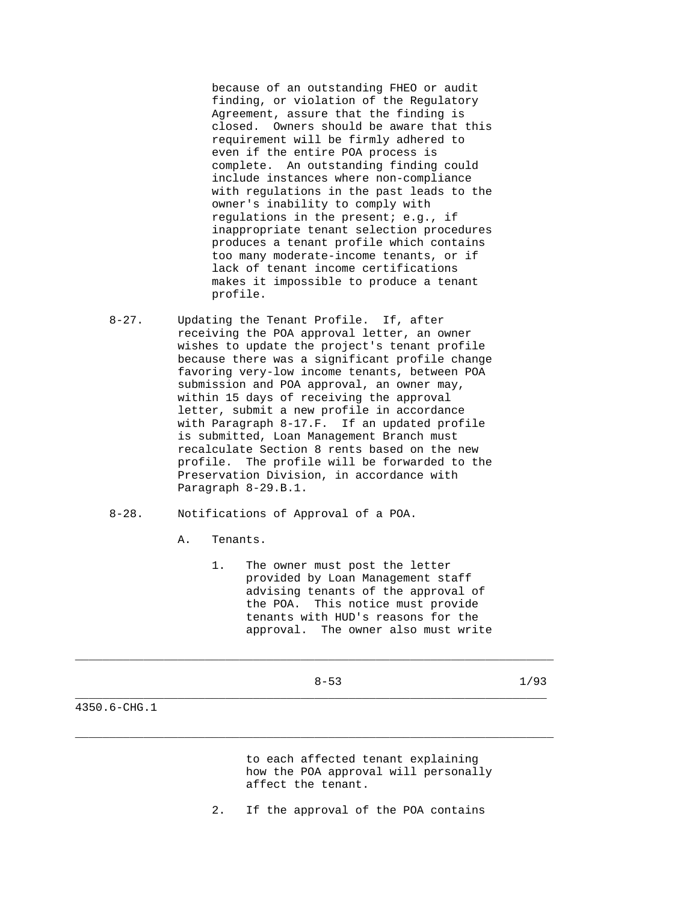because of an outstanding FHEO or audit finding, or violation of the Regulatory Agreement, assure that the finding is closed. Owners should be aware that this requirement will be firmly adhered to even if the entire POA process is complete. An outstanding finding could include instances where non-compliance with regulations in the past leads to the owner's inability to comply with regulations in the present; e.g., if inappropriate tenant selection procedures produces a tenant profile which contains too many moderate-income tenants, or if lack of tenant income certifications makes it impossible to produce a tenant profile.

- 8-27. Updating the Tenant Profile. If, after receiving the POA approval letter, an owner wishes to update the project's tenant profile because there was a significant profile change favoring very-low income tenants, between POA submission and POA approval, an owner may, within 15 days of receiving the approval letter, submit a new profile in accordance with Paragraph 8-17.F. If an updated profile is submitted, Loan Management Branch must recalculate Section 8 rents based on the new profile. The profile will be forwarded to the Preservation Division, in accordance with Paragraph 8-29.B.1.
- 8-28. Notifications of Approval of a POA.
	- A. Tenants.
		- 1. The owner must post the letter provided by Loan Management staff advising tenants of the approval of the POA. This notice must provide tenants with HUD's reasons for the approval. The owner also must write

\_\_\_\_\_\_\_\_\_\_\_\_\_\_\_\_\_\_\_\_\_\_\_\_\_\_\_\_\_\_\_\_\_\_\_\_\_\_\_\_\_\_\_\_\_\_\_\_\_\_\_\_\_\_\_\_\_\_\_\_\_\_\_\_\_\_\_\_\_\_

\_\_\_\_\_\_\_\_\_\_\_\_\_\_\_\_\_\_\_\_\_\_\_\_\_\_\_\_\_\_\_\_\_\_\_\_\_\_\_\_\_\_\_\_\_\_\_\_\_\_\_\_\_\_\_\_\_\_\_\_\_\_\_\_\_\_\_\_\_

\_\_\_\_\_\_\_\_\_\_\_\_\_\_\_\_\_\_\_\_\_\_\_\_\_\_\_\_\_\_\_\_\_\_\_\_\_\_\_\_\_\_\_\_\_\_\_\_\_\_\_\_\_\_\_\_\_\_\_\_\_\_\_\_\_\_\_\_\_\_

4350.6-CHG.1

 to each affected tenant explaining how the POA approval will personally affect the tenant.

2. If the approval of the POA contains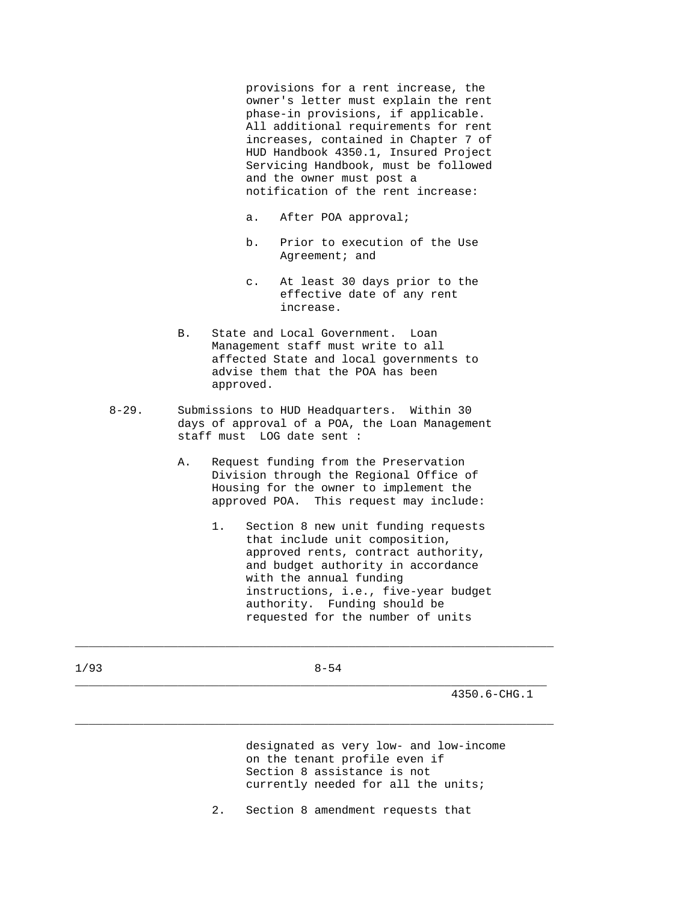provisions for a rent increase, the owner's letter must explain the rent phase-in provisions, if applicable. All additional requirements for rent increases, contained in Chapter 7 of HUD Handbook 4350.1, Insured Project Servicing Handbook, must be followed and the owner must post a notification of the rent increase:

- a. After POA approval;
- b. Prior to execution of the Use Agreement; and
- c. At least 30 days prior to the effective date of any rent increase.
- B. State and Local Government. Loan Management staff must write to all affected State and local governments to advise them that the POA has been approved.
- 8-29. Submissions to HUD Headquarters. Within 30 days of approval of a POA, the Loan Management staff must LOG date sent :
	- A. Request funding from the Preservation Division through the Regional Office of Housing for the owner to implement the approved POA. This request may include:
		- 1. Section 8 new unit funding requests that include unit composition, approved rents, contract authority, and budget authority in accordance with the annual funding instructions, i.e., five-year budget authority. Funding should be requested for the number of units

\_\_\_\_\_\_\_\_\_\_\_\_\_\_\_\_\_\_\_\_\_\_\_\_\_\_\_\_\_\_\_\_\_\_\_\_\_\_\_\_\_\_\_\_\_\_\_\_\_\_\_\_\_\_\_\_\_\_\_\_\_\_\_\_\_\_\_\_\_\_

\_\_\_\_\_\_\_\_\_\_\_\_\_\_\_\_\_\_\_\_\_\_\_\_\_\_\_\_\_\_\_\_\_\_\_\_\_\_\_\_\_\_\_\_\_\_\_\_\_\_\_\_\_\_\_\_\_\_\_\_\_\_\_\_\_\_\_\_\_

\_\_\_\_\_\_\_\_\_\_\_\_\_\_\_\_\_\_\_\_\_\_\_\_\_\_\_\_\_\_\_\_\_\_\_\_\_\_\_\_\_\_\_\_\_\_\_\_\_\_\_\_\_\_\_\_\_\_\_\_\_\_\_\_\_\_\_\_\_\_

4350.6-CHG.1

 designated as very low- and low-income on the tenant profile even if Section 8 assistance is not currently needed for all the units;

2. Section 8 amendment requests that

1/93 8-54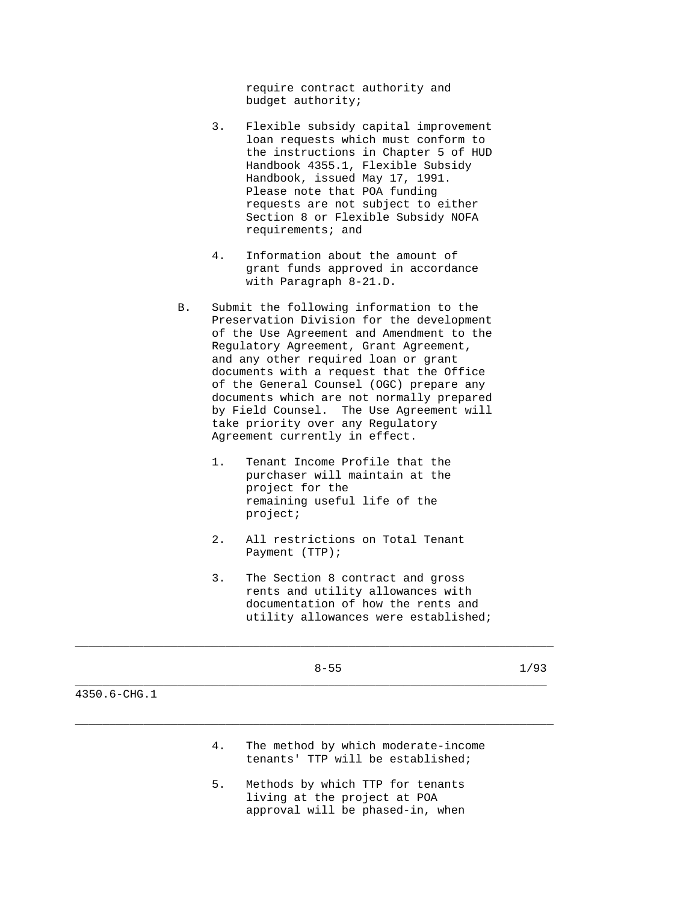require contract authority and budget authority;

- 3. Flexible subsidy capital improvement loan requests which must conform to the instructions in Chapter 5 of HUD Handbook 4355.1, Flexible Subsidy Handbook, issued May 17, 1991. Please note that POA funding requests are not subject to either Section 8 or Flexible Subsidy NOFA requirements; and
- 4. Information about the amount of grant funds approved in accordance with Paragraph 8-21.D.
- B. Submit the following information to the Preservation Division for the development of the Use Agreement and Amendment to the Regulatory Agreement, Grant Agreement, and any other required loan or grant documents with a request that the Office of the General Counsel (OGC) prepare any documents which are not normally prepared by Field Counsel. The Use Agreement will take priority over any Regulatory Agreement currently in effect.
	- 1. Tenant Income Profile that the purchaser will maintain at the project for the remaining useful life of the project;
	- 2. All restrictions on Total Tenant Payment (TTP);
	- 3. The Section 8 contract and gross rents and utility allowances with documentation of how the rents and utility allowances were established;

\_\_\_\_\_\_\_\_\_\_\_\_\_\_\_\_\_\_\_\_\_\_\_\_\_\_\_\_\_\_\_\_\_\_\_\_\_\_\_\_\_\_\_\_\_\_\_\_\_\_\_\_\_\_\_\_\_\_\_\_\_\_\_\_\_\_\_\_\_\_

\_\_\_\_\_\_\_\_\_\_\_\_\_\_\_\_\_\_\_\_\_\_\_\_\_\_\_\_\_\_\_\_\_\_\_\_\_\_\_\_\_\_\_\_\_\_\_\_\_\_\_\_\_\_\_\_\_\_\_\_\_\_\_\_\_\_\_\_\_

\_\_\_\_\_\_\_\_\_\_\_\_\_\_\_\_\_\_\_\_\_\_\_\_\_\_\_\_\_\_\_\_\_\_\_\_\_\_\_\_\_\_\_\_\_\_\_\_\_\_\_\_\_\_\_\_\_\_\_\_\_\_\_\_\_\_\_\_\_\_

8-55 1/93

4350.6-CHG.1

- 4. The method by which moderate-income tenants' TTP will be established;
- 5. Methods by which TTP for tenants living at the project at POA approval will be phased-in, when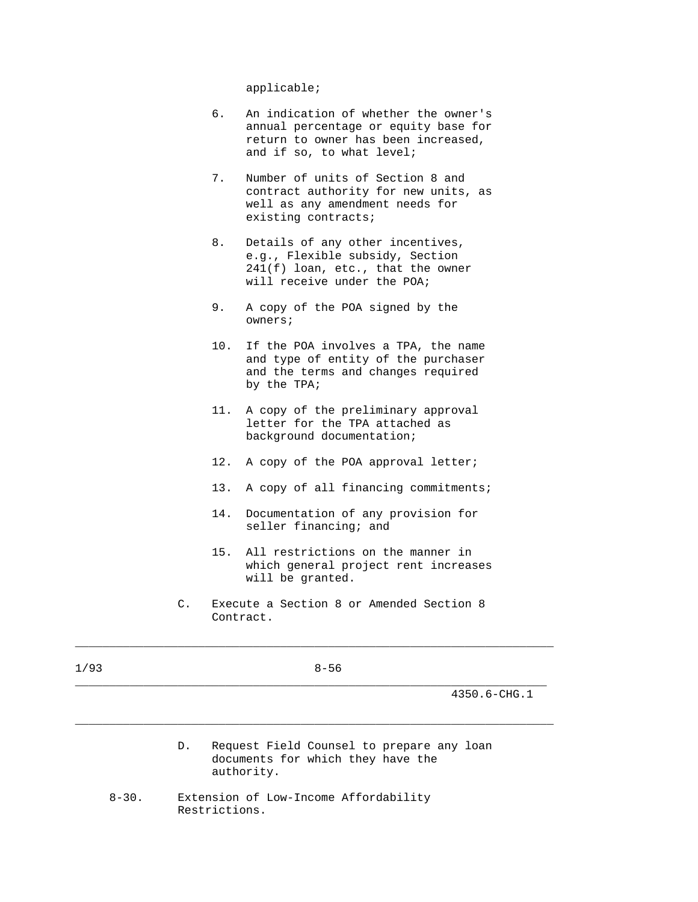applicable;

- 6. An indication of whether the owner's annual percentage or equity base for return to owner has been increased, and if so, to what level;
- 7. Number of units of Section 8 and contract authority for new units, as well as any amendment needs for existing contracts;
- 8. Details of any other incentives, e.g., Flexible subsidy, Section 241(f) loan, etc., that the owner will receive under the POA;
- 9. A copy of the POA signed by the owners;
- 10. If the POA involves a TPA, the name and type of entity of the purchaser and the terms and changes required by the TPA;
- 11. A copy of the preliminary approval letter for the TPA attached as background documentation;
- 12. A copy of the POA approval letter;
- 13. A copy of all financing commitments;
- 14. Documentation of any provision for seller financing; and
- 15. All restrictions on the manner in which general project rent increases will be granted.
- C. Execute a Section 8 or Amended Section 8 Contract.

1/93 8-56

\_\_\_\_\_\_\_\_\_\_\_\_\_\_\_\_\_\_\_\_\_\_\_\_\_\_\_\_\_\_\_\_\_\_\_\_\_\_\_\_\_\_\_\_\_\_\_\_\_\_\_\_\_\_\_\_\_\_\_\_\_\_\_\_\_\_\_\_\_\_

\_\_\_\_\_\_\_\_\_\_\_\_\_\_\_\_\_\_\_\_\_\_\_\_\_\_\_\_\_\_\_\_\_\_\_\_\_\_\_\_\_\_\_\_\_\_\_\_\_\_\_\_\_\_\_\_\_\_\_\_\_\_\_\_\_\_\_\_\_

\_\_\_\_\_\_\_\_\_\_\_\_\_\_\_\_\_\_\_\_\_\_\_\_\_\_\_\_\_\_\_\_\_\_\_\_\_\_\_\_\_\_\_\_\_\_\_\_\_\_\_\_\_\_\_\_\_\_\_\_\_\_\_\_\_\_\_\_\_\_

4350.6-CHG.1

- D. Request Field Counsel to prepare any loan documents for which they have the authority.
- 8-30. Extension of Low-Income Affordability Restrictions.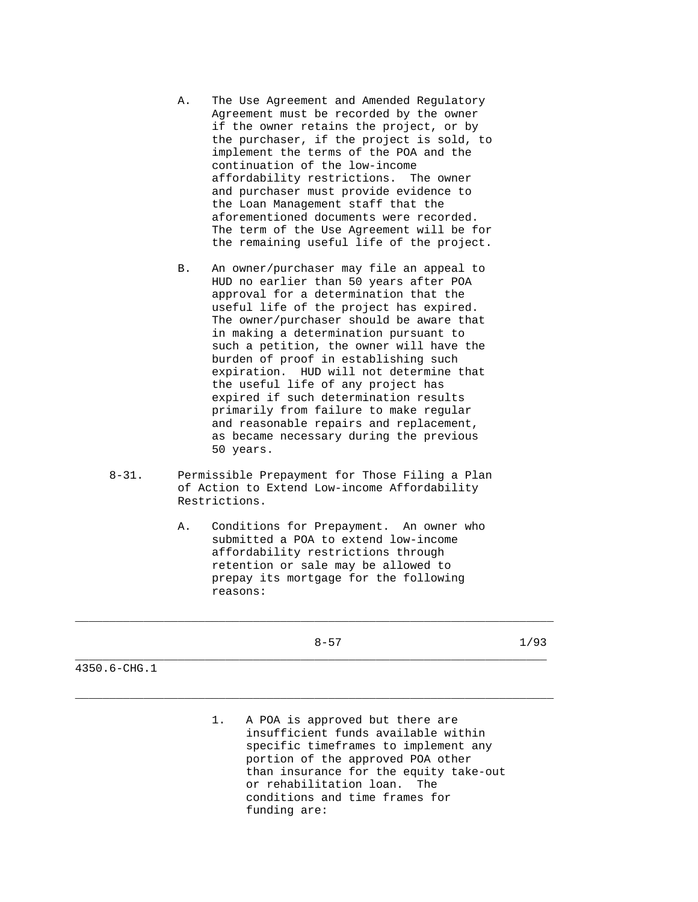- A. The Use Agreement and Amended Regulatory Agreement must be recorded by the owner if the owner retains the project, or by the purchaser, if the project is sold, to implement the terms of the POA and the continuation of the low-income affordability restrictions. The owner and purchaser must provide evidence to the Loan Management staff that the aforementioned documents were recorded. The term of the Use Agreement will be for the remaining useful life of the project.
- B. An owner/purchaser may file an appeal to HUD no earlier than 50 years after POA approval for a determination that the useful life of the project has expired. The owner/purchaser should be aware that in making a determination pursuant to such a petition, the owner will have the burden of proof in establishing such expiration. HUD will not determine that the useful life of any project has expired if such determination results primarily from failure to make regular and reasonable repairs and replacement, as became necessary during the previous 50 years.
- 8-31. Permissible Prepayment for Those Filing a Plan of Action to Extend Low-income Affordability Restrictions.
	- A. Conditions for Prepayment. An owner who submitted a POA to extend low-income affordability restrictions through retention or sale may be allowed to prepay its mortgage for the following reasons:

\_\_\_\_\_\_\_\_\_\_\_\_\_\_\_\_\_\_\_\_\_\_\_\_\_\_\_\_\_\_\_\_\_\_\_\_\_\_\_\_\_\_\_\_\_\_\_\_\_\_\_\_\_\_\_\_\_\_\_\_\_\_\_\_\_\_\_\_\_\_

\_\_\_\_\_\_\_\_\_\_\_\_\_\_\_\_\_\_\_\_\_\_\_\_\_\_\_\_\_\_\_\_\_\_\_\_\_\_\_\_\_\_\_\_\_\_\_\_\_\_\_\_\_\_\_\_\_\_\_\_\_\_\_\_\_\_\_\_\_

\_\_\_\_\_\_\_\_\_\_\_\_\_\_\_\_\_\_\_\_\_\_\_\_\_\_\_\_\_\_\_\_\_\_\_\_\_\_\_\_\_\_\_\_\_\_\_\_\_\_\_\_\_\_\_\_\_\_\_\_\_\_\_\_\_\_\_\_\_\_

4350.6-CHG.1

 1. A POA is approved but there are insufficient funds available within specific timeframes to implement any portion of the approved POA other than insurance for the equity take-out or rehabilitation loan. The conditions and time frames for funding are: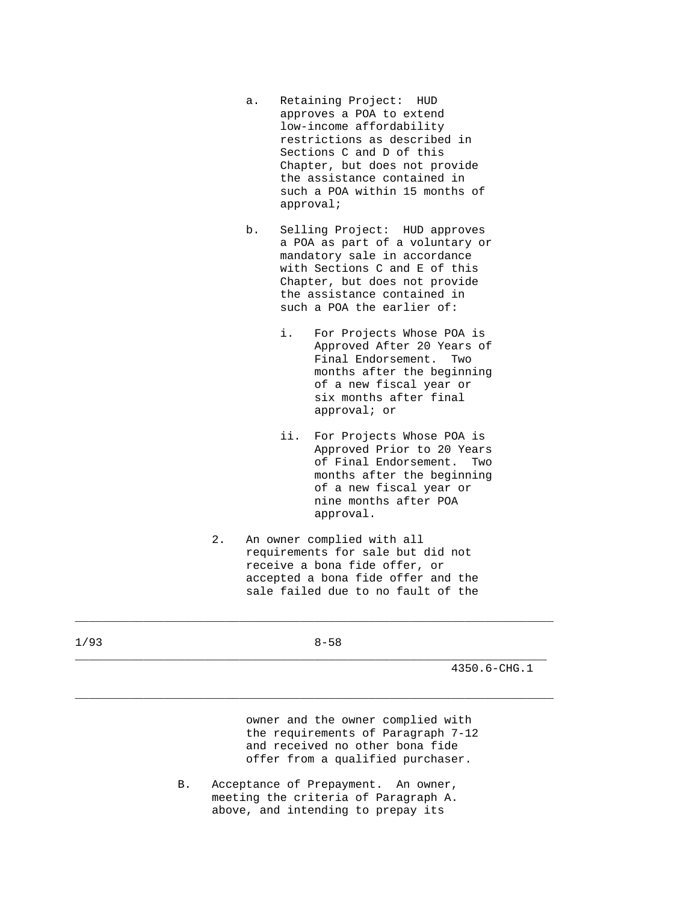- a. Retaining Project: HUD approves a POA to extend low-income affordability restrictions as described in Sections C and D of this Chapter, but does not provide the assistance contained in such a POA within 15 months of approval;
- b. Selling Project: HUD approves a POA as part of a voluntary or mandatory sale in accordance with Sections C and E of this Chapter, but does not provide the assistance contained in such a POA the earlier of:
	- i. For Projects Whose POA is Approved After 20 Years of Final Endorsement. Two months after the beginning of a new fiscal year or six months after final approval; or
	- ii. For Projects Whose POA is Approved Prior to 20 Years of Final Endorsement. Two months after the beginning of a new fiscal year or nine months after POA approval.
- 2. An owner complied with all requirements for sale but did not receive a bona fide offer, or accepted a bona fide offer and the sale failed due to no fault of the

\_\_\_\_\_\_\_\_\_\_\_\_\_\_\_\_\_\_\_\_\_\_\_\_\_\_\_\_\_\_\_\_\_\_\_\_\_\_\_\_\_\_\_\_\_\_\_\_\_\_\_\_\_\_\_\_\_\_\_\_\_\_\_\_\_\_\_\_\_\_

\_\_\_\_\_\_\_\_\_\_\_\_\_\_\_\_\_\_\_\_\_\_\_\_\_\_\_\_\_\_\_\_\_\_\_\_\_\_\_\_\_\_\_\_\_\_\_\_\_\_\_\_\_\_\_\_\_\_\_\_\_\_\_\_\_\_\_\_\_

\_\_\_\_\_\_\_\_\_\_\_\_\_\_\_\_\_\_\_\_\_\_\_\_\_\_\_\_\_\_\_\_\_\_\_\_\_\_\_\_\_\_\_\_\_\_\_\_\_\_\_\_\_\_\_\_\_\_\_\_\_\_\_\_\_\_\_\_\_\_

4350.6-CHG.1

 owner and the owner complied with the requirements of Paragraph 7-12 and received no other bona fide offer from a qualified purchaser.

 B. Acceptance of Prepayment. An owner, meeting the criteria of Paragraph A. above, and intending to prepay its

1/93 8-58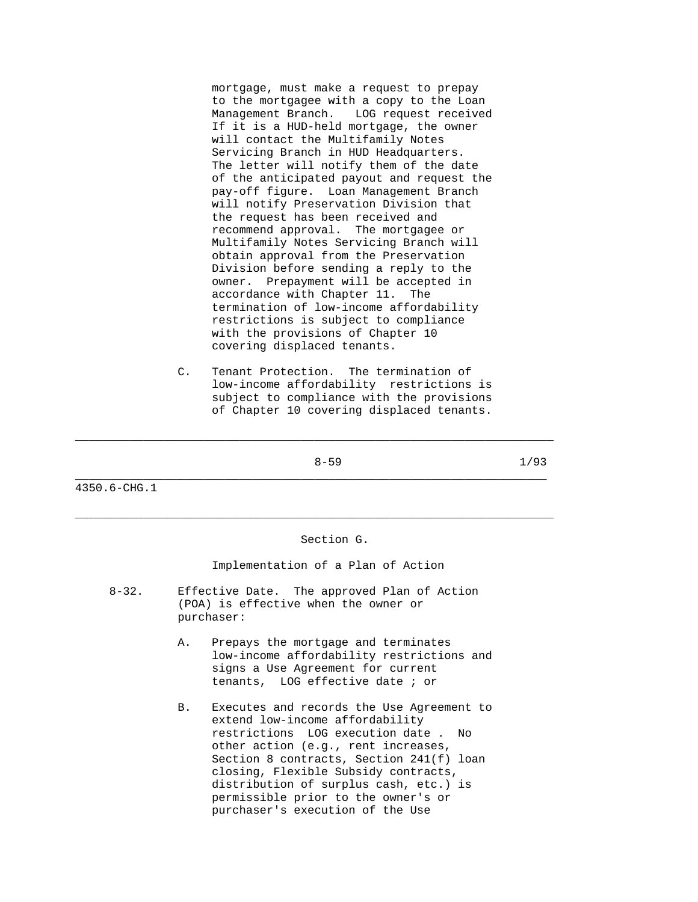mortgage, must make a request to prepay to the mortgagee with a copy to the Loan Management Branch. LOG request received If it is a HUD-held mortgage, the owner will contact the Multifamily Notes Servicing Branch in HUD Headquarters. The letter will notify them of the date of the anticipated payout and request the pay-off figure. Loan Management Branch will notify Preservation Division that the request has been received and recommend approval. The mortgagee or Multifamily Notes Servicing Branch will obtain approval from the Preservation Division before sending a reply to the owner. Prepayment will be accepted in accordance with Chapter 11. The termination of low-income affordability restrictions is subject to compliance with the provisions of Chapter 10 covering displaced tenants.

 C. Tenant Protection. The termination of low-income affordability restrictions is subject to compliance with the provisions of Chapter 10 covering displaced tenants.

\_\_\_\_\_\_\_\_\_\_\_\_\_\_\_\_\_\_\_\_\_\_\_\_\_\_\_\_\_\_\_\_\_\_\_\_\_\_\_\_\_\_\_\_\_\_\_\_\_\_\_\_\_\_\_\_\_\_\_\_\_\_\_\_\_\_\_\_\_\_

\_\_\_\_\_\_\_\_\_\_\_\_\_\_\_\_\_\_\_\_\_\_\_\_\_\_\_\_\_\_\_\_\_\_\_\_\_\_\_\_\_\_\_\_\_\_\_\_\_\_\_\_\_\_\_\_\_\_\_\_\_\_\_\_\_\_\_\_\_

\_\_\_\_\_\_\_\_\_\_\_\_\_\_\_\_\_\_\_\_\_\_\_\_\_\_\_\_\_\_\_\_\_\_\_\_\_\_\_\_\_\_\_\_\_\_\_\_\_\_\_\_\_\_\_\_\_\_\_\_\_\_\_\_\_\_\_\_\_\_

 $8-59$  1/93

4350.6-CHG.1

### Section G.

Implementation of a Plan of Action

- 8-32. Effective Date. The approved Plan of Action (POA) is effective when the owner or purchaser:
	- A. Prepays the mortgage and terminates low-income affordability restrictions and signs a Use Agreement for current tenants, LOG effective date ; or
	- B. Executes and records the Use Agreement to extend low-income affordability restrictions LOG execution date . No other action (e.g., rent increases, Section 8 contracts, Section 241(f) loan closing, Flexible Subsidy contracts, distribution of surplus cash, etc.) is permissible prior to the owner's or purchaser's execution of the Use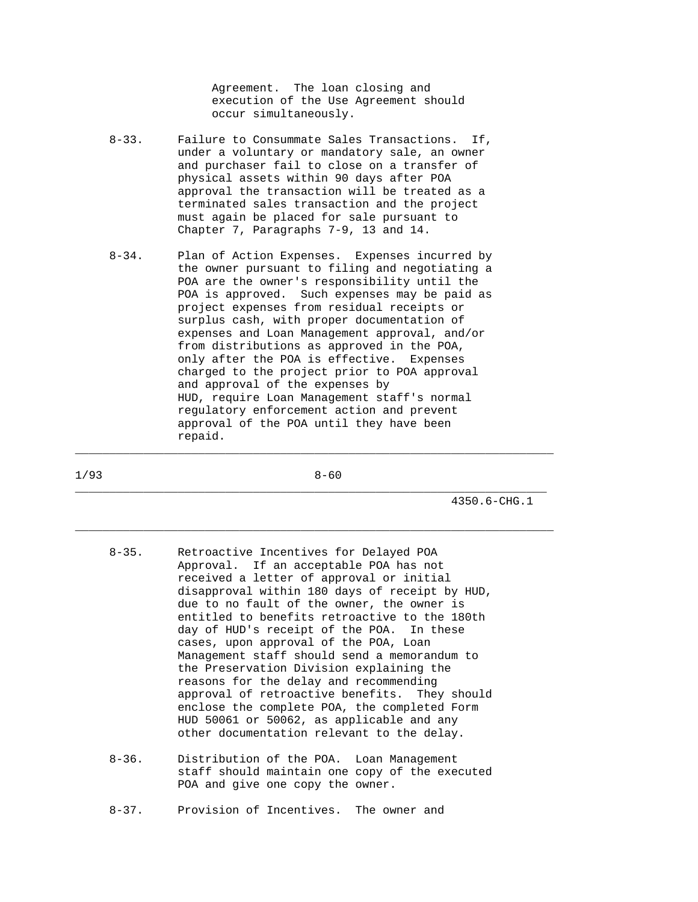Agreement. The loan closing and execution of the Use Agreement should occur simultaneously.

- 8-33. Failure to Consummate Sales Transactions. If, under a voluntary or mandatory sale, an owner and purchaser fail to close on a transfer of physical assets within 90 days after POA approval the transaction will be treated as a terminated sales transaction and the project must again be placed for sale pursuant to Chapter 7, Paragraphs 7-9, 13 and 14.
- 8-34. Plan of Action Expenses. Expenses incurred by the owner pursuant to filing and negotiating a POA are the owner's responsibility until the POA is approved. Such expenses may be paid as project expenses from residual receipts or surplus cash, with proper documentation of expenses and Loan Management approval, and/or from distributions as approved in the POA, only after the POA is effective. Expenses charged to the project prior to POA approval and approval of the expenses by HUD, require Loan Management staff's normal regulatory enforcement action and prevent approval of the POA until they have been repaid.

1/93 8-60

\_\_\_\_\_\_\_\_\_\_\_\_\_\_\_\_\_\_\_\_\_\_\_\_\_\_\_\_\_\_\_\_\_\_\_\_\_\_\_\_\_\_\_\_\_\_\_\_\_\_\_\_\_\_\_\_\_\_\_\_\_\_\_\_\_\_\_\_\_\_

\_\_\_\_\_\_\_\_\_\_\_\_\_\_\_\_\_\_\_\_\_\_\_\_\_\_\_\_\_\_\_\_\_\_\_\_\_\_\_\_\_\_\_\_\_\_\_\_\_\_\_\_\_\_\_\_\_\_\_\_\_\_\_\_\_\_\_\_\_

\_\_\_\_\_\_\_\_\_\_\_\_\_\_\_\_\_\_\_\_\_\_\_\_\_\_\_\_\_\_\_\_\_\_\_\_\_\_\_\_\_\_\_\_\_\_\_\_\_\_\_\_\_\_\_\_\_\_\_\_\_\_\_\_\_\_\_\_\_\_

4350.6-CHG.1

- 8-35. Retroactive Incentives for Delayed POA Approval. If an acceptable POA has not received a letter of approval or initial disapproval within 180 days of receipt by HUD, due to no fault of the owner, the owner is entitled to benefits retroactive to the 180th day of HUD's receipt of the POA. In these cases, upon approval of the POA, Loan Management staff should send a memorandum to the Preservation Division explaining the reasons for the delay and recommending approval of retroactive benefits. They should enclose the complete POA, the completed Form HUD 50061 or 50062, as applicable and any other documentation relevant to the delay.
- 8-36. Distribution of the POA. Loan Management staff should maintain one copy of the executed POA and give one copy the owner.
- 8-37. Provision of Incentives. The owner and